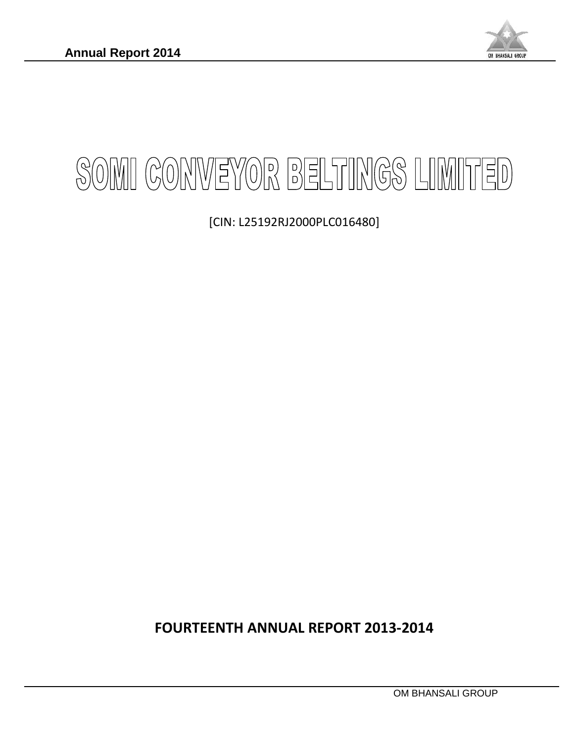

# SOMI CONVEYOR BELTINGS LIMITED

[CIN: L25192RJ2000PLC016480]

**FOURTEENTH ANNUAL REPORT 2013-2014**

OM BHANSALI GROUP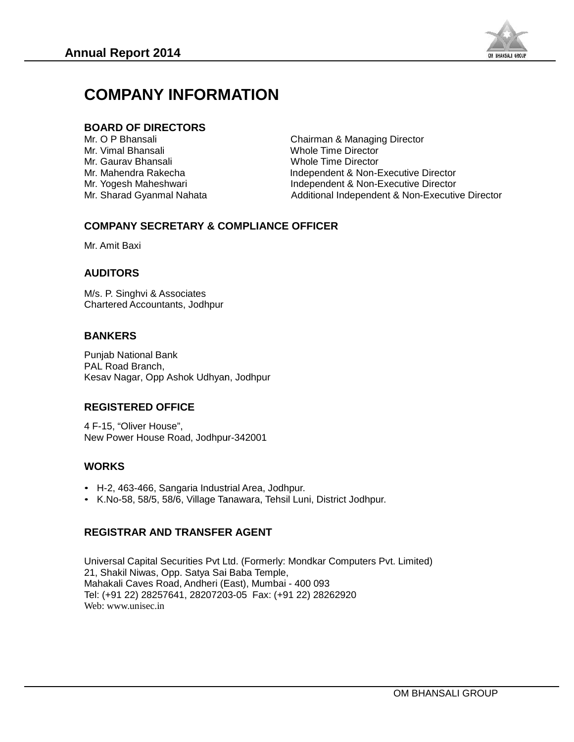

# **COMPANY INFORMATION**

# **BOARD OF DIRECTORS DIRECTORS**

Mr. O P Bhansali **Chairman & Managing Director**<br>
Mr. Vimal Bhansali Chairman & Managing Director Mr. Vimal Bhansali Nicolas and Muslim Whole Time Director<br>Mr. Gauray Bhansali Nicolas and Whole Time Director Mr. O P Bhansali Bhansali DirectorWholeMahendra

Whole Time Director Mr. Mahendra Rakecha **Independent & Non-Executive Director** Mr. Yogesh Maheshwari **Independent & Non-Executive Director**<br>Mr. Sharad Gyanmal Nahata **Independent & Non-Executiv** Additional Independent & Non-Executive Director

# **COMPANY SECRETARY & COMPLIANCE OFFICER COMPANYSECRETARY**

Mr. Amit Baxi

# **AUDITORS AUDITORS**

M/s. P. Singhvi & Associates Chartered Accountants, Jodhpur

# **BANKERS BANKERS**

Punjab National Bank PAL Road Branch, Kesav Nagar, Opp Ashok Udhyan, Jodhpur hendra Rakecha Independent<br>
Independent Independent<br>
Independent Additional Inc<br> **PANY SECRETARY & COMPLIANCE OFFICER**<br>
It Baxi<br> **FORS**<br>
Singhvi & Associates<br>
red Accountants, Jodhpur<br> **ERS**<br>
National Bank<br>
pad Branch,<br>
Na

#### **REGISTERED OFFICE OFFICE**

4 F-15, "Oliver House", Kesav Nagar, Opp Ashok Udhyan, Jodhpur<br>**REGISTERED OFFICE**<br>4 F-15, "Oliver House",<br>New Power House Road, Jodhpur-342001 4 F-15, "Oliver House",<br>New Power House Road, Jodhpur-342001<br>**WORKS**<br>• H-2, 463-466, Sangaria Industrial Area, Jodhp<br>• K.No-58, 58/5, 58/6, Village Tanawara, Tehsil

#### **WORKS**

- 
- K.No-58, 58/5, 58/6, Village Tanawara, Tehsil Luni, District Jodhpur.

#### **REGISTRAR AND TRANSFER AGENT AND**

Universal Capital Securities Pvt Ltd. (Formerly: Mondkar Computers Pvt. Limited) 21, Shakil Niwas, Opp. Satya Sai Baba Temple, Baba Mahakali Caves Road, Andheri (East), Mumbai - 400 093 Mahakali Caves Road, Andheri (East), Mumbai - 400 093<br>Tel: (+91 22) 28257641, 28207203-05 Fax: (+91 22) 28262920 Web: www.unisec.in Capital Securities Pvt Ltd. (Formerly: Mondkar (<br>| Niwas, Opp. Satya Sai Baba Temple,<br>Caves Road, Andheri (East), Mumbai - 400 093<br>22) 28257641, 28207203-05 Fax: (+91 22) 282 **MPANY INFORMATION**<br>
RD OF DIRECTORS<br>
P Bhansali<br>
imal Bhansali<br>
aurav Bhansali<br>
aurav Bhansali<br>
aurav Bhansali<br>
aurav Bhansali<br>
angesh Maheshwari<br>
harad Gyanmal Nahata<br> **IPANY SECRETARY & COMPLIANC**<br>
mit Baxi<br> **ITORS**<br>
P.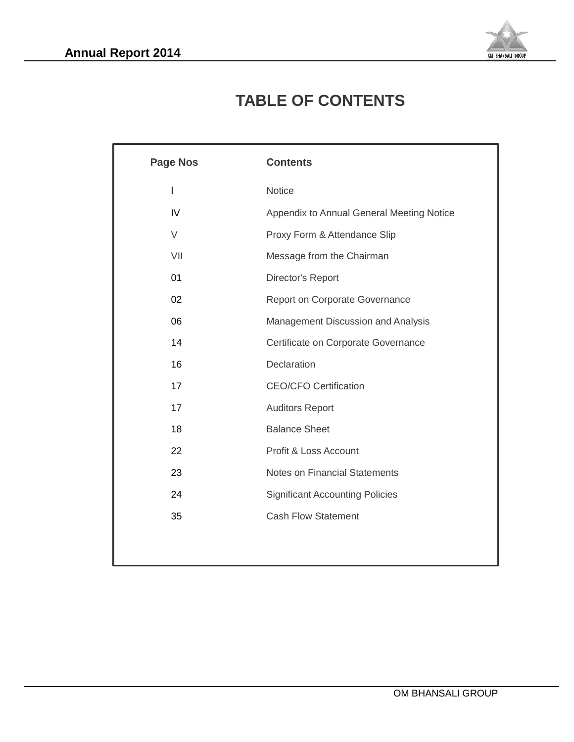

# **TABLE OF CONTENTS**

| <b>Page Nos</b> | <b>Contents</b>                           |
|-----------------|-------------------------------------------|
| I               | Notice                                    |
| IV              | Appendix to Annual General Meeting Notice |
| $\vee$          | Proxy Form & Attendance Slip              |
| VII             | Message from the Chairman                 |
| 01              | Director's Report                         |
| 02              | Report on Corporate Governance            |
| 06              | Management Discussion and Analysis        |
| 14              | Certificate on Corporate Governance       |
| 16              | Declaration                               |
| 17              | <b>CEO/CFO Certification</b>              |
| 17              | <b>Auditors Report</b>                    |
| 18              | <b>Balance Sheet</b>                      |
| 22              | Profit & Loss Account                     |
| 23              | <b>Notes on Financial Statements</b>      |
| 24              | <b>Significant Accounting Policies</b>    |
| 35              | <b>Cash Flow Statement</b>                |
|                 |                                           |
|                 |                                           |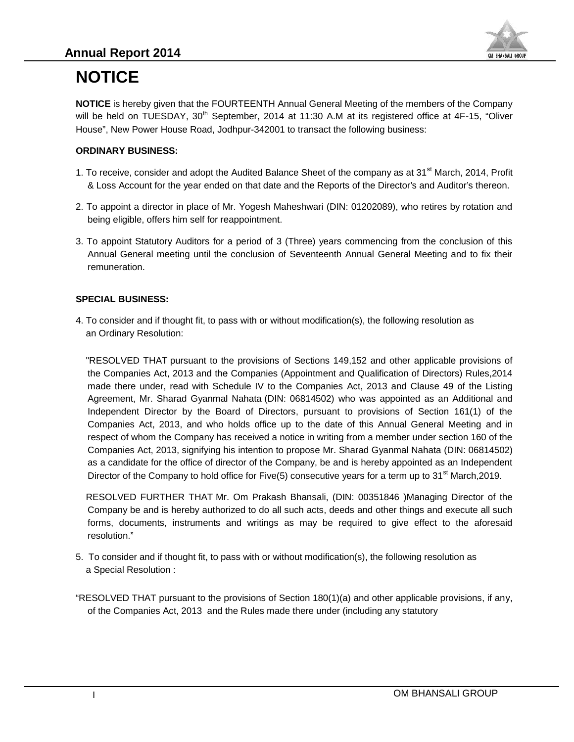

# **NOTICE**

**NOTICE** is hereby given that the FOURTEENTH Annual General Meeting of the members of the Company will be held on TUESDAY, 30<sup>th</sup> September, 2014 at 11:30 A.M at its registered office at 4F-15, "Oliver House", New Power House Road, Jodhpur-342001 to transact the following business:

#### **ORDINARY BUSINESS:**

- 1. To receive, consider and adopt the Audited Balance Sheet of the company as at 31<sup>st</sup> March, 2014, Profit & Loss Account for the year ended on that date and the Reports of the Director's and Auditor's thereon.
- 2. To appoint a director in place of Mr. Yogesh Maheshwari (DIN: 01202089), who retires by rotation and being eligible, offers him self for reappointment.
- 3. To appoint Statutory Auditors for a period of 3 (Three) years commencing from the conclusion of this Annual General meeting until the conclusion of Seventeenth Annual General Meeting and to fix their remuneration.

#### **SPECIAL BUSINESS:**

4. To consider and if thought fit, to pass with or without modification(s), the following resolution as an Ordinary Resolution:

"RESOLVED THAT pursuant to the provisions of Sections 149,152 and other applicable provisions of the Companies Act, 2013 and the Companies (Appointment and Qualification of Directors) Rules,2014 made there under, read with Schedule IV to the Companies Act, 2013 and Clause 49 of the Listing Agreement, Mr. Sharad Gyanmal Nahata (DIN: 06814502) who was appointed as an Additional and Independent Director by the Board of Directors, pursuant to provisions of Section 161(1) of the Companies Act, 2013, and who holds office up to the date of this Annual General Meeting and in respect of whom the Company has received a notice in writing from a member under section 160 of the Companies Act, 2013, signifying his intention to propose Mr. Sharad Gyanmal Nahata (DIN: 06814502) as a candidate for the office of director of the Company, be and is hereby appointed as an Independent Director of the Company to hold office for Five(5) consecutive years for a term up to  $31<sup>st</sup>$  March,2019. **DTICE** is hereby given that the FOURTEENTH Annual General Meeting of the members of the Company<br>The Held on TUESDAY, 30<sup>6</sup> September, 2014 at 11:30 A.M at its registered office at 4F-15, "Oliver<br>was "New Power House Road, It be held on TUESDAY, 30<sup>77</sup> September, 2014 at 11:30 A.M at its register<br>
louse', New Power House Road, Jodhpur-342001 to transact the following<br>
Nuse', New Power House Road, Jodhpur-342001 to transact the following<br> **RD** 

RESOLVED FURTHER THAT Mr. Om Prakash Bhansali, (DIN: 00351846 )Managing Director of the Company be and is hereby authorized to do all such acts, deeds and other things and execute all such forms, documents, instruments and writings as may be required to give effect to the aforesaid resolution."

5. To consider and if thought fit, to pass with or without modification(s), the following resolution as a Special Resolution :

"RESOLVED THAT pursuant to the provisions of Section 180(1)(a) and other applicable provisions, if any, of the Companies Act, 2013 and the Rules made there under (including any statutory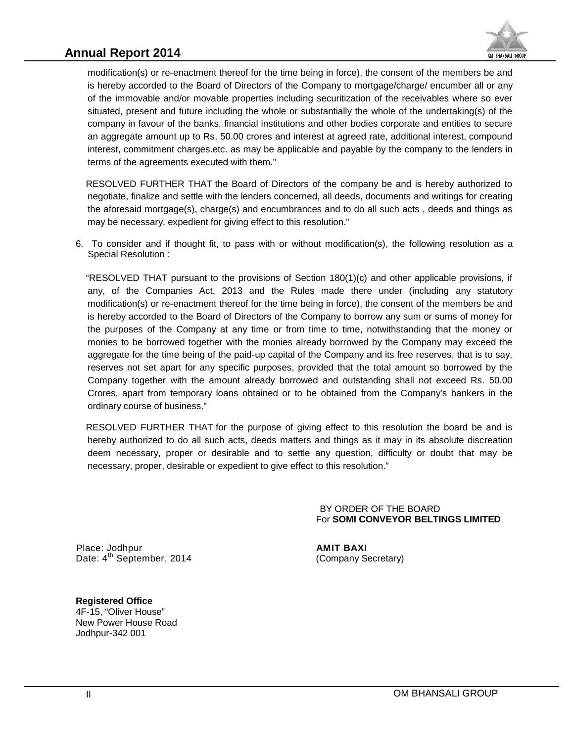# **Annual Report 2014**



modification(s) or re-enactment thereof for the time being in force), the consent of the members be and is hereby accorded to the Board of Directors of the Company to mortgage/charge/ encumber all or any of the immovable and/or movable properties including securitization of the receivables where so ever situated, present and future including the whole or substantially the whole of the undertaking(s) of the company in favour of the banks, financial institutions and other bodies corporate and entities to secure an aggregate amount up to Rs, 50.00 crores and interest at agreed rate, additional interest, compound interest, commitment charges.etc. as may be applicable and payable by the company to the lenders in terms of the agreements executed with them." modification(s) or re-enactment thereof for the time being in force), the consent of the members be and<br>is hereby accorded to the Board of Directors of the Company to mortgage/charge/ encumber all or any<br>of the immovable a

RESOLVED FURTHER THAT the Board of Directors of the company be and is hereby authorized to negotiate, finalize and settle with the lenders concerned, all deeds, documents and writings for creating the aforesaid mortgage(s), charge(s) and encumbrances and to do all such acts , deeds and things as may be necessary, expedient for giving effect to this resolution."

6. To consider and if thought fit, to pass with or without modification(s), the following resolution as a Special Resolution :

"RESOLVED THAT pursuant to the provisions of Section 180(1)(c) and other applicable provisions, if any, of the Companies Act, 2013 and the Rules made there under (including any statutory modification(s) or re-enactment thereof for the time being in force), the consent of the members be and is hereby accorded to the Board of Directors of the Company to borrow any sum or sums of money for the purposes of the Company at any time or from time to time, notwithstanding that the money or monies to be borrowed together with the monies already borrowed by the Company may exceed the aggregate for the time being of the paid-up capital of the Company and its free reserves, that is to say, reserves not set apart for any specific purposes, provided that the total amount so borrowed by the Company together with the amount already borrowed and outstanding shall not exceed Rs. 50.00 Crores, apart from temporary loans obtained or to be obtained from the Company's bankers in the ordinary course of business." present and future including the whole or substantially the whole of the undertaking(s) of the parties of the banks, financial institutions and other bodies corporate and entities to secure compriment charges etc. as may b To consider and if thought fit, to pass with or without modificatio<br>Special Resolution :<br>"RESOLVED THAT pursuant to the provisions of Section 180(1)(c)<br>any, of the Companies Act, 2013 and the Rules made there<br>modification(

RESOLVED FURTHER THAT for the purpose of giving effect to this resolution the board be and is hereby authorized to do all such acts, deeds matters and things as it may in its absolute discreation deem necessary, proper or desirable and to settle any question, difficulty or doubt that may be necessary, proper, desirable or expedient to give effect to this resolution." ordinary course of business."<br>
RESOLVED FURTHER THAT for the purpose of giving effect to this resolution the board b<br>
hereby authorized to do all such acts, deeds matters and things as it may in its absolute dis<br>
deem nece RESOLVED FURTHER THAT for the purpose of giving effect to<br>hereby authorized to do all such acts, deeds matters and things<br>deem necessary, proper or desirable and to settle any questi-<br>necessary, proper, desirable or expedi

BY ORDER OF THE BOARD For **SOMI CONVEYOR BELTINGS LIMITED**

Place: Jodhpur **AMIT BAXI** Date: 4<sup>th</sup> September, 2014 (Company Secretary)

**Registered Office Office**4F-15, "Oliver House" New Power House Road House 001Jodhpur-342 001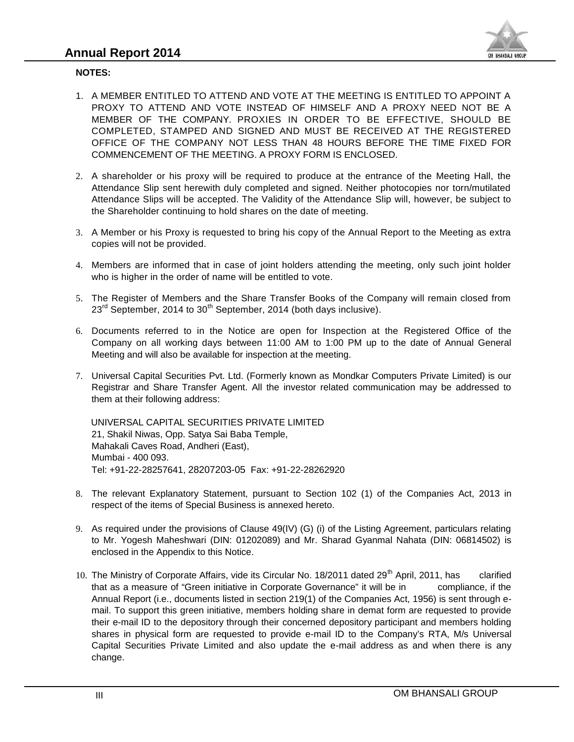

#### **NOTES:**

- 1. A MEMBER ENTITLED TO ATTEND AND VOTE AT THE MEETING IS ENTITLED TO APPOINT A PROXY TO ATTEND AND VOTE INSTEAD OF HIMSELF AND A PROXY NEED NOT BE A MEMBER OF THE COMPANY. PROXIES IN ORDER TO BE EFFECTIVE, SHOULD BE COMPLETED, STAMPED AND SIGNED AND MUST BE RECEIVED AT THE REGISTERED OFFICE OF THE COMPANY NOT LESS THAN 48 HOURS BEFORE THE TIME FIXED FOR COMMENCEMENT OF THE MEETING. A PROXY FORM IS ENCLOSED. A MEMBER ENTITLED TO ATTEND AND VOTE AT THE MEETING IS<br>PROXY TO ATTEND AND VOTE INSTEAD OF HIMSELF AND A F<br>MEMBER OF THE COMPANY. PROXIES IN ORDER TO BE EF<br>COMPLETED, STAMPED AND SIGNED AND MUST BE RECEIVE<br>OFFICE OF THE CO
- 2. A shareholder or his proxy will be required to produce at the entrance of the Meeting Hall, the 2.Attendance Slip sent herewith duly completed and signed. Neither photocopies nor torn/mutilated Attendance Slips will be accepted. The Validity of the Attendance Slip will, however, be subject to<br>the Shareholder continuing to hold shares on the date of meeting. the Shareholder continuing to hold shares on the date of meeting.
- 3. A Member or his Proxy is requested to bring his copy of the Annual Report to the Meeting as extra copies will not be provided.
- 4. Members are informed that in case of joint holders attending the meeting, only such joint holder who is higher in the order of name will be entitled to vote.
- 5. The Register of Members and the Share Transfer Books of the Company will remain closed from  $23<sup>rd</sup>$  September, 2014 to  $30<sup>th</sup>$  September, 2014 (both days inclusive).
- 6. Documents referred to in the Notice are open for Inspection at the Registered Office of the Company on all working days between 11:00 AM to 1:00 PM up to the date of Annual General Meeting and will also be available for inspection at the meeting.
- 7. Universal Capital Securities Pvt. Ltd. (Formerly known as Mondkar Computers Private Limited) is our Registrar and Share Transfer Agent. All the investor related communication may be addressed to them at their following address: 5. The Register of Members and the Share Transfer Books of the Company will remain closed from<br>
23<sup>dd</sup> September, 2014 to 30<sup>th</sup> September, 2014 (both days inclusive).<br>
6. Documents referred to in the Notice are open for

UNIVERSAL CAPITAL SECURITIES PRIVATE LIMITED 21, Shakil Niwas, Opp. Satya Sai Baba Temple, Mahakali Caves Road, Andheri (East), Mumbai - 400 093. Tel: +91-22-28257641, 28207203-05 Fax: +91-22-28262920

- 8. The relevant Explanatory Statement, pursuant to Section 102 (1) of the Companies Act, 2013 in respect of the items of Special Business is annexed hereto.
- 9. As required under the provisions of Clause 49(IV) (G) (i) of the Listing Agreement, particulars relating to Mr. Yogesh Maheshwari (DIN: 01202089) and Mr. Sharad Gyanmal Nahata (DIN: 06814502) is enclosed in the Appendix to this Notice.
- 10. The Ministry of Corporate Affairs, vide its Circular No. 18/2011 dated 29<sup>th</sup> April, 2011, has clarified that as a measure of "Green initiative in Corporate Governance" it will be in compliance, if the Annual Report (i.e., documents listed in section 219(1) of the Companies Act, 1956) is sent through e mail. To support this green initiative, members holding share in demat form are requested to provide their e-mail ID to the depository through their concerned depository participant and members holding shares in physical form are requested to provide e-mail ID to the Company's RTA, M/s Universal Capital Securities Private Limited and also update the e-mail address as and when there is any change. A MEMBER ENTITLED TO ATTEND AND VOTE AT THE MEETING IS ENTITLED TO APPOINT A<br>RECOVER TO THE COMPANY. PROXIMITED TO A PROXY MEED AND A PROXY NEED NOT BE ARROW TO APPOINT AND MOTEMBER AND AND VOTE INTERFACT OF SIXT COMPUTED Tel: +91-22-28257641, 28207203-05 Fax: +91-22-28262920<br>The relevant Explanatory Statement, pursuant to Section 102 (1) of th<br>respect of the items of Special Business is annexed hereto.<br>As required under the provisions of C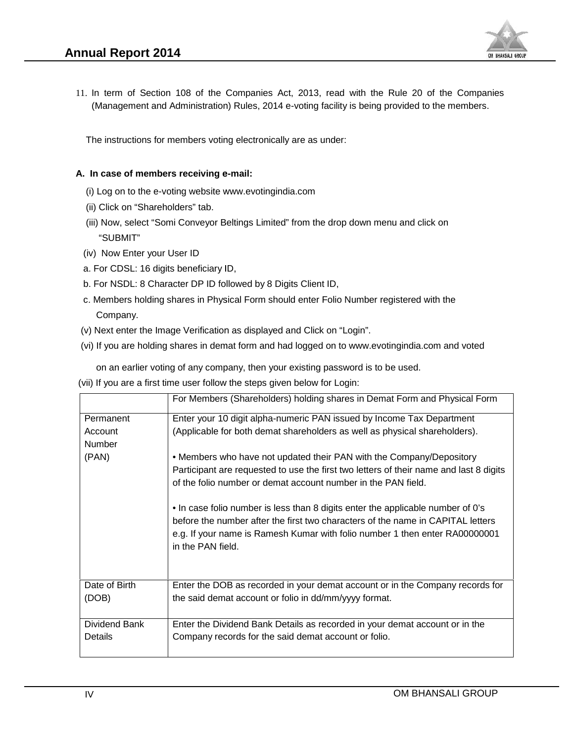

11. In term of Section 108 of the Companies Act, 2013, read with the Rule 20 of the Companies (Management and Administration) Rules, 2014 e-voting facility is being provided to the members.

#### **A. In case of members receiving e-mail:**

- (i) Log on to the e-voting website www.evotingindia.com
- (ii) Click on "Shareholders" tab.
- (iii) Now, select "Somi Conveyor Beltings Limited" from the drop down menu and click on "SUBMIT" In term of Section 108 of the Companies Act, 2013, read with the Rule 20 of (Management and Administration) Rules, 2014 e-voting facility is being provided to the Unit The instructions for members voting electronically are
- (iv) Now Enter your User ID
- a. For CDSL: 16 digits beneficiary ID,
- b. For NSDL: 8 Character DP ID followed by 8 Digits Client ID,
- c. Members holding shares in Physical Form should enter Folio Number registered with the Company.
- (v) Next enter the Image Verification as displayed and Click on "Login".
- (vi) If you are holding shares in demat form and had logged on to www.evotingindia.com and voted

|                                   | (Management and Administration) Rules, 2014 e-voting facility is being provided to the members.                                                                |
|-----------------------------------|----------------------------------------------------------------------------------------------------------------------------------------------------------------|
|                                   | The instructions for members voting electronically are as under:                                                                                               |
|                                   | A. In case of members receiving e-mail:                                                                                                                        |
|                                   | (i) Log on to the e-voting website www.evotingindia.com                                                                                                        |
| (ii) Click on "Shareholders" tab. |                                                                                                                                                                |
| "SUBMIT"                          | (iii) Now, select "Somi Conveyor Beltings Limited" from the drop down menu and click on                                                                        |
| (iv) Now Enter your User ID       |                                                                                                                                                                |
|                                   | a. For CDSL: 16 digits beneficiary ID,                                                                                                                         |
|                                   | b. For NSDL: 8 Character DP ID followed by 8 Digits Client ID,                                                                                                 |
|                                   | c. Members holding shares in Physical Form should enter Folio Number registered with the                                                                       |
| Company.                          |                                                                                                                                                                |
|                                   | (v) Next enter the Image Verification as displayed and Click on "Login".                                                                                       |
|                                   | (vi) If you are holding shares in demat form and had logged on to www.evotingindia.com and voted                                                               |
|                                   | on an earlier voting of any company, then your existing password is to be used.                                                                                |
|                                   | (vii) If you are a first time user follow the steps given below for Login:                                                                                     |
|                                   | For Members (Shareholders) holding shares in Demat Form and Physical Form                                                                                      |
| Permanent                         | Enter your 10 digit alpha-numeric PAN issued by Income Tax Department                                                                                          |
| Account                           | (Applicable for both demat shareholders as well as physical shareholders).                                                                                     |
| Number                            |                                                                                                                                                                |
| (PAN)                             | • Members who have not updated their PAN with the Company/Depository<br>Participant are requested to use the first two letters of their name and last 8 digits |
|                                   | of the folio number or demat account number in the PAN field.                                                                                                  |
|                                   |                                                                                                                                                                |
|                                   | . In case folio number is less than 8 digits enter the applicable number of 0's                                                                                |
|                                   | before the number after the first two characters of the name in CAPITAL letters<br>e.g. If your name is Ramesh Kumar with folio number 1 then enter RA00000001 |
|                                   | in the PAN field.                                                                                                                                              |
| Date of Birth                     | Enter the DOB as recorded in your demat account or in the Company records for                                                                                  |
| (DOB)                             | the said demat account or folio in dd/mm/yyyy format.                                                                                                          |
| Dividend Bank                     | Enter the Dividend Bank Details as recorded in your demat account or in the                                                                                    |
| Details                           | Company records for the said demat account or folio.                                                                                                           |
|                                   |                                                                                                                                                                |
|                                   | OM BHANSALI GROUP                                                                                                                                              |
| IV                                |                                                                                                                                                                |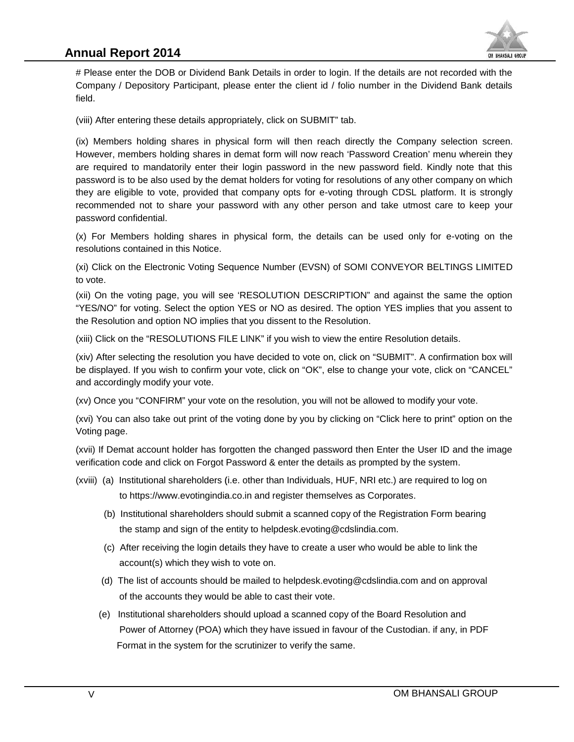# **Annual Report 2014**



# Please enter the DOB or Dividend Bank Details in order to login. If the details are not recorded with the Company / Depository Participant, please enter the client id / folio number in the Dividend Bank details field.

(viii) After entering these details appropriately, click on SUBMIT" tab.

(ix) Members holding shares in physical form will then reach directly the Company selection screen. However, members holding shares in demat form will now reach 'Password Creation' menu wherein they are required to mandatorily enter their login password in the new password field. Kindly note that this password is to be also used by the demat holders for voting for resolutions of any other company on which they are eligible to vote, provided that company opts for e-voting through CDSL platform. It is strongly recommended not to share your password with any other person and take utmost care to keep your password confidential. Please enter the DOB or Dividend Bank Details in order to login. If the details are not recorded with the locompany / Depository Participant, please enter the client id / folio number in the Dividend Bank details and<br>iii) *F* Pease enter the DOS or Dividend Bank Details in order to login. If the desils are not necorded with the Dividend Bank Details are the context of the Custoder Simple Tompath (iii) (iii) After entering these enter the cl

(x) For Members holding shares in physical form, the details can be used only for e-voting on the resolutions contained in this Notice.

(xi) Click on the Electronic Voting Sequence Number (EVSN) of SOMI CONVEYOR BELTINGS LIMITED to vote.

(xii) On the voting page, you will see 'RESOLUTION DESCRIPTION" and against the same the option "YES/NO" for voting. Select the option YES or NO as desired. The option YES implies that you assent to the Resolution and option NO implies that you dissent to the Resolution.

(xiii) Click on the "RESOLUTIONS FILE LINK" if you wish to view the entire Resolution details.

(xiv) After selecting the resolution you have decided to vote on, click on "SUBMIT". A confirmation box will be displayed. If you wish to confirm your vote, click on "OK", else to change your vote, click on "CANCEL" and accordingly modify your vote.

(xv) Once you "CONFIRM" your vote on the resolution, you will not be allowed to modify your vote.

(xvi) You can also take out print of the voting done by you by clicking on "Click here to print" option on the Voting page.

(xvii) If Demat account holder has forgotten the changed password then Enter the User ID and the image verification code and click on Forgot Password & enter the details as prompted by the system.

- (xviii) (a) Institutional shareholders (i.e. other than Individuals, HUF, NRI etc.) are required to log on to https://www.evotingindia.co.in and register themselves as Corporates.
	- (b) Institutional shareholders should submit a scanned copy of the Registration Form bearing the stamp and sign of the entity to helpdesk.evoting@cdslindia.com.
	- (c) After receiving the login details they have to create a user who would be able to link the account(s) which they wish to vote on.
	- (d) The list of accounts should be mailed to helpdesk.evoting@cdslindia.com and on approval of the accounts they would be able to cast their vote.
	- (e) Institutional shareholders should upload a scanned copy of the Board Resolution and Power of Attorney (POA) which they have issued in favour of the Custodian. if any, in PDF Format in the system for the scrutinizer to verify the same.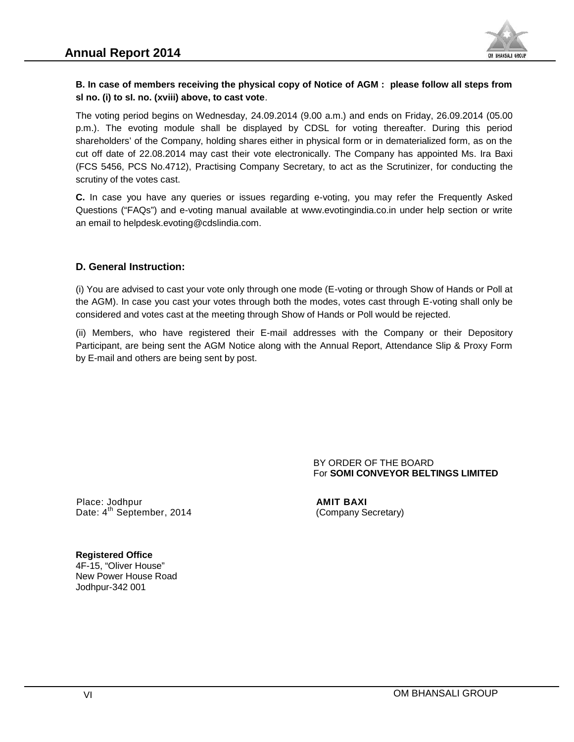

#### B. In case of members receiving the physical copy of Notice of AGM: please follow all steps from<br>sI no. (i) to sI. no. (xviii) above, to cast vote. **sl no. (i) to sI. no. (xviii) above, to cast vote**.

The voting period begins on Wednesday, 24.09.2014 (9.00 a.m.) and ends on Friday, 26.09.2014 (05.00 p.m.). The evoting module shall be displayed by CDSL for voting thereafter. During this period p.m.). The evoting module shall be displayed by CDSL for voting thereafter. During this period<br>shareholders' of the Company, holding shares either in physical form or in dematerialized form, as on the cut off date of 22.08.2014 may cast their vote electronically. The Company has appointed Ms. Ira Baxi (FCS 5456, PCS No.4712), Practising Company Secretary, to act as the Scrutinizer, for conducting the scrutiny of the votes cast. voting period begins on Wednesday, 24.09.2014 (9.00 a.m.) and ends on Friday<br>). The evoting module shall be displayed by CDSL for voting thereafter.<br>eholders' of the Company, holding shares either in physical fo B. In case of members receiving the physical copy of Notice of AGM : please follow all steps from<br>B. in C. () to st no. (cvilis above, on cast vote.<br>The voters period solarity, 24 (30.2014 (30.2014 (30.2014 (30.2014 (30.20

**C.** In case you have any queries or issues regarding e-voting, you may refer the Frequently Asked Questions ("FAQs") and e-voting manual available at www.evotingindia.co.in under help section or write an email to helpdesk.evoting@cdslindia.com. scrutiny of the votes cast.<br>
C. In case you have any queries or issues regarding e-voting, you may refer the Frequently Asked<br>
Questions ("FAQs") and e-voting manual available at www.evotingindia.co.in under help section o cut off date of 22.08.2014 may cast their vote el<br>(FCS 5456, PCS No.4712), Practising Company<br>scrutiny of the votes cast.<br>**C.** In case you have any queries or issues reg<br>Questions ("FAQs") and e-voting manual availabl<br>an e

#### **D. General Instruction: D. General**

(i) You are advised to cast your vote only through one mode (E-voting or through Show of Hands or Poll at the AGM). In case you cast your votes through both the modes, votes cast through E-voting shall only be considered and votes cast at the meeting through Show of Hands or Poll would be rejected.

(ii) Members, who have registered their E-mail addresses with the Company or their Depository Participant, are being sent the AGM Notice along with the Annual Report, Attendance Slip & Proxy Form by E-mail and others are being sent by post. Lact your votes through both the modes, votes cast through E-voting shall only cast at the meeting through Show of Hands or Poll would be rejected.<br>
Hands or Poll would be rejected.<br>
Hands or Poll would be rejected.<br>
Show (i) You are advised to cast your vote only through one mode (E-voting or through<br>the AGM). In case you cast your votes through both the modes, votes cast thre<br>considered and votes cast at the meeting through Show of Hands

BY ORDER OF THE BOARD For **SOMI CONVEYOR BELTINGS LIMITED BELTINGS** 

Place: Jodhpur **AMIT BAXI** Date: 4<sup>th</sup> September, 2014 (Company Secretary)

**Registered Office Office**4F-15, "Oliver House" New Power House Road House 001Jodhpur-342 001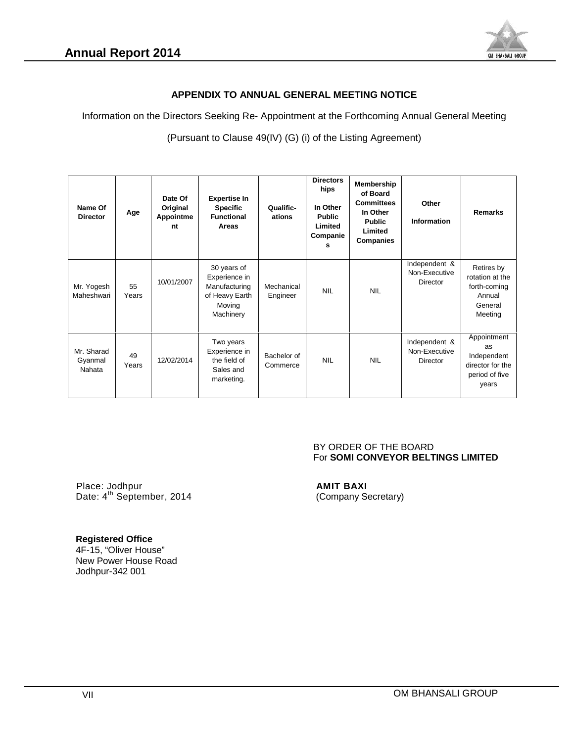

#### **APPENDIX TO ANNUAL GENERAL MEETING NOTICE TO**

Information on the Directors Seeking Re- Appointment at the Forthcoming Annual General Meeting<br>(Pursuant to Clause 49(IV) (G) (i) of the Listing Agreement)

(Pursuant to Clause 49(IV) (G) (i) of the Listing Agreement)

| Name Of<br><b>Director</b>      | Age         | Date Of<br>Original<br>Appointme<br>nt | <b>Expertise In</b><br><b>Specific</b><br><b>Functional</b><br>Areas                   | Qualific-<br>ations     | <b>Directors</b><br>hips<br>In Other<br><b>Public</b><br>Limited<br>Companie<br>s | Membership<br>of Board<br><b>Committees</b><br>In Other<br><b>Public</b><br>Limited<br><b>Companies</b> | Other<br>Information                              | <b>Remarks</b>                                                                  |
|---------------------------------|-------------|----------------------------------------|----------------------------------------------------------------------------------------|-------------------------|-----------------------------------------------------------------------------------|---------------------------------------------------------------------------------------------------------|---------------------------------------------------|---------------------------------------------------------------------------------|
| Mr. Yogesh<br>Maheshwari        | 55<br>Years | 10/01/2007                             | 30 years of<br>Experience in<br>Manufacturing<br>of Heavy Earth<br>Moving<br>Machinery | Mechanical<br>Engineer  | <b>NIL</b>                                                                        | <b>NIL</b>                                                                                              | Independent &<br>Non-Executive<br><b>Director</b> | Retires by<br>rotation at the<br>forth-coming<br>Annual<br>General<br>Meeting   |
| Mr. Sharad<br>Gyanmal<br>Nahata | 49<br>Years | 12/02/2014                             | Two years<br>Experience in<br>the field of<br>Sales and<br>marketing.                  | Bachelor of<br>Commerce | <b>NIL</b>                                                                        | <b>NIL</b>                                                                                              | Independent &<br>Non-Executive<br><b>Director</b> | Appointment<br>as<br>Independent<br>director for the<br>period of five<br>years |

#### BY ORDER OF THE BOARD For **SOMI CONVEYOR BELTINGS LIMITED BELTINGS**

Place: Jodhpur **AMIT BAXI** Date: 4<sup>th</sup> Septerr Place: Place: Jodhpur 42014(Company

# (Company Secretary)

#### **Registered Office Office**

4F-15, "Oliver House" New Power House Road Jodhpur-342 001 ew Power House<br>pdhpur-342 001<br>VII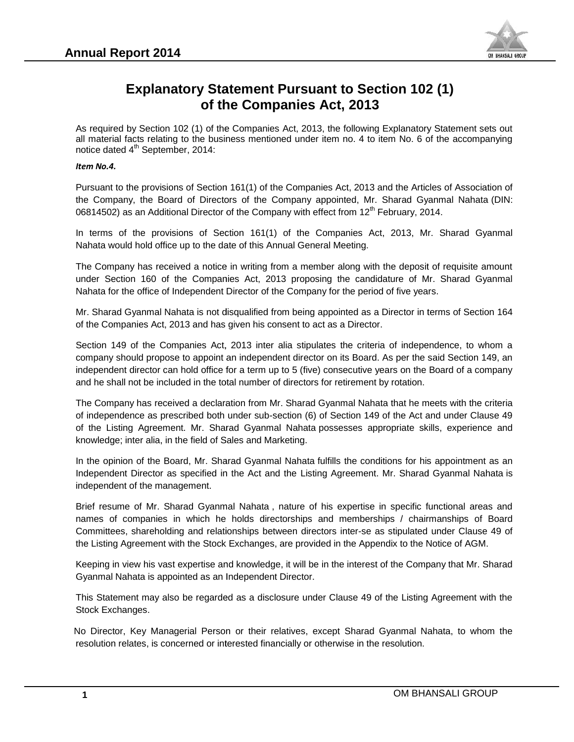

# **Explanatory Statement Pursuant to Section 102 (1) of the Companies Act, 2013 Companies**

As required by Section 102 (1) of the Companies Act, 2013, the following Explanatory Statement sets out all material facts relating to the business mentioned under item no. 4 to item No. 6 of the accompanying notice dated 4<sup>th</sup> September, 2014: uired by Section 102 (1) of the Companies Act, 2013, the following Explanatory Statement sets out<br>rerial facts relating to the business mentioned under item no. 4 to item No. 6 of the accompanying<br>dated 4<sup>th</sup> September, 20

#### *Item No.4.*

Pursuant to the provisions of Section 161(1) of the Companies Act, 2013 and the Articles of Association of the Company, the Board of Directors of the Company appointed, Mr. Sharad Gyanmal Nahata (DIN: 06814502) as an Additional Director of the Company with effect from  $12<sup>th</sup>$  February, 2014.

In terms of the provisions of Section 161(1) of the Companies Act, 2013, Mr. Sharad Gyanmal Nahata would hold office up to the date of this Annual General Meeting.

The Company has received a notice in writing from a member along with the deposit of requisite amount under Section 160 of the Companies Act, 2013 proposing the candidature of Mr. Sharad Gyanmal Nahata for the office of Independent Director of the Company for the period of five years.

Mr. Sharad Gyanmal Nahata is not disqualified from being appointed as a Director in terms of Section 164 of the Companies Act, 2013 and has given his consent to act as a Director.

Section 149 of the Companies Act, 2013 inter alia stipulates the criteria of independence, to whom a company should propose to appoint an independent director on its Board. As per the said Section 149, an independent director can hold office for a term up to 5 (five) consecutive years on the Board of a company and he shall not be included in the total number of directors for retirement by rotation. of the Companies Act, 2013 and has given his consent to act as a Director.<br>Section 149 of the Companies Act, 2013 inter alia stipulates the criteria of independence, to whom<br>company should propose to appoint an independent

The Company has received a declaration from Mr. Sharad Gyanmal Nahata that he meets with the criteria of independence as prescribed both under sub-section (6) of Section 149 of the Act and under Clause 49 of the Listing Agreement. Mr. Sharad Gyanmal Nahata possesses appropriate skills, experience and knowledge; inter alia, in the field of Sales and Marketing. Company, the Board of Directors of the Company appointed, Mr. Sharad Gyammal Nahata (DIN:<br>THAGE) as an Additional Director of the Company with effect from 12<sup>th</sup> February, 2014.<br>
terms of the provisions of Section 161(1) o **Explanatory Statement Purers and the Section 102 (1)**<br>As required by Section 107 (1) of the Companies Act, 2013, the following Estionatory Statement sets out<br>unreavisable are selective probabilities with a section and the

In the opinion of the Board, Mr. Sharad Gyanmal Nahata fulfills the conditions for his appointment as an knowledge; inter alia, in the field of Sales and Marketing.<br>In the opinion of the Board, Mr. Sharad Gyanmal Nahata fulfills the conditions for his appointment as an<br>Independent Director as specified in the Act and the List independent of the management.

Brief resume of Mr. Sharad Gyanmal Nahata , nature of his expertise in specific functional areas and names of companies in which he holds directorships and memberships / chairmanships of Board Committees, shareholding and relationships between directors inter-se as stipulated under Clause 49 of the Listing Agreement with the Stock Exchanges, are provided in the Appendix to the Notice of AGM.

Keeping in view his vast expertise and knowledge, it will be in the interest of the Company that Mr. Sharad Gyanmal Nahata is appointed as an Independent Director. Agreement with the Stock E:<br>view his vast expertise and<br>lahata is appointed as an Inc<br>ment may also be regarded

This Statement may also be regarded as a disclosure under Clause 49 of the Listing Agreement with the Stock Exchanges.

No Director, Key Managerial Person or their relatives, except Sharad Gyanmal Nahata, to whom the No Director, Key Managerial Person or their relatives, except Sharad Gyanmal Nahat<br>resolution relates, is concerned or interested financially or otherwise in the resolution.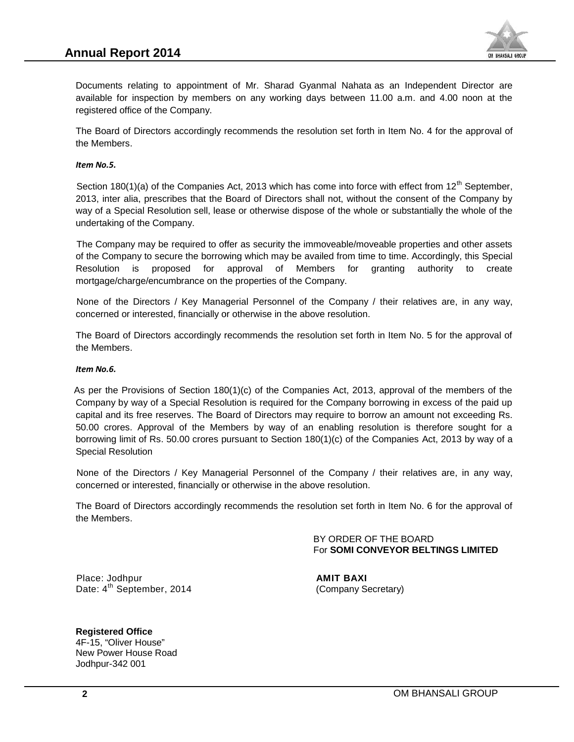

Documents relating to appointment of Mr. Sharad Gyanmal Nahata as an Independent Director are available for inspection by members on any working days between 11.00 a.m. and 4.00 noon at the registered office of the Company. ments relating to appointment of Mr. Sharad Gyanmal Nahata as an Independent Director<br>able for inspection by members on any working days between 11.00 a.m. and 4.00 noon atered office of the Company.<br>Board of Directors acc

The Board of Directors accordingly recommends the resolution set forth in Item No. 4 for the approval of the Members.

#### *Item No.5.*

Section 180(1)(a) of the Companies Act, 2013 which has come into force with effect from  $12<sup>th</sup>$  September, 2013, inter alia, prescribes that the Board of Directors shall not, without the consent of the Company by way of a Special Resolution sell, lease or otherwise dispose of the whole or substantially the whole of the undertaking of the Company.

The Company may be required to offer as security the immoveable/moveable properties and other assets of the Company to secure the borrowing which may be availed from time to time. Accordingly, this Special Resolution is proposed for approval of Members for granting authority to create mortgage/charge/encumbrance on the properties of the Company. Documents relating to appointment of Mr. Sharad Gyanmal Nahata as an Independent Director are available for inspection by members on any working days between 11.00 a.m. and 4.00 noon at the registered office of the Company

None of the Directors / Key Managerial Personnel of the Company / their relatives are, in any way, concerned or interested, financially or otherwise in the above resolution.

The Board of Directors accordingly recommends the resolution set forth in Item No. 5 for the approval of the Members.

#### *Item No.6.*

As per the Provisions of Section 180(1)(c) of the Companies Act, 2013, approval of the members of the Company by way of a Special Resolution is required for the Company borrowing in excess of the paid up capital and its free reserves. The Board of Directors may require to borrow an amount not exceeding Rs. 50.00 crores. Approval of the Members by way of an enabling resolution is therefore sought for a borrowing limit of Rs. 50.00 crores pursuant to Section 180(1)(c) of the Companies Act, 2013 by way of a Special Resolution i, inter alia, prescribes that he Board of Directors shall not, without the consent of the Company by of a Special Resolution sell, lease or otherwise dispose of the whole or substantially the whole of the traking of the 50.00 crores. Approval of the Members by way of an enabling res<br>borrowing limit of Rs. 50.00 crores pursuant to Section 180(1)(c) of the<br>Special Resolution<br>None of the Directors / Key Managerial Personnel of the Company<br>c

None of the Directors / Key Managerial Personnel of the Company / their relatives are, in any way, concerned or interested, financially or otherwise in the above resolution.

The Board of Directors accordingly recommends the resolution set forth in Item No. 6 for the approval of the Members.

> BY ORDER OF THE BOARD For **SOMI CONVEYOR BELTINGS LIMITED BELTINGS**

Place: Jodhpur **AMIT BAXI** Date: 4<sup>th</sup> September, 2014 (Company Secretary)

**Registered Office Office**4F-15, "Oliver House" New Power House Road House 001Jodhpur-342 001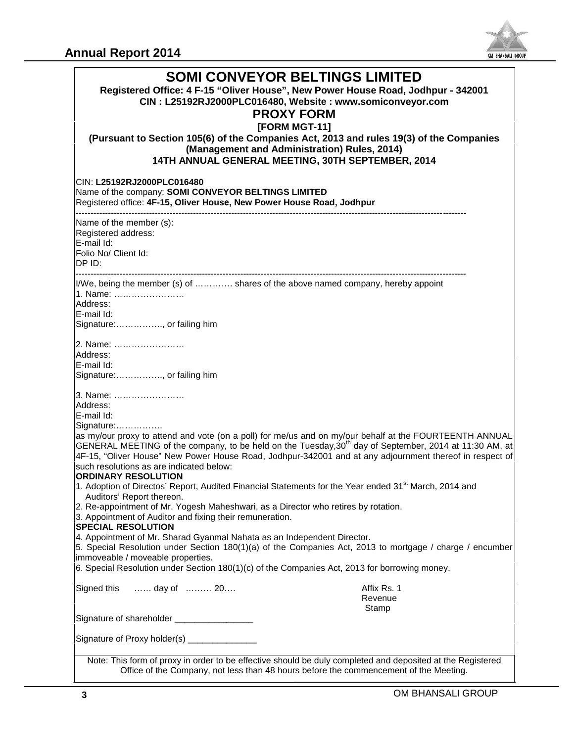

|                                                                                                                                                                                                                                                                                                                                                                                                                              | um bhanaali unvui               |
|------------------------------------------------------------------------------------------------------------------------------------------------------------------------------------------------------------------------------------------------------------------------------------------------------------------------------------------------------------------------------------------------------------------------------|---------------------------------|
| <b>SOMI CONVEYOR BELTINGS LIMITED</b><br>Registered Office: 4 F-15 "Oliver House", New Power House Road, Jodhpur - 342001<br>CIN: L25192RJ2000PLC016480, Website: www.somiconveyor.com<br><b>PROXY FORM</b><br>[FORM MGT-11]<br>(Pursuant to Section 105(6) of the Companies Act, 2013 and rules 19(3) of the Companies<br>(Management and Administration) Rules, 2014)<br>14TH ANNUAL GENERAL MEETING, 30TH SEPTEMBER, 2014 |                                 |
| CIN: L25192RJ2000PLC016480<br>Name of the company: SOMI CONVEYOR BELTINGS LIMITED<br>Registered office: 4F-15, Oliver House, New Power House Road, Jodhpur                                                                                                                                                                                                                                                                   |                                 |
| Name of the member (s):<br>Registered address:<br>E-mail Id:<br>Folio No/ Client Id:<br>DP ID:                                                                                                                                                                                                                                                                                                                               |                                 |
| I/We, being the member (s) of  shares of the above named company, hereby appoint<br>1. Name:<br>Address:<br>E-mail Id:<br>Signature:, or failing him                                                                                                                                                                                                                                                                         |                                 |
| 2. Name:<br>Address:<br>E-mail Id:<br>Signature:, or failing him                                                                                                                                                                                                                                                                                                                                                             |                                 |
| 3. Name:<br>Address:<br>E-mail Id:<br>Signature:<br>as my/our proxy to attend and vote (on a poll) for me/us and on my/our behalf at the FOURTEENTH ANNUAL<br>GENERAL MEETING of the company, to be held on the Tuesday, $30th$ day of September, 2014 at 11:30 AM. at                                                                                                                                                       |                                 |
| 4F-15, "Oliver House" New Power House Road, Jodhpur-342001 and at any adjournment thereof in respect of<br>such resolutions as are indicated below:<br><b>ORDINARY RESOLUTION</b><br>1. Adoption of Directos' Report, Audited Financial Statements for the Year ended 31 <sup>st</sup> March, 2014 and<br>Auditors' Report thereon.<br>2. Re-appointment of Mr. Yogesh Maheshwari, as a Director who retires by rotation.    |                                 |
| 3. Appointment of Auditor and fixing their remuneration.<br><b>SPECIAL RESOLUTION</b><br>4. Appointment of Mr. Sharad Gyanmal Nahata as an Independent Director.<br>5. Special Resolution under Section 180(1)(a) of the Companies Act, 2013 to mortgage / charge / encumber<br>immoveable / moveable properties.                                                                                                            |                                 |
| 6. Special Resolution under Section 180(1)(c) of the Companies Act, 2013 for borrowing money.                                                                                                                                                                                                                                                                                                                                |                                 |
| day of  20<br>Signed this                                                                                                                                                                                                                                                                                                                                                                                                    | Affix Rs. 1<br>Revenue<br>Stamp |
| Signature of shareholder ___________________                                                                                                                                                                                                                                                                                                                                                                                 |                                 |
| Signature of Proxy holder(s) _______________                                                                                                                                                                                                                                                                                                                                                                                 |                                 |
| Note: This form of proxy in order to be effective should be duly completed and deposited at the Registered<br>Office of the Company, not less than 48 hours before the commencement of the Meeting.                                                                                                                                                                                                                          |                                 |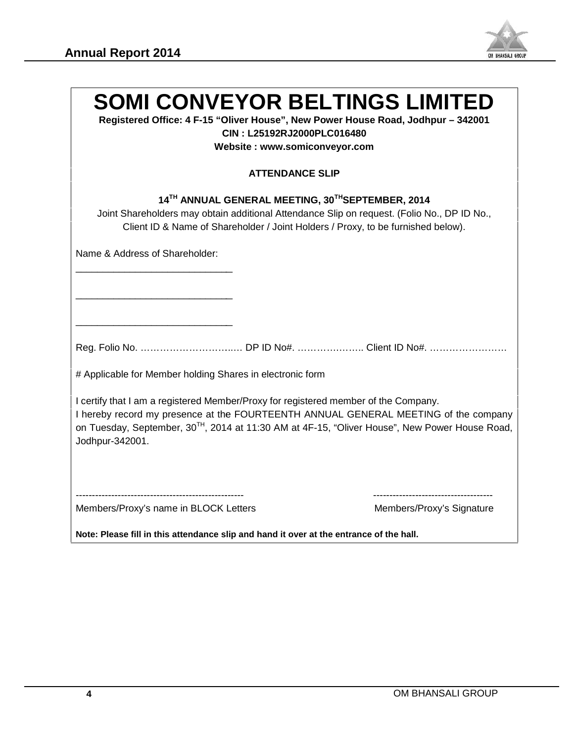

| Registered Office: 4 F-15 "Oliver House", New Power House Road, Jodhpur - 342001<br>CIN: L25192RJ2000PLC016480<br>Website: www.somiconveyor.com                                                                                                                                                             |  |
|-------------------------------------------------------------------------------------------------------------------------------------------------------------------------------------------------------------------------------------------------------------------------------------------------------------|--|
| <b>ATTENDANCE SLIP</b>                                                                                                                                                                                                                                                                                      |  |
| 14TH ANNUAL GENERAL MEETING, 30TH SEPTEMBER, 2014<br>Joint Shareholders may obtain additional Attendance Slip on request. (Folio No., DP ID No.,<br>Client ID & Name of Shareholder / Joint Holders / Proxy, to be furnished below).                                                                        |  |
| Name & Address of Shareholder:                                                                                                                                                                                                                                                                              |  |
|                                                                                                                                                                                                                                                                                                             |  |
|                                                                                                                                                                                                                                                                                                             |  |
|                                                                                                                                                                                                                                                                                                             |  |
| # Applicable for Member holding Shares in electronic form                                                                                                                                                                                                                                                   |  |
| I certify that I am a registered Member/Proxy for registered member of the Company.<br>I hereby record my presence at the FOURTEENTH ANNUAL GENERAL MEETING of the company<br>on Tuesday, September, 30 <sup>TH</sup> , 2014 at 11:30 AM at 4F-15, "Oliver House", New Power House Road,<br>Jodhpur-342001. |  |
|                                                                                                                                                                                                                                                                                                             |  |
|                                                                                                                                                                                                                                                                                                             |  |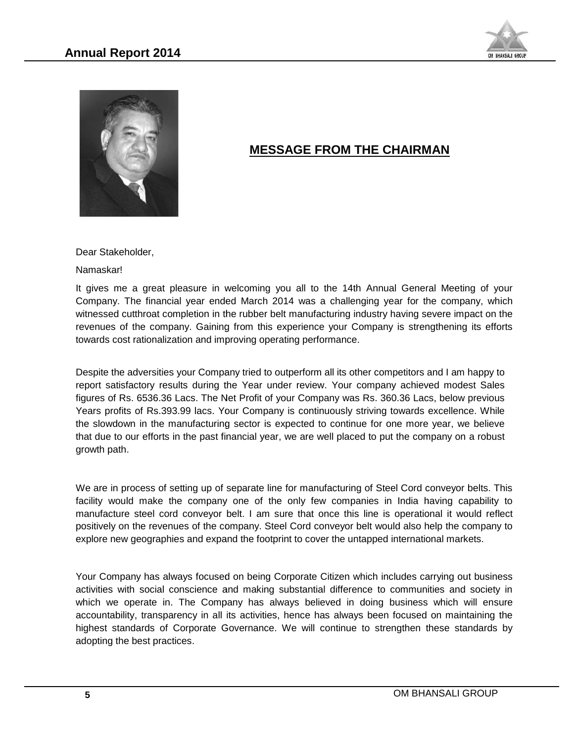



# **MESSAGE FROM THE CHAIRMAN**

Dear Stakeholder,

Namaskar!

It gives me a great pleasure in welcoming you all to the 14th Annual General Meeting of your Company. The financial year ended March 2014 was a challenging year for the company, which witnessed cutthroat completion in the rubber belt manufacturing industry having severe impact on the revenues of the company. Gaining from this experience your Company is strengthening its efforts towards cost rationalization and improving operating performance.

Despite the adversities your Company tried to outperform all its other competitors and I am happy to report satisfactory results during the Year under review. Your company achieved modest Sales figures of Rs. 6536.36 Lacs. The Net Profit of your Company was Rs. 360.36 Lacs, below previous Years profits of Rs.393.99 lacs. Your Company is continuously striving towards excellence. While the slowdown in the manufacturing sector is expected to continue for one more year, we believe that due to our efforts in the past financial year, we are well placed to put the company on a robust growth path. Namaskar!<br>
It gives me a great pleasure in welcoming you all to the 14th Annual General Meeting of your<br>
It gives me a great pleasure ended March 2014 was a challenging year for the company, which<br>
withesesed cuttimoat com

We are in process of setting up of separate line for manufacturing of Steel Cord conveyor belts. This facility would make the company one of the only few companies in India having capability to manufacture steel cord conveyor belt. I am sure that once this line is operational it would reflect positively on the revenues of the company. Steel Cord conveyor belt would also help the company to explore new geographies and expand the footprint to cover the untapped international markets.

Your Company has always focused on being Corporate Citizen which includes carrying out business activities with social conscience and making substantial difference to communities and society in which we operate in. The Company has always believed in doing business which will ensure accountability, transparency in all its activities, hence has always been focused on maintaining the highest standards of Corporate Governance. We will continue to strengthen these standards by adopting the best practices. facility would make the company one of the manufacture steel cord conveyor belt. I am positively on the revenues of the company. Stexplore new geographies and expand the foot Your Company has always focused on being activi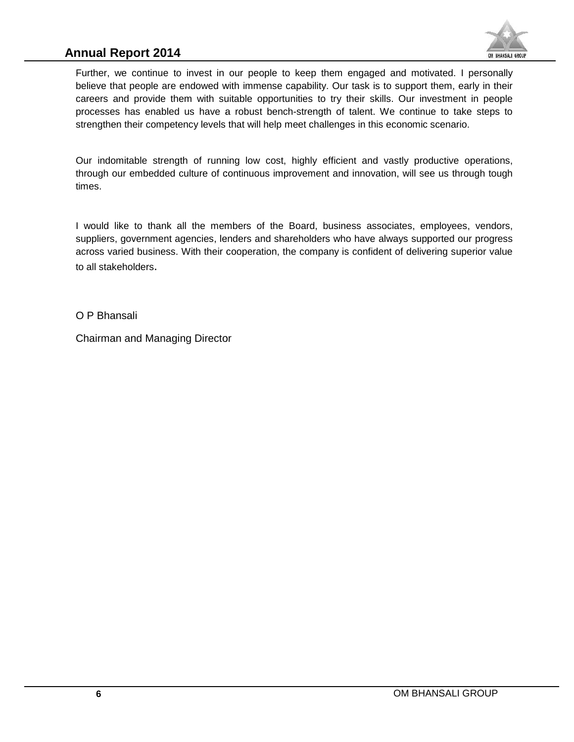# **Annual Report 2014**



Further, we continue to invest in our people to keep them engaged and motivated. I personally believe that people are endowed with immense capability. Our task is to support them, early in their careers and provide them with suitable opportunities to try their skills. Our investment in people processes has enabled us have a robust bench-strength of talent. We continue to take steps to strengthen their competency levels that will help meet challenges in this economic scenario. Further, we continue to invest in our people to keep them engaged and motivated. I pers<br>believe that people are endowed with immense capability. Our task is to support them, early ir<br>careers and provide them with suitable Further, we continue to inversit in our people to keep theme endowed with immense capability. Our factores and provide them with suitable opportunities to try therocesses has enabled us have a robust bench-strength of trie

Our indomitable strength of running low cost, highly efficient and vastly productive operations, through our embedded culture of continuous improvement and innovation, will see us through tough times.

I would like to thank all the members of the Board, business associates, employees, vendors, suppliers, government agencies, lenders and shareholders who have always supported our progress across varied business. With their cooperation, the company is confident of delivering superior value to all stakeholders.

O P Bhansali

Chairman and Managing Director Managing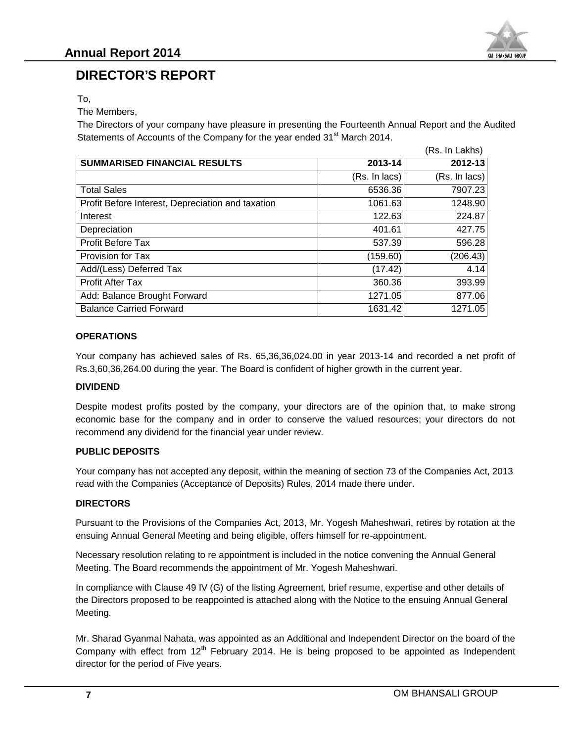

# **DIRECTOR'S REPORT**

To, To,

The Members,

The Members,<br>The Directors of your company have pleasure in presenting the Fourteenth Annual Report and the Audited Statements of Accounts of the Company for the year ended 31<sup>st</sup> March 2014.

| 2013-14<br>(Rs. In lacs)<br>6536.36<br>1061.63<br>122.63<br>401.61                                  | 2012-13<br>(Rs. In lacs)<br>7907.23<br>1248.90<br>224.87 |
|-----------------------------------------------------------------------------------------------------|----------------------------------------------------------|
|                                                                                                     |                                                          |
|                                                                                                     |                                                          |
|                                                                                                     |                                                          |
|                                                                                                     |                                                          |
|                                                                                                     |                                                          |
|                                                                                                     | 427.75                                                   |
| 537.39                                                                                              | 596.28                                                   |
| (159.60)                                                                                            | (206.43)                                                 |
| (17.42)                                                                                             | 4.14                                                     |
| 360.36                                                                                              | 393.99                                                   |
| 1271.05                                                                                             | 877.06                                                   |
| 1631.42                                                                                             | 1271.05                                                  |
| Your company has achieved sales of Rs. 65,36,36,024.00 in year 2013-14 and recorded a net profit of |                                                          |
| Rs.3,60,36,264.00 during the year. The Board is confident of higher growth in the current year.     |                                                          |
|                                                                                                     |                                                          |

#### **OPERATIONS**

#### **DIVIDEND**

Despite modest profits posted by the company, your directors are of the opinion that, to make strong economic base for the company and in order to conserve the valued resources; your directors do not recommend any dividend for the financial year under review. 1631.42 1271.05 1631.42 1271.05 1638.142 1271.05 1638.142 1271.05 1631.42 1271.05 1642.142 1271.05 1644.00 to meany has achieved sales of Rs. 65,36,36,024.00 in year 2013-14 and recorded a net profite.<br>
Nour company has ac

#### **PUBLIC DEPOSITS PUBLIC**

Your company has not accepted any deposit, within the meaning of section 73 of the Companies Act, 2013 read with the Companies (Acceptance of Deposits) Rules, 2014 made there under.

#### **DIRECTORS**

Pursuant to the Provisions of the Companies Act, 2013, Mr. Yogesh Maheshwari, retires by rotation at the ensuing Annual General Meeting and being eligible, offers himself for re-appointment.

Necessary resolution relating to re appointment is included in the notice convening the Annual General Meeting. The Board recommends the appointment of Mr. Yogesh Maheshwari.

In compliance with Clause 49 IV (G) of the listing Agreement, brief resume, expertise and other details of the Directors proposed to be reappointed is attached along with the Notice to the ensuing Annual General Meeting.

Mr. Sharad Gyanmal Nahata, was appointed as an Additional and Independent Director on the board of the Company with effect from  $12<sup>th</sup>$  February 2014. He is being proposed to be appointed as Independent director for the period of Five years. Your company has not accepted any deposit, within the meaning of section 73 of the Companies Act, 20<br>read with the Companies (Acceptance of Deposits) Rules, 2014 made there under.<br>**DIRECTORS**<br>Pursuant to the Provisions of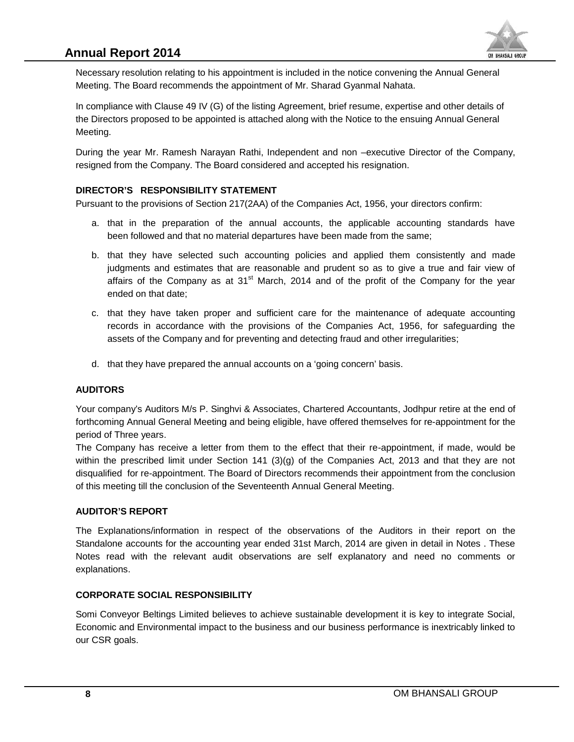

Necessary resolution relating to his appointment is included in the notice convening the Annual General Meeting. The Board recommends the appointment of Mr. Sharad Gyanmal Nahata.

In compliance with Clause 49 IV (G) of the listing Agreement, brief resume, expertise and other details of the Directors proposed to be appointed is attached along with the Notice to the ensuing Annual General Meeting. Necessary resolution relating to his appointment is included in the notice conve<br>Meeting. The Board recommends the appointment of Mr. Sharad Gyanmal Nah<br>In compliance with Clause 49 IV (G) of the listing Agreement, brief r

During the year Mr. Ramesh Narayan Rathi, Independent and non –executive Director of the Company, resigned from the Company. The Board considered and accepted his resignation.

#### **DIRECTOR'S RESPONSIBILITY STATEMENT**

Pursuant to the provisions of Section 217(2AA) of the Companies Act, 1956, your directors confirm:

- a. that in the preparation of the annual accounts, the applicable accounting standards have been followed and that no material departures have been made from the same;
- b. that they have selected such accounting policies and applied them consistently and made judgments and estimates that are reasonable and prudent so as to give a true and fair view of affairs of the Company as at  $31<sup>st</sup>$  March, 2014 and of the profit of the Company for the year ended on that date;
- c. that they have taken proper and sufficient care for the maintenance of adequate accounting records in accordance with the provisions of the Companies Act, 1956, for safeguarding the c. that they have taken proper and sufficient care for the maintenance of adequate adeptical records in accordance with the provisions of the Companies Act, 1956, for safeguar assets of the Company and for preventing and d
- d. that they have prepared the annual accounts on a 'going concern' basis.

#### **AUDITORS AUDITORS**

Your company's Auditors M/s P. Singhvi & Associates, Chartered Accountants, Jodhpur retire at the end of forthcoming Annual General Meeting and being eligible, have offered themselves for re-appointment for the period of Three years.

The Company has receive a letter from them to the effect that their re-appointment, if made, would be within the prescribed limit under Section 141 (3)(g) of the Companies Act, 2013 and that they are not disqualified for re-appointment. The Board of Directors recommends their appointment from the conclusion of this meeting till the conclusion of the Seventeenth Annual General Meeting. Neesinary reaction relation to his appointment is noided in the nation comming the Annual General<br>Meeting. The Board recommends the appointment of Mr. Shamd Gyarmat National<br>In compliance with Clause 49 IV (G) of the listi Your company's Auditors M/s P. Singhvi & Associates, Chart<br>forthcoming Annual General Meeting and being eligible, have<br>period of Three years.<br>The Company has receive a letter from them to the effect<br>within the prescribed l

#### **AUDITOR'S REPORT**

The Explanations/information in respect of the observations of the Auditors in their report on the Standalone accounts for the accounting year ended 31st March, 2014 are given in detail in Notes . These Notes read with the relevant audit observations are self explanatory and need no comments or explanations.

#### **CORPORATE SOCIAL RESPONSIBILITY SOCIAL**

Somi Conveyor Beltings Limited believes to achieve sustainable development it is key to integrate Social, Economic and Environmental impact to the business and our business performance is inextricably linked to our CSR goals. goals.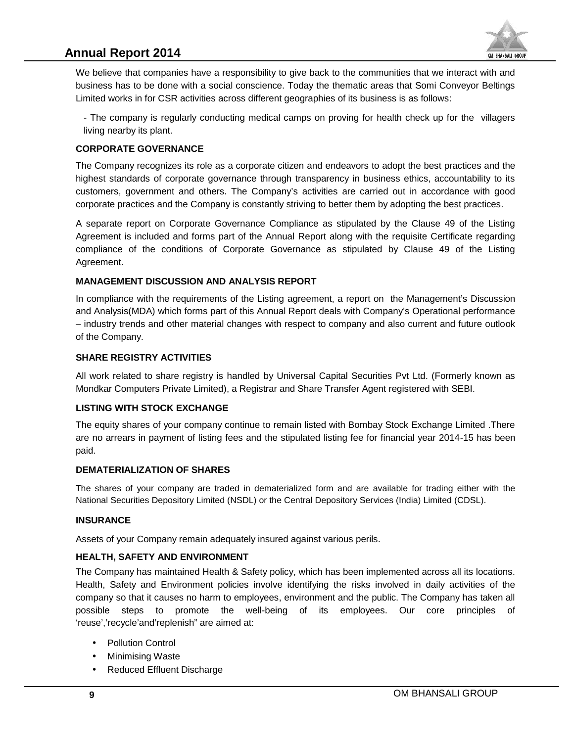# **Annual Report 2014**



We believe that companies have a responsibility to give back to the communities that we interact with and business has to be done with a social conscience. Today the thematic areas that Somi Conveyor Beltings Limited works in for CSR activities across different geographies of its business is as follows: We believe that companies have a responsibility to give back to the communities that we interact with and<br>business has to be done with a social conscience. Today the thematic areas that Somi Conveyor Beltings<br>Limited works

living nearby its plant. living nearby

#### **CORPORATE GOVERNANCE GOVERNANCE**

The Company recognizes its role as a corporate citizen and endeavors to adopt the best practices and the highest standards of corporate governance through transparency in business ethics, accountability to its customers, government and others. The Company's activities are carried out in accordance with good corporate practices and the Company is constantly striving to better them by adopting the best practices. The Company recognizes its role as a corporate citizen and endeavors to adopt the best practices and the highest standards of corporate governance through transparency in business ethics, accountability to its customers, g

A separate report on Corporate Governance Compliance as stipulated by the Clause 49 of the Listing Agreement is included and forms part of the Annual Report along with the requisite Certificate regarding compliance of the conditions of Corporate Governance as stipulated by Clause 49 of the Listing Agreement.

#### **MANAGEMENT DISCUSSION AND ANALYSIS REPORT ANALYSIS MANAGEMENT**

In compliance with the requirements of the Listing agreement, a report on the Management's Discussion and Analysis(MDA) which forms part of this Annual Report deals with Company's Operational performance In compliance with the requirements of the Listing agreement, a report on the Management's Discussion<br>and Analysis(MDA) which forms part of this Annual Report deals with Company's Operational performance<br>– industry trends of the Company. We believe that companies have a responsibility to give basis to the communities that we interact with<br>Limited works in for CSR activities across different goographies of its business is as follows:<br>
Limited works in for C compliance with the requirements of the Listing agreement, a report deals with<br>industry trends and other material changes with respect to compan<br>the Company.<br>HARE REGISTRY ACTIVITIES<br>I work related to share registry is han

#### **SHARE REGISTRY ACTIVITIES REGISTRY**

All work related to share registry is handled by Universal Capital Securities Pvt Ltd. (Formerly known as All work related to share registry is handled by Universal Capital Securities Pvt Ltd. (Formerly known as<br>Mondkar Computers Private Limited), a Registrar and Share Transfer Agent registered with SEBI.

#### **LISTING WITH STOCK EXCHANGE WITH LISTING WITH STOCK**

The equity shares of your company continue to remain listed with Bombay Stock Exchange Limited .There The equity shares of your company continue to remain listed with Bombay Stock Exchange Limited .There<br>are no arrears in payment of listing fees and the stipulated listing fee for financial year 2014-15 has been paid.

#### **DEMATERIALIZATION OF SHARES**

The shares of your company are traded in dematerialized form and are available for trading either with the The company National Securities Depository Limited (NSDL) or the Central Depository Services (India) Limited (CDSL).

#### **INSURANCE INSURANCE**

Assets of your Company remain adequately insured against various perils.

#### **HEALTH, SAFETY AND ENVIRONMENT**

The Company has maintained Health & Safety policy, which has been implemented across all its locations. Health, Safety and Environment policies involve identifying the risks involved in daily activities of the company so that it causes no harm to employees, environment and the public. The Company has taken all possible steps to promote the well-being of its employees. Our core principles of 'reuse','recycle'and'replenish" are aimed at: The Company has maintained Health & Safety policy, which has bee<br>Health, Safety and Environment policies involve identifying the ri<br>company so that it causes no harm to employees, environment and<br>possible steps to promote

- Pollution Control
- Minimising Waste
- Reduced Effluent Discharge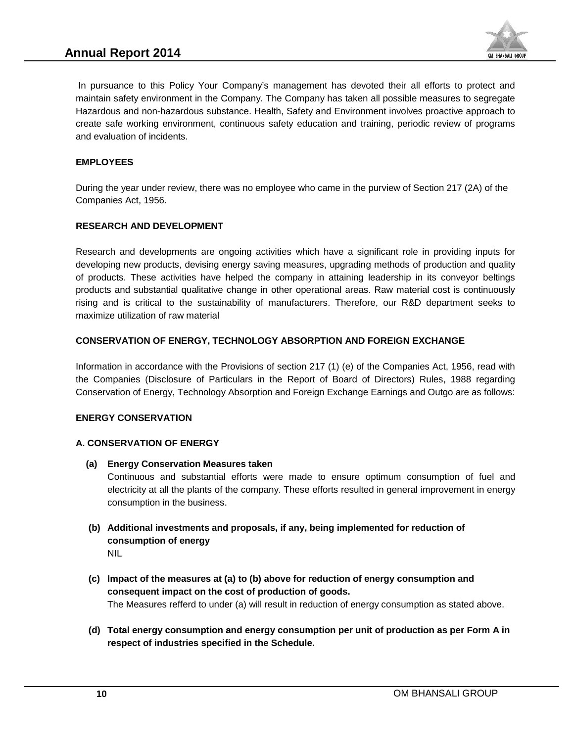

In pursuance to this Policy Your Company's management has devoted their all efforts to protect and maintain safety environment in the Company. The Company has taken all possible measures to segregate Hazardous and non-hazardous substance. Health, Safety and Environment involves proactive approach to create safe working environment, continuous safety education and training, periodic review of programs and evaluation of incidents.

#### **EMPLOYEES**

During the year under review, there was no employee who came in the purview of Section 217 (2A) of the Companies Act, 1956.

#### **RESEARCH AND DEVELOPMENT**

Research and developments are ongoing activities which have a significant role in providing inputs for developing new products, devising energy saving measures, upgrading methods of production and quality of products. These activities have helped the company in attaining leadership in its conveyor beltings products and substantial qualitative change in other operational areas. Raw material cost is continuously rising and is critical to the sustainability of manufacturers. Therefore, our R&D department seeks to maximize utilization of raw material In pursuance to this Policy Your Company's management has devoted their all efforts to protect and<br>maintain safety environment in the Company. The Company has taken all possible measures to segregate<br>d-azardous and non-haz in pursuance to the Picky Your Company's mangement has deviced their at efforts to protect and<br>in pursuance to the Points (in the Company. The Company has taken all possible measures to sepregate<br>the and unit of the Compan

#### **CONSERVATION OF ENERGY, TECHNOLOGY ABSORPTION AND FOREIGN EXCHANGE ABSORPTION**

Information in accordance with the Provisions of section 217 (1) (e) of the Companies Act, 1956, read with the Companies (Disclosure of Particulars in the Report of Board of Directors) Rules, 1988 regarding the Companies (Disclosure of Particulars in the Report of Board of Directors) Rules, 1988 regarding<br>Conservation of Energy, Technology Absorption and Foreign Exchange Earnings and Outgo are as follows: products and substantial qualitative change in other operational areas. Raising and is critical to the sustainability of manufacturers. Therefore, maximize utilization of raw material<br> **CONSERVATION OF ENERGY, TECHNOLOGY A** 

#### **ENERGY CONSERVATION**

#### **A. CONSERVATION OF ENERGY**

**(a) Energy Conservation Measures taken (a)**

Continuous and substantial efforts were made to ensure optimum consumption of fuel and electricity at all the plants of the company. These efforts resulted in general improvement in energy consumption in the business. Continuous and substantial efforts were<br>electricity at all the plants of the company.<br>consumption in the business.

- (b) Additional investments and proposals, if any, being implemented for reduction of<br>consumption of energy **consumption of energy** NIL
- (c) Impact of the measures at (a) to (b) above for reduction of energy consumption and<br>consequent impact on the cost of production of goods. **consequent impact on the cost of production of goods.** The Measures refferd to under (a) will result in reduction of energy consumption as stated above.
- **(d) Total energy consumption and energy consumption per unit of production as per Form A in respect of industries specified in the Schedule. respect of**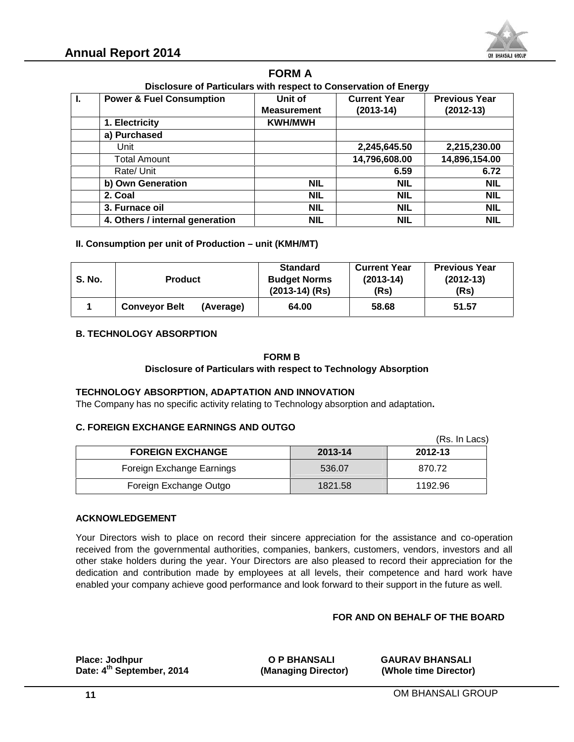

# **FORM A**

| Disclosure of Particulars with respect to Conservation of Energy |  |
|------------------------------------------------------------------|--|
|                                                                  |  |

|                                     |                                                                                                                                                                                             |           | <b>FORM A</b>                                                               |                                            |                                                                                                                                                                                                                                                                                                                                                                                                                                                                   |
|-------------------------------------|---------------------------------------------------------------------------------------------------------------------------------------------------------------------------------------------|-----------|-----------------------------------------------------------------------------|--------------------------------------------|-------------------------------------------------------------------------------------------------------------------------------------------------------------------------------------------------------------------------------------------------------------------------------------------------------------------------------------------------------------------------------------------------------------------------------------------------------------------|
| Ι.                                  |                                                                                                                                                                                             |           | Disclosure of Particulars with respect to Conservation of Energy<br>Unit of | <b>Current Year</b>                        | <b>Previous Year</b>                                                                                                                                                                                                                                                                                                                                                                                                                                              |
| <b>Power &amp; Fuel Consumption</b> |                                                                                                                                                                                             |           | <b>Measurement</b>                                                          | $(2013-14)$                                |                                                                                                                                                                                                                                                                                                                                                                                                                                                                   |
|                                     | 1. Electricity                                                                                                                                                                              |           | <b>KWH/MWH</b>                                                              |                                            | $(2012-13)$                                                                                                                                                                                                                                                                                                                                                                                                                                                       |
|                                     | a) Purchased                                                                                                                                                                                |           |                                                                             |                                            |                                                                                                                                                                                                                                                                                                                                                                                                                                                                   |
|                                     | Unit                                                                                                                                                                                        |           |                                                                             | 2,245,645.50                               | 2,215,230.00                                                                                                                                                                                                                                                                                                                                                                                                                                                      |
|                                     | <b>Total Amount</b>                                                                                                                                                                         |           |                                                                             | 14,796,608.00                              | 14,896,154.00                                                                                                                                                                                                                                                                                                                                                                                                                                                     |
|                                     | Rate/ Unit                                                                                                                                                                                  |           |                                                                             | 6.59                                       | 6.72                                                                                                                                                                                                                                                                                                                                                                                                                                                              |
|                                     | b) Own Generation                                                                                                                                                                           |           | <b>NIL</b>                                                                  | <b>NIL</b>                                 | <b>NIL</b>                                                                                                                                                                                                                                                                                                                                                                                                                                                        |
|                                     | 2. Coal                                                                                                                                                                                     |           | <b>NIL</b>                                                                  | <b>NIL</b>                                 | <b>NIL</b>                                                                                                                                                                                                                                                                                                                                                                                                                                                        |
|                                     | 3. Furnace oil                                                                                                                                                                              |           | <b>NIL</b>                                                                  | <b>NIL</b>                                 | <b>NIL</b>                                                                                                                                                                                                                                                                                                                                                                                                                                                        |
|                                     | 4. Others / internal generation                                                                                                                                                             |           | <b>NIL</b>                                                                  | <b>NIL</b>                                 | <b>NIL</b>                                                                                                                                                                                                                                                                                                                                                                                                                                                        |
|                                     | II. Consumption per unit of Production - unit (KMH/MT)                                                                                                                                      |           | <b>Standard</b>                                                             |                                            | <b>Previous Year</b>                                                                                                                                                                                                                                                                                                                                                                                                                                              |
| <b>S. No.</b>                       | <b>Product</b>                                                                                                                                                                              |           | <b>Budget Norms</b><br>$(2013-14)$ (Rs)                                     | <b>Current Year</b><br>$(2013-14)$<br>(Rs) | $(2012-13)$<br>(Rs)                                                                                                                                                                                                                                                                                                                                                                                                                                               |
| 1                                   | <b>Conveyor Belt</b>                                                                                                                                                                        | (Average) | 64.00                                                                       | 58.68                                      | 51.57                                                                                                                                                                                                                                                                                                                                                                                                                                                             |
|                                     | TECHNOLOGY ABSORPTION, ADAPTATION AND INNOVATION<br>The Company has no specific activity relating to Technology absorption and adaptation.<br><b>C. FOREIGN EXCHANGE EARNINGS AND OUTGO</b> |           |                                                                             |                                            |                                                                                                                                                                                                                                                                                                                                                                                                                                                                   |
|                                     |                                                                                                                                                                                             |           |                                                                             |                                            | (Rs. In Lacs)                                                                                                                                                                                                                                                                                                                                                                                                                                                     |
|                                     | <b>FOREIGN EXCHANGE</b>                                                                                                                                                                     |           | 2013-14                                                                     |                                            | 2012-13                                                                                                                                                                                                                                                                                                                                                                                                                                                           |
|                                     | Foreign Exchange Earnings                                                                                                                                                                   |           | 536.07                                                                      |                                            | 870.72                                                                                                                                                                                                                                                                                                                                                                                                                                                            |
|                                     | Foreign Exchange Outgo                                                                                                                                                                      |           | 1821.58                                                                     |                                            | 1192.96                                                                                                                                                                                                                                                                                                                                                                                                                                                           |
|                                     | <b>ACKNOWLEDGEMENT</b><br>enabled your company achieve good performance and look forward to their support in the future as well.                                                            |           |                                                                             |                                            | Your Directors wish to place on record their sincere appreciation for the assistance and co-operation<br>received from the governmental authorities, companies, bankers, customers, vendors, investors and all<br>other stake holders during the year. Your Directors are also pleased to record their appreciation for the<br>dedication and contribution made by employees at all levels, their competence and hard work have<br>FOR AND ON BEHALF OF THE BOARD |
|                                     | Place: Jodhpur<br>Date: 4 <sup>th</sup> September, 2014                                                                                                                                     |           | <b>O P BHANSALI</b><br>(Managing Director)                                  |                                            | <b>GAURAV BHANSALI</b><br>(Whole time Director)                                                                                                                                                                                                                                                                                                                                                                                                                   |

#### **II. Consumption per unit of Production – unit (KMH/MT)**

| <b>S. No.</b> | <b>Product</b>                  |           | <b>Standard</b><br><b>Budget Norms</b><br>$(2013-14)$ (Rs)      | <b>Current Year</b><br>$(2013-14)$<br>(Rs) | <b>Previous Year</b><br>$(2012-13)$<br>(Rs) |
|---------------|---------------------------------|-----------|-----------------------------------------------------------------|--------------------------------------------|---------------------------------------------|
|               | <b>Conveyor Belt</b>            | (Average) | 64.00                                                           | 58.68                                      | 51.57                                       |
|               | <b>B. TECHNOLOGY ABSORPTION</b> |           |                                                                 |                                            |                                             |
|               |                                 |           | <b>FORM B</b>                                                   |                                            |                                             |
|               |                                 |           | Disclosure of Particulars with respect to Technology Absorption |                                            |                                             |

#### **B. TECHNOLOGY ABSORPTION**

#### **FORM B**

#### **Disclosure of Particulars with respect to Technology Absorption to**

#### **TECHNOLOGY ABSORPTION, ADAPTATION AND INNOVATION**

#### **C. FOREIGN EXCHANGE EARNINGS AND OUTGO C.**

|                           |         | (Rs. In Lacs) |
|---------------------------|---------|---------------|
| <b>FOREIGN EXCHANGE</b>   | 2013-14 | 2012-13       |
| Foreign Exchange Earnings | 536.07  | 870.72        |
| Foreign Exchange Outgo    | 1821.58 | 1192.96       |

#### **ACKNOWLEDGEMENT**

#### **FOR AND ON BEHALF OF THE BOARD**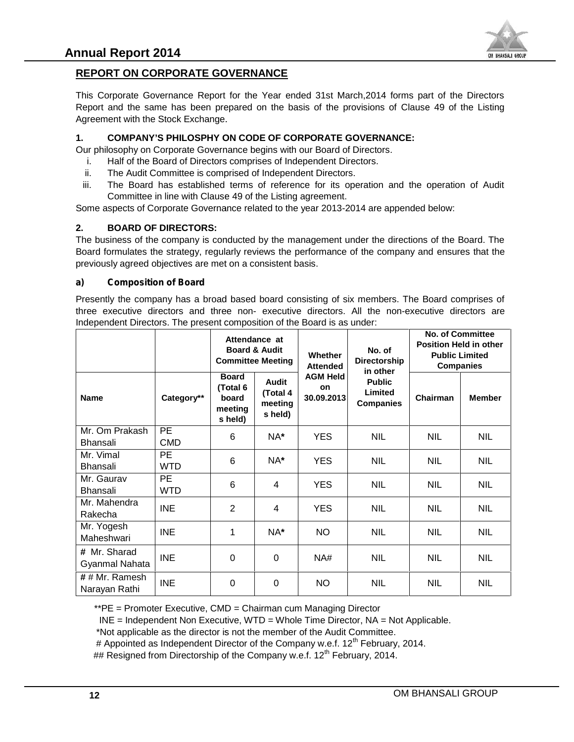

# **REPORT ON CORPORATE GOVERNANCE**

This Corporate Governance Report for the Year ended 31st March,2014 forms part of the Directors Governance Report and the same has been prepared on the basis of the provisions of Clause 49 of the Listing Agreement with the Stock Exchange.

#### **1. COMPANY'S PHILOSPHY ON CODE OF CORPORATE GOVERNANCE:**

- i. Half of the Board of Directors comprises of Independent Directors.
- ii. The Audit Committee is comprised of Independent Directors.
- ii. Half of the Board of Directors comprises of Independent Directors.<br>
ii. Half of the Board of Directors comprises of Independent Directors.<br>
ii. The Audit Committee is comprised of Independent Directors.<br>
iii. The Board Committee in line with Clause 49 of the Listing agreement.

#### **2. BOARD OF DIRECTORS:**

#### *a) Composition of Board Boarda)*

| This Corporate Governance Report for the Year ended 31st March,2014 forms part of the Directors<br>Report and the same has been prepared on the basis of the provisions of Clause 49 of the Listing<br>Agreement with the Stock Exchange.                                       |                                                                                                                                                                                                |                                                         |                                         |                                     |                                                                                                                                                                               |                                           |                         |
|---------------------------------------------------------------------------------------------------------------------------------------------------------------------------------------------------------------------------------------------------------------------------------|------------------------------------------------------------------------------------------------------------------------------------------------------------------------------------------------|---------------------------------------------------------|-----------------------------------------|-------------------------------------|-------------------------------------------------------------------------------------------------------------------------------------------------------------------------------|-------------------------------------------|-------------------------|
| 1.<br>Our philosophy on Corporate Governance begins with our Board of Directors.<br>i.<br>ii.<br>iii.<br>Some aspects of Corporate Governance related to the year 2013-2014 are appended below:                                                                                 | Half of the Board of Directors comprises of Independent Directors.<br>The Audit Committee is comprised of Independent Directors.<br>Committee in line with Clause 49 of the Listing agreement. |                                                         |                                         |                                     | <b>COMPANY'S PHILOSPHY ON CODE OF CORPORATE GOVERNANCE:</b><br>The Board has established terms of reference for its operation and the operation of Audit                      |                                           |                         |
| 2.<br>The business of the company is conducted by the management under the directions of the Board. The<br>Board formulates the strategy, regularly reviews the performance of the company and ensures that the<br>previously agreed objectives are met on a consistent basis.  | <b>BOARD OF DIRECTORS:</b>                                                                                                                                                                     |                                                         |                                         |                                     |                                                                                                                                                                               |                                           |                         |
| a)                                                                                                                                                                                                                                                                              | <b>Composition of Board</b>                                                                                                                                                                    |                                                         |                                         |                                     |                                                                                                                                                                               |                                           |                         |
| Presently the company has a broad based board consisting of six members. The Board comprises of<br>three executive directors and three non-executive directors. All the non-executive directors are<br>Independent Directors. The present composition of the Board is as under: |                                                                                                                                                                                                | Attendance at<br><b>Board &amp; Audit</b>               |                                         |                                     | No. of                                                                                                                                                                        | <b>Position Held in other</b>             | <b>No. of Committee</b> |
|                                                                                                                                                                                                                                                                                 |                                                                                                                                                                                                | <b>Committee Meeting</b>                                |                                         | Whether<br><b>Attended</b>          | Directorship                                                                                                                                                                  | <b>Public Limited</b><br><b>Companies</b> |                         |
| <b>Name</b>                                                                                                                                                                                                                                                                     | Category**                                                                                                                                                                                     | <b>Board</b><br>(Total 6<br>board<br>meeting<br>s held) | Audit<br>(Total 4<br>meeting<br>s held) | <b>AGM Held</b><br>on<br>30.09.2013 | in other<br><b>Public</b><br>Limited<br><b>Companies</b>                                                                                                                      | Chairman                                  | <b>Member</b>           |
| Mr. Om Prakash<br>Bhansali                                                                                                                                                                                                                                                      | PE<br><b>CMD</b>                                                                                                                                                                               | 6                                                       | NA*                                     | <b>YES</b>                          | <b>NIL</b>                                                                                                                                                                    | <b>NIL</b>                                | <b>NIL</b>              |
| Mr. Vimal<br><b>Bhansali</b>                                                                                                                                                                                                                                                    | <b>PE</b><br><b>WTD</b>                                                                                                                                                                        | 6                                                       | NA*                                     | <b>YES</b>                          | <b>NIL</b>                                                                                                                                                                    | <b>NIL</b>                                | <b>NIL</b>              |
| Mr. Gaurav<br><b>Bhansali</b>                                                                                                                                                                                                                                                   | <b>PE</b><br><b>WTD</b>                                                                                                                                                                        | 6                                                       | 4                                       | <b>YES</b>                          | <b>NIL</b>                                                                                                                                                                    | <b>NIL</b>                                | <b>NIL</b>              |
| Mr. Mahendra<br>Rakecha                                                                                                                                                                                                                                                         | <b>INE</b>                                                                                                                                                                                     | $\overline{2}$                                          | 4                                       | <b>YES</b>                          | <b>NIL</b>                                                                                                                                                                    | <b>NIL</b>                                | <b>NIL</b>              |
| Mr. Yogesh<br>Maheshwari                                                                                                                                                                                                                                                        | <b>INE</b>                                                                                                                                                                                     | 1                                                       | NA*                                     | <b>NO</b>                           | <b>NIL</b>                                                                                                                                                                    | <b>NIL</b>                                | <b>NIL</b>              |
| # Mr. Sharad<br>Gyanmal Nahata                                                                                                                                                                                                                                                  | <b>INE</b>                                                                                                                                                                                     | $\Omega$                                                | 0                                       | NA#                                 | <b>NIL</b>                                                                                                                                                                    | <b>NIL</b>                                | <b>NIL</b>              |
| ## Mr. Ramesh<br>Narayan Rathi                                                                                                                                                                                                                                                  | <b>INE</b>                                                                                                                                                                                     | 0                                                       | 0                                       | <b>NO</b>                           | <b>NIL</b>                                                                                                                                                                    | <b>NIL</b>                                | <b>NIL</b>              |
| **PE = Promoter Executive, CMD = Chairman cum Managing Director<br>*Not applicable as the director is not the member of the Audit Committee.                                                                                                                                    |                                                                                                                                                                                                |                                                         |                                         |                                     | $INE = Independent Non Executive, WTD = Whole Time Director, NA = Not Applied.$<br># Appointed as Independent Director of the Company w.e.f. 12 <sup>th</sup> February, 2014. |                                           |                         |

## Resigned from Directorship of the Company w.e.f. 12<sup>th</sup> February, 2014.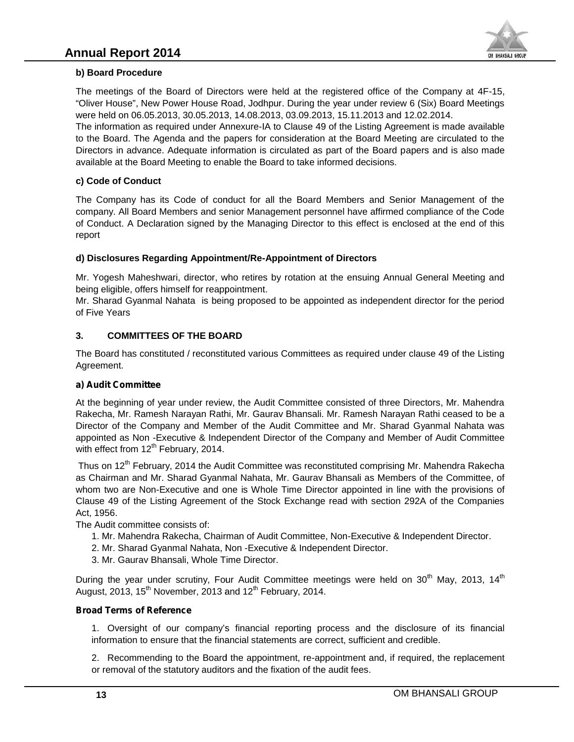

#### **b) Board Procedure**

The meetings of the Board of Directors were held at the registered office of the Company at 4F-15, "Oliver House", New Power House Road, Jodhpur. During the year under review 6 (Six) Board Meetings were held on 06.05.2013, 30.05.2013, 14.08.2013, 03.09.2013, 15.11.2013 and 12.02.2014. meetings of the Board of Directors were held at the registered office of the Company at 4F-15,<br>er House", New Power House Road, Jodhpur. During the year under review 6 (Six) Board Meetings<br>beld on 06.05.2013, 30.05.2013, 1

The information as required under Annexure-IA to Clause 49 of the Listing Agreement is made available to the Board. The Agenda and the papers for consideration at the Board Meeting are circulated to the Directors in advance. Adequate information is circulated as part of the Board papers and is also made<br>available at the Board Meeting to enable the Board to take informed decisions. available at the Board Meeting to enable the Board to take informed decisions.

#### **c) Code of Conduct c)**

The Company has its Code of conduct for all the Board Members and Senior Management of the company. All Board Members and senior Management personnel have affirmed compliance of the Code of Conduct. A Declaration signed by the Managing Director to this effect is enclosed at the end of this report I Board Members and senior Management personnel have affirmed compliance of the Code<br>A Declaration signed by the Managing Director to this effect is enclosed at the end of this<br>res Regarding Appointment/Re-Appointment of D

#### **d) Disclosures Regarding Appointment/Re-Appointment of Directors**

Mr. Yogesh Maheshwari, director, who retires by rotation at the ensuing Annual General Meeting and being eligible, offers himself for reappointment. Mr. Yogesh Maheshwari, director, who retires by rotation at the ensuing Annual General Meeting and<br>being eligible, offers himself for reappointment.<br>Mr. Sharad Gyanmal Nahata is being proposed to be appointed as independe

of Five Years

#### **3. COMMITTEES OF THE BOARD BOARD**

The Board has constituted / reconstituted various Committees as required under clause 49 of the Listing The constituted Agreement.

#### *a) Audit Committee Audit Committee*

At the beginning of year under review, the Audit Committee consisted of three Directors, Mr. Mahendra Rakecha, Mr. Ramesh Narayan Rathi, Mr. Gaurav Bhansali. Mr. Ramesh Narayan Rathi ceased to be a Director of the Company and Member of the Audit Committee and Mr. Sharad Gyanmal Nahata was appointed as Non -Executive & Independent Director of the Company and Member of Audit Committee with effect from  $12<sup>th</sup>$  February, 2014. The meetings of the Board of Directors were held at the registered office of the Company Hamilton Company (Clauser Method no 66.52.013, 15.14.14.2013 and 12.02.2014, and 12.02.2014, and 12.02.2014, and 12.02.2014, and 12.0

Thus on 12<sup>th</sup> February, 2014 the Audit Committee was reconstituted comprising Mr. Mahendra Rakecha as Chairman and Mr. Sharad Gyanmal Nahata, Mr. Gaurav Bhansali as Members of the Committee, of whom two are Non-Executive and one is Whole Time Director appointed in line with the provisions of Clause 49 of the Listing Agreement of the Stock Exchange read with section 292A of the Companies Act, 1956. he beginning of year under review, the Audit Committee consisted of three Directors, Mr. Namen's hare echa, Mr. Ramesh Narayan Rathi Mr. Ramesh Narayan Rathi ceased to be accommittee and Mr. Sharad Gyanmal Nahata was ointe Rakecha, Mr. Ramesh Narayan Rathi, Mr. Gaurav Bhansali. Mr. Rame<br>Director of the Company and Member of the Audit Committee and M<br>appointed as Non -Executive & Independent Director of the Company<br>with effect from 12<sup>th</sup> Fe

The Audit committee consists of:

- 1. Mr. Mahendra Rakecha, Chairman of Audit Committee, Non-Executive & Independent Director.
- 2. Mr. Sharad Gyanmal Nahata, Non -Executive & Independent Director.
- 3. Mr. Gaurav Bhansali, Whole Time Director.

During the year under scrutiny, Four Audit Committee meetings were held on 30<sup>th</sup> May, 2013, 14<sup>th</sup> August, 2013, 15<sup>th</sup> November, 2013 and  $12<sup>th</sup>$  February, 2014. Mr. Gaurav Bhans<br>, the year under s<br>t, 2013, 15<sup>th</sup> Nover

#### *Broad Terms of Reference Terms of Reference*

1. Oversight of our company's financial reporting process and the disclosure of its financial<br>information to ensure that the financial statements are correct, sufficient and credible. information to ensure that the financial statements are correct, sufficient and credible.

2. Recommending to the Board the appointment, re-appointment and, if required, the replacement 2. Recommending to the Board the appointment, re-appointment and, i<br>or removal of the statutory auditors and the fixation of the audit fees.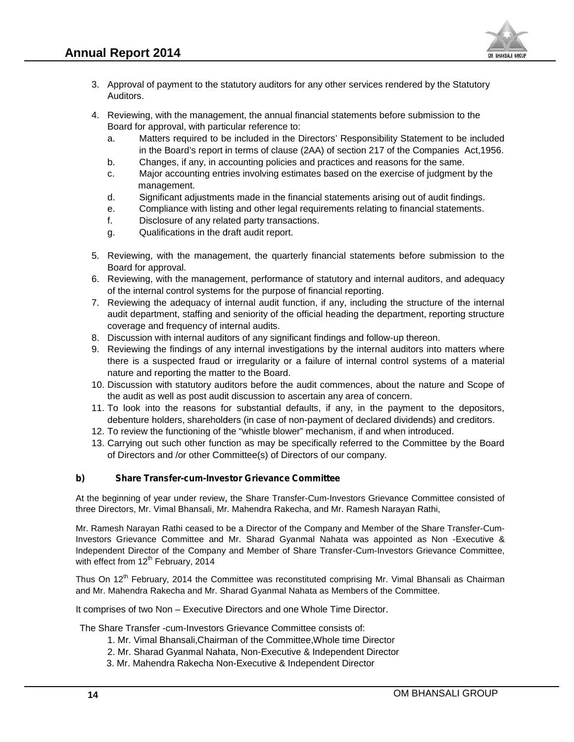

- 3. Approval of payment to the statutory auditors for any other services rendered by the Statutory Auditors.
- 4. Reviewing, with the management, the annual financial statements before submission to the Board for approval, with particular reference to:
- a. Matters required to be included in the Directors' Responsibility Statement to be included in the Board's report in terms of clause (2AA) of section 217 of the Companies Act,1956. Approval of payment to the statutory auditors for any other services rendered by the Statutor<br>Auditors.<br>Reviewing, with the management, the annual financial statements before submission to the<br>Board for approval, with part
	- b. Changes, if any, in accounting policies and practices and reasons for the same.
	- c. Major accounting entries involving estimates based on the exercise of judgment by the management.
	- d. Significant adjustments made in the financial statements arising out of audit findings.
	- e. Compliance with listing and other legal requirements relating to financial statements.
	- f. Disclosure of any related party transactions.
	- g. Cualifications in the draft audit report.
- 5. Reviewing, with the management, the quarterly financial statements before submission to the financial Board for approval.
- 6. Reviewing, with the management, performance of statutory and internal auditors, and adequacy Reviewing, with the management, performance of statutory and internal<br>of the internal control systems for the purpose of financial reporting.
- 7. Reviewing the adequacy of internal audit function, if any, including the structure of the internal audit department, staffing and seniority of the official heading the department, reporting structure coverage and frequency of internal audits. Int adjustments made in the financial statements arising out of audit findings.<br>
The of any related party transactions.<br>
The of any related party transactions.<br>
The management, the quarterly financial statements before sub viewing the adequacy of internal audit function, if any, including<br>dit department, staffing and seniority of the official heading the de<sub>l</sub><br>verage and frequency of internal audits.
- 8. Discussion with internal auditors of any significant findings and follow-up thereon.
- 9. Reviewing the findings of any internal investigations by the internal auditors into matters where there is a suspected fraud or irregularity or a failure of internal control systems of a material nature and reporting the matter to the Board. 9. Reviewing the findings of any internal investigations by the intern<br>there is a suspected fraud or irregularity or a failure of internal<br>nature and reporting the matter to the Board.<br>10. Discussion with statutory auditor
- 10. Discussion with statutory auditors before the audit commences, about the nature and Scope of the audit as well as post audit discussion to ascertain any area of concern.
- 11. To look into the reasons for substantial defaults, if any, in the payment to the depositors, debenture holders, shareholders (in case of non-payment of declared dividends) and creditors.
- 12. To review the functioning of the "whistle blower" mechanism, if and when introduced.
- 13. Carrying out such other function as may be specifically referred to the Committee by the Board of Directors and /or other Committee(s) of Directors of our company.

#### *b) Share Transfer-cum-Investor Grievance Committee Committee*

At the beginning of year under review, the Share Transfer-Cum-Investors Grievance Committee consisted of three Directors, Mr. Vimal Bhansali, Mr. Mahendra Rakecha, and Mr. Ramesh Narayan Rathi,

Mr. Ramesh Narayan Rathi ceased to be a Director of the Company and Member of the Share Transfer-Cum-Investors Grievance Committee and Mr. Sharad Gyanmal Nahata was appointed as Non -Executive & Independent Director of the Company and Member of Share Transfer-Cum-Investors Grievance Committee, with effect from  $12<sup>th</sup>$  February, 2014 At the beginning of year under review, the Share Transfer-Cum-Investors Grievance Committe<br>three Directors, Mr. Vimal Bhansali, Mr. Mahendra Rakecha, and Mr. Ramesh Narayan Rathi,<br>Mr. Ramesh Narayan Rathi ceased to be a Di Approval of payment to the statutory auditors for any other<br>Navidors.<br>
Reviewing, with the management, the annual financial at<br>Board for approval, with particular reference to:<br>
a. Matters required to be included in the Di e Directors, Mr. Vimal Bhansali, Mr. Mahendra Rakecha, and Mr. Ramesh<br>Ramesh Narayan Rathi ceased to be a Director of the Company and Mem<br>stors Grievance Committee and Mr. Sharad Gyanmal Nahata was appendent Director of th

Thus On 12<sup>th</sup> February, 2014 the Committee was reconstituted comprising Mr. Vimal Bhansali as Chairman<br>and Mr. Mahendra Rakecha and Mr. Sharad Gyanmal Nahata as Members of the Committee. and Mr. Mahendra Rakecha and Mr. Sharad Gyanmal Nahata as Members of the Committee.

It comprises of two Non – Executive Directors and one Whole Time Director.

The Share Transfer -cum-Investors Grievance Committee consists of:

- 1. Mr. Vimal Bhansali,Chairman of the Committee,Whole time Director rises of two Non – Executive Directors and one Whole Time Dir<br>nare Transfer -cum-Investors Grievance Committee consists of:<br>1. Mr. Vimal Bhansali,Chairman of the Committee, Whole time I<br>2. Mr. Sharad Gyanmal Nahata, Non-Ex
- 2. Mr. Sharad Gyanmal Nahata, Non-Executive & Independent Director
- 3. Mr. Mahendra Rakecha Non-Executive & Independent Director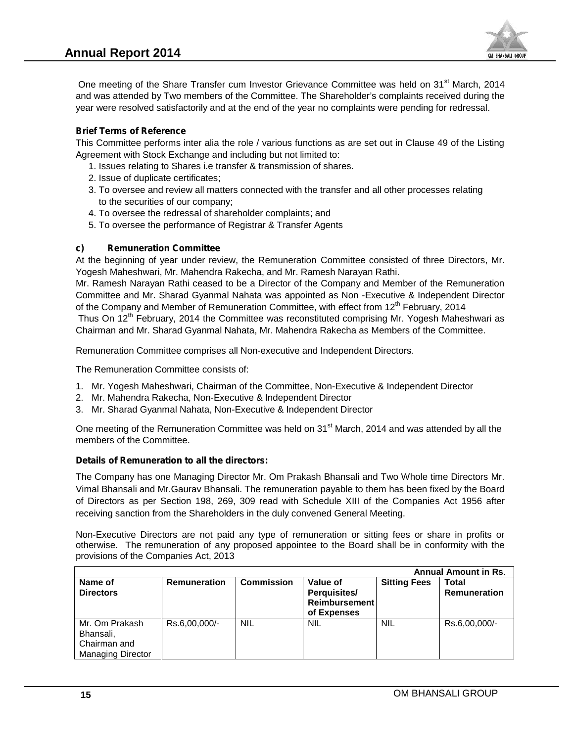

One meeting of the Share Transfer cum Investor Grievance Committee was held on 31<sup>st</sup> March, 2014 and was attended by Two members of the Committee. The Shareholder's complaints received during the year were resolved satisfactorily and at the end of the year no complaints were pending for redressal. One meeting of the Share Transfer cum Investor Grievance Committee was held o<br>and was attended by Two members of the Committee. The Shareholder's complaints<br>/ear were resolved satisfactorily and at the end of the year no c

#### *Brief Terms of Reference of Terms of Reference*

This Committee performs inter alia the role / various functions as are set out in Clause 49 of the Listing Agreement with Stock Exchange and including but not limited to:

- 1. Issues relating to Shares i.e transfer & transmission of shares.
- 2. Issue of duplicate certificates;
- 3. To oversee and review all matters connected with the transfer and all other processes relating to the securities of our company; Committee performs inter alia the role / various functions as a<br>ement with Stock Exchange and including but not limited to:<br>Issues relating to Shares i.e transfer & transmission of shares.<br>Issue of duplicate certificates;<br>
- 4. To oversee the redressal of shareholder complaints; and
- 5. To oversee the performance of Registrar & Transfer Agents

#### *c) Remuneration Committee c)*

At the beginning of year under review, the Remuneration Committee consisted of three Directors, Mr. Yogesh Maheshwari, Mr. Mahendra Rakecha, and Mr. Ramesh Narayan Rathi. s Committee performs inter alia the role / various functions as are set out in Clause 49 of the Listing<br>
reement with Stock Exchange and including but not limited to:<br>
1. Issues relating to Shares i.e transfer & transmissi

Mr. Ramesh Narayan Rathi ceased to be a Director of the Company and Member of the Remuneration Committee and Mr. Sharad Gyanmal Nahata was appointed as Non -Executive & Independent Director of the Company and Member of Remuneration Committee, with effect from  $12<sup>th</sup>$  February, 2014 At the beginning of year under review, the Remuneration Committee consiste Yogesh Maheshwari, Mr. Nahendra Rakecha, and Mr. Ramesh Narayan Rathi.<br>Mr. Ramesh Narayan Rathi ceased to be a Director of the Company and Mem<br>Com

Thus On 12<sup>th</sup> February, 2014 the Committee was reconstituted comprising Mr. Yogesh Maheshwari as Chairman and Mr. Sharad Gyanmal Nahata, Mr. Mahendra Rakecha as Members of the Committee.

Remuneration Committee comprises all Non-executive and Independent Directors.

The Remuneration Committee consists of:

- 1. Mr. Yogesh Maheshwari, Chairman of the Committee, Non-Executive & Independent Director
- 2. Mr. Mahendra Rakecha, Non-Executive & Independent Director
- 3. Mr. Sharad Gyanmal Nahata, Non-Executive & Independent Director

3. Mr. Sharad Gyanmal Nahata, Non-Executive & Independent Director<br>One meeting of the Remuneration Committee was held on 31<sup>st</sup> March, 2014 and was attended by all the members of the Committee.

#### *Details of Remuneration to all the directors: the directors:*

The Company has one Managing Director Mr. Om Prakash Bhansali and Two Whole time Directors Mr. Vimal Bhansali and Mr.Gaurav Bhansali. The remuneration payable to them has been fixed by the Board of Directors as per Section 198, 269, 309 read with Schedule XIII of the Companies Act 1956 after receiving sanction from the Shareholders in the duly convened General Meeting. of the Company and Member of Remuneration Committee, with effect from 12<sup>n</sup> February, 2014<br>
Thus On 12<sup>m</sup> February, 2014 the Committee was reconstituted comprising Mr. Yogesh Maheshwari as<br>
Chairman and Mr. Sharad Gyanmal The Company has one Managing Director Mr. Om Prakash Bhansali and Virmal Bhansali and Mr. Gaurav Bhansali. The remuneration payable to the of Directors as per Section 198, 269, 309 read with Schedule XIII or receiving sanc

Non-Executive Directors are not paid any type of remuneration or sitting fees or share in profits or otherwise. The remuneration of any proposed appointee to the Board shall be in conformity with the provisions of the Companies Act, 2013

|                                                                         |                     |                   |                                                                 | <b>Annual Amount in Rs.</b> |                              |  |
|-------------------------------------------------------------------------|---------------------|-------------------|-----------------------------------------------------------------|-----------------------------|------------------------------|--|
| Name of<br><b>Directors</b>                                             | <b>Remuneration</b> | <b>Commission</b> | Value of<br>Perquisites/<br><b>Reimbursement</b><br>of Expenses | <b>Sitting Fees</b>         | Total<br><b>Remuneration</b> |  |
| Mr. Om Prakash<br>Bhansali,<br>Chairman and<br><b>Managing Director</b> | Rs.6,00,000/-       | <b>NIL</b>        | <b>NIL</b>                                                      | <b>NIL</b>                  | Rs.6,00,000/-                |  |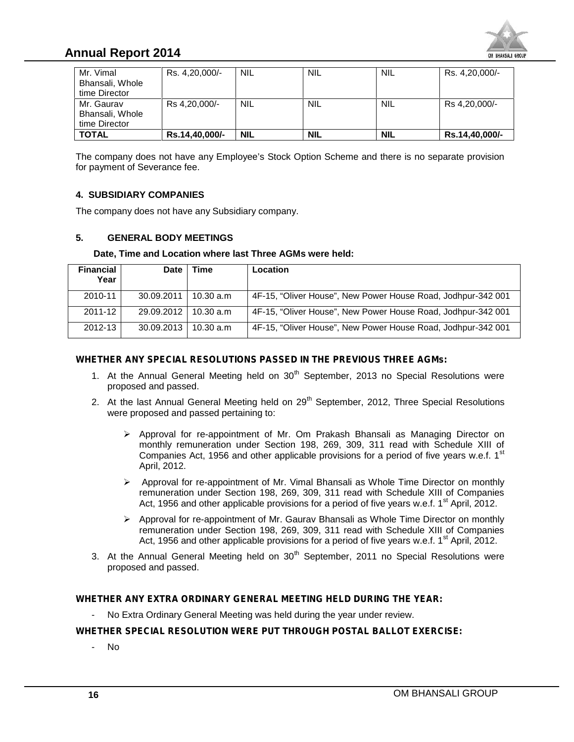

# **Annual Report 2014**

| Mr. Vimal       | Rs. 4,20,000/- | <b>NIL</b> | <b>NIL</b> | <b>NIL</b> | Rs. 4,20,000/- |
|-----------------|----------------|------------|------------|------------|----------------|
| Bhansali, Whole |                |            |            |            |                |
| time Director   |                |            |            |            |                |
| Mr. Gaurav      | Rs 4,20,000/-  | <b>NIL</b> | <b>NIL</b> | <b>NIL</b> | Rs 4,20,000/-  |
| Bhansali, Whole |                |            |            |            |                |
| time Director   |                |            |            |            |                |
| <b>TOTAL</b>    | Rs.14,40,000/- | <b>NIL</b> | <b>NIL</b> | <b>NIL</b> | Rs.14,40,000/- |

#### **4. SUBSIDIARY COMPANIES SUBSIDIARY**

#### **5. GENERAL BODY MEETINGS GENERAL BODY**

#### **Date, Time and Location where last Three AGMs were held:**

| time Director<br>Mr. Gaurav                                                                                                |              |                              |                                         |                                                          |                                                                    |                                                                                                                                                                                                                                                                                                                                                                                            |
|----------------------------------------------------------------------------------------------------------------------------|--------------|------------------------------|-----------------------------------------|----------------------------------------------------------|--------------------------------------------------------------------|--------------------------------------------------------------------------------------------------------------------------------------------------------------------------------------------------------------------------------------------------------------------------------------------------------------------------------------------------------------------------------------------|
| Bhansali, Whole<br>time Director                                                                                           |              | Rs 4,20,000/-                | <b>NIL</b>                              | <b>NIL</b>                                               | <b>NIL</b>                                                         | Rs 4,20,000/-                                                                                                                                                                                                                                                                                                                                                                              |
| <b>TOTAL</b>                                                                                                               |              | Rs.14,40,000/-               | <b>NIL</b>                              | <b>NIL</b>                                               | <b>NIL</b>                                                         | Rs.14,40,000/-                                                                                                                                                                                                                                                                                                                                                                             |
| for payment of Severance fee.<br><b>4. SUBSIDIARY COMPANIES</b><br>The company does not have any Subsidiary company.<br>5. |              | <b>GENERAL BODY MEETINGS</b> |                                         |                                                          |                                                                    | The company does not have any Employee's Stock Option Scheme and there is no separate provision                                                                                                                                                                                                                                                                                            |
|                                                                                                                            |              |                              |                                         | Date, Time and Location where last Three AGMs were held: |                                                                    |                                                                                                                                                                                                                                                                                                                                                                                            |
| <b>Financial</b><br>Year                                                                                                   | <b>Date</b>  | Time                         | Location                                |                                                          |                                                                    |                                                                                                                                                                                                                                                                                                                                                                                            |
| 2010-11                                                                                                                    | 30.09.2011   | 10.30 a.m                    |                                         |                                                          |                                                                    | 4F-15, "Oliver House", New Power House Road, Jodhpur-342 001                                                                                                                                                                                                                                                                                                                               |
|                                                                                                                            |              |                              |                                         |                                                          |                                                                    |                                                                                                                                                                                                                                                                                                                                                                                            |
| 2011-12                                                                                                                    | 29.09.2012   | 10.30 a.m                    |                                         |                                                          |                                                                    | 4F-15, "Oliver House", New Power House Road, Jodhpur-342 001                                                                                                                                                                                                                                                                                                                               |
| 2012-13                                                                                                                    | 30.09.2013   | 10.30 a.m                    |                                         |                                                          | WHETHER ANY SPECIAL RESOLUTIONS PASSED IN THE PREVIOUS THREE AGMs: | 4F-15, "Oliver House", New Power House Road, Jodhpur-342 001<br>1. At the Annual General Meeting held on 30 <sup>th</sup> September, 2013 no Special Resolutions were                                                                                                                                                                                                                      |
| proposed and passed.                                                                                                       | April, 2012. |                              | were proposed and passed pertaining to: |                                                          |                                                                    | 2. At the last Annual General Meeting held on 29 <sup>th</sup> September, 2012, Three Special Resolutions<br>≻ Approval for re-appointment of Mr. Om Prakash Bhansali as Managing Director on<br>monthly remuneration under Section 198, 269, 309, 311 read with Schedule XIII of<br>Companies Act, 1956 and other applicable provisions for a period of five years w.e.f. 1 <sup>st</sup> |
|                                                                                                                            |              |                              |                                         |                                                          |                                                                    | ▶ Approval for re-appointment of Mr. Vimal Bhansali as Whole Time Director on monthly<br>remuneration under Section 198, 269, 309, 311 read with Schedule XIII of Companies<br>Act, 1956 and other applicable provisions for a period of five years w.e.f. 1 <sup>st</sup> April, 2012.                                                                                                    |
|                                                                                                                            |              |                              |                                         |                                                          |                                                                    | > Approval for re-appointment of Mr. Gaurav Bhansali as Whole Time Director on monthly<br>remuneration under Section 198, 269, 309, 311 read with Schedule XIII of Companies<br>Act, 1956 and other applicable provisions for a period of five years w.e.f. 1 <sup>st</sup> April, 2012.                                                                                                   |

#### *WHETHER ANY SPECIAL RESOLUTIONS PASSED IN THE PREVIOUS THREE AGMs: WHETHER ANY*

- 1. At the Annual General Meeting held on 30<sup>th</sup> September, 2013 no Special Resolutions were proposed and passed. proposed and passed.
- 2. At the last Annual General Meeting held on 29<sup>th</sup> September, 2012, Three Special Resolutions were proposed and passed pertaining to: he last Annual General Meeting held on 29<sup>m</sup> September, 2012, Three Special Resolutions<br>e proposed and passed pertaining to:<br>➢ Approval for re-appointment of Mr. Om Prakash Bhansali as Managing Director on
	- monthly remuneration under Section 198, 269, 309, 311 read with Schedule XIII of Companies Act, 1956 and other applicable provisions for a period of five years w.e.f.  $1<sup>st</sup>$ April, 2012. Approval for re-appointment of Mr. Om P<br>monthly remuneration under Section 198,<br>Companies Act, 1956 and other applicable p<br>April, 2012.
	- Approval for re-appointment of Mr. Vimal Bhansali as Whole Time Director on monthly remuneration under Section 198, 269, 309, 311 read with Schedule XIII of Companies remuneration under Section 198, 269, 309, 311 read with Schedule XIII of Companies<br>Act, 1956 and other applicable provisions for a period of five years w.e.f. 1<sup>st</sup> April, 2012. Companies Act, 1956 and other applicable provisions for a<br>April, 2012.<br>Approval for re-appointment of Mr. Vimal Bhansali as Whoremuneration under Section 198, 269, 309, 311 read with<br>Act, 1956 and other applicable provisio
	- $\triangleright$  Approval for re-appointment of Mr. Gaurav Bhansali as Whole Time Director on monthly remuneration under Section 198, 269, 309, 311 read with Schedule XIII of Companies Approval for re-appointment of Mr. Gaurav Bhansali as Whole Time Director on monthly<br>remuneration under Section 198, 269, 309, 311 read with Schedule XIII of Companies<br>Act, 1956 and other applicable provisions for a period
- 3. At the Annual General Meeting held on 30<sup>th</sup> September, 2011 no Special Resolutions were proposed and passed. proposed and passed.

#### *WHETHER ANY EXTRA ORDINARY GENERAL MEETING HELD DURING THE YEAR:*

# WHETHER ANY EXTRA ORDINARY GENERAL MEETING HELD DURING THE YEAR:<br><sup>2</sup> No Extra Ordinary General Meeting was held during the year under review.<br>WHETHER SPECIAL RESOLUTION WERE PUT THROUGH POSTAL BALLOT EXERCISE:

- No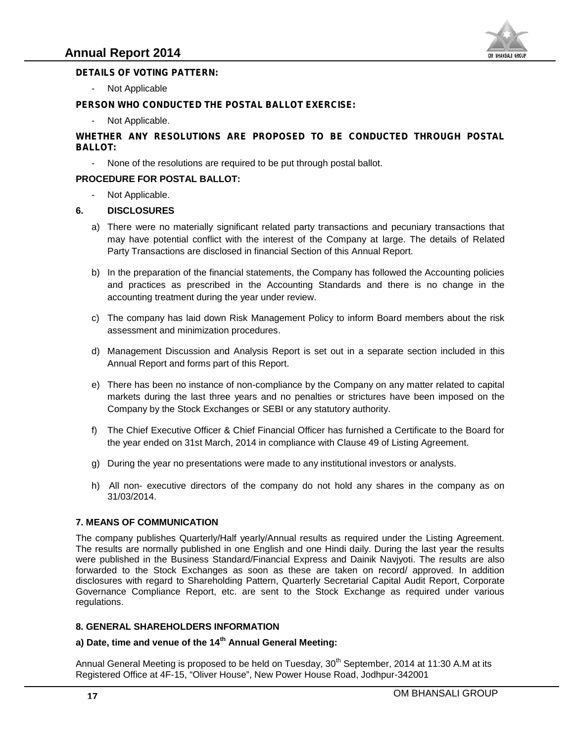

#### *DETAILS OF VOTING PATTERN:*

- Not Applicable Applicable

#### *PERSON WHO CONDUCTED THE POSTAL BALLOT EXERCISE:*

Not Applicable.

# PERSON WHO CONDUCTED THE POSTAL BALLOT EXERCISE:<br>Post Applicable.<br>WHETHER ANY RESOLUTIONS ARE PROPOSED TO BE CONDUCTED THROUGH POSTAL *BALLOT:*

- None of the resolutions are required to be put through postal ballot.

#### **PROCEDURE FOR POSTAL BALLOT: BALLOT:**

Not Applicable.

#### **6. DISCLOSURES**

- a) There were no materially significant related party transactions and pecuniary transactions that may have potential conflict with the interest of the Company at large. The details of Related Party Transactions are disclosed in financial Section of this Annual Report.
- b) In the preparation of the financial statements, the Company has followed the Accounting policies and practices as prescribed in the Accounting Standards and there is no change in the accounting treatment during the year under review.
- c) The company has laid down Risk Management Policy to inform Board members about the risk assessment and minimization procedures.
- d) Management Discussion and Analysis Report is set out in a separate section included in this Annual Report and forms part of this Report.
- e) There has been no instance of non-compliance by the Company on any matter related to capital markets during the last three years and no penalties or strictures have been imposed on the Company by the Stock Exchanges or SEBI or any statutory authority.
- f) The Chief Executive Officer & Chief Financial Officer has furnished a Certificate to the Board for the year ended on 31st March, 2014 in compliance with Clause 49 of Listing Agreement.
- g) During the year no presentations were made to any institutional investors or analysts.
- h) All non- executive directors of the company do not hold any shares in the company as on 31/03/2014.

#### **7. MEANS OF COMMUNICATION MEANS**

The company publishes Quarterly/Half yearly/Annual results as required under the Listing Agreement. The results are normally published in one English and one Hindi daily. During the last year the results were published in the Business Standard/Financial Express and Dainik Navjyoti. The results are also forwarded to the Stock Exchanges as soon as these are taken on record/ approved. In addition disclosures with regard to Shareholding Pattern, Quarterly Secretarial Capital Audit Report, Corporate Governance Compliance Report, etc. are sent to the Stock Exchange as required under various regulations. The were non materially significant related party transactions and pecuniary transactions and Party Transactions are disclosed in financial Section of this Annual Report.<br>
The the preparation of the financial statements, t **PERSON WHO CONDUCTED THE POSTAL BALLOT EXERCISE:**<br>
WHETHER ANY RESOLUTIONS ARE PROPOSED TO BE CONDU<br>
BALLOT:<br>
ING Noplicable.<br>
WHETHER ANY RESOLUTIONS ARE PROPOSED TO BE CONDU<br>
PROCEDURE FOR POSTAL BALLOT:<br>
TOTA Applicabl The company publishes Quarterly/Half yearly/Annual results as required under<br>The results are normally published in one English and one Hindi daily. During<br>were published in the Business Standard/Financial Express and Daini

#### **8. GENERAL SHAREHOLDERS INFORMATION**

# 8. GENERAL SHAREHOLDERS INFORMATION<br>a) Date, time and venue of the 14<sup>th</sup> Annual General Meeting:

Annual General Meeting is proposed to be held on Tuesday, 30<sup>th</sup> September, 2014 at 11:30 A.M at its Registered Office at 4F-15, "Oliver House", New Power House Road, Jodhpur-342001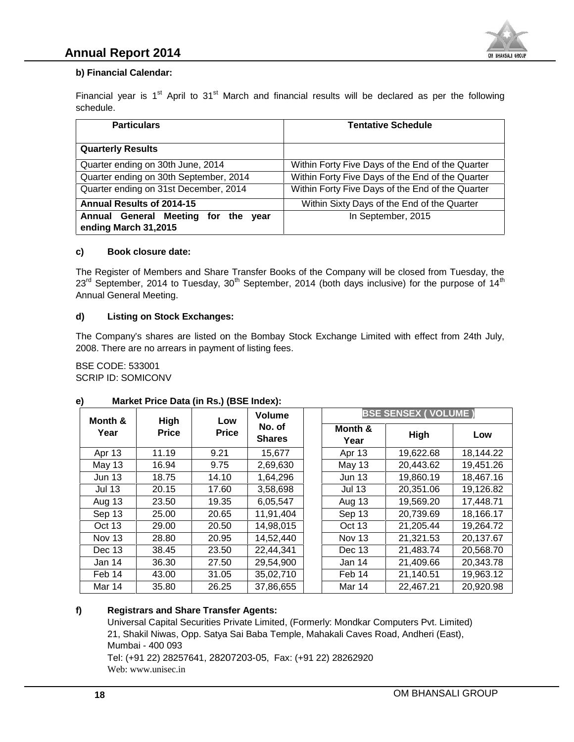#### **b) Financial Calendar: Financial**

| <b>Particulars</b>                       | <b>Tentative Schedule</b>                                                                                                                                                                                                         |
|------------------------------------------|-----------------------------------------------------------------------------------------------------------------------------------------------------------------------------------------------------------------------------------|
| <b>Quarterly Results</b>                 |                                                                                                                                                                                                                                   |
| Quarter ending on 30th June, 2014        | Within Forty Five Days of the End of the Quarter                                                                                                                                                                                  |
| Quarter ending on 30th September, 2014   | Within Forty Five Days of the End of the Quarter                                                                                                                                                                                  |
| Quarter ending on 31st December, 2014    | Within Forty Five Days of the End of the Quarter                                                                                                                                                                                  |
| Annual Results of 2014-15                | Within Sixty Days of the End of the Quarter                                                                                                                                                                                       |
| Annual General Meeting for the year      | In September, 2015                                                                                                                                                                                                                |
| ending March 31,2015                     |                                                                                                                                                                                                                                   |
| Book closure date:<br>C)                 |                                                                                                                                                                                                                                   |
| Annual General Meeting.                  | The Register of Members and Share Transfer Books of the Company will be closed from Tuesday, the<br>$23rd$ September, 2014 to Tuesday, 30 <sup>th</sup> September, 2014 (both days inclusive) for the purpose of 14 <sup>th</sup> |
| <b>Listing on Stock Exchanges:</b><br>d) |                                                                                                                                                                                                                                   |
|                                          | The Company's shares are listed on the Bombay Stock Exchange Limited with effect from 24th July,                                                                                                                                  |

#### **c) Book closure date:**

#### **d) Listing on Stock Exchanges:**

|                                                      | <b>Particulars</b>                                     |                                    |                         | <b>Tentative Schedule</b>                                                                        |                            |                        |  |
|------------------------------------------------------|--------------------------------------------------------|------------------------------------|-------------------------|--------------------------------------------------------------------------------------------------|----------------------------|------------------------|--|
| <b>Quarterly Results</b>                             |                                                        |                                    |                         |                                                                                                  |                            |                        |  |
|                                                      | Quarter ending on 30th June, 2014                      |                                    |                         | Within Forty Five Days of the End of the Quarter                                                 |                            |                        |  |
|                                                      | Quarter ending on 30th September, 2014                 |                                    |                         | Within Forty Five Days of the End of the Quarter                                                 |                            |                        |  |
|                                                      | Quarter ending on 31st December, 2014                  |                                    |                         | Within Forty Five Days of the End of the Quarter                                                 |                            |                        |  |
|                                                      | Annual Results of 2014-15                              |                                    |                         | Within Sixty Days of the End of the Quarter                                                      |                            |                        |  |
|                                                      | Annual General Meeting for the year                    |                                    |                         | In September, 2015                                                                               |                            |                        |  |
| ending March 31,2015                                 |                                                        |                                    |                         |                                                                                                  |                            |                        |  |
|                                                      | <b>Book closure date:</b>                              |                                    |                         |                                                                                                  |                            |                        |  |
|                                                      |                                                        | <b>Listing on Stock Exchanges:</b> |                         |                                                                                                  |                            |                        |  |
|                                                      | 2008. There are no arrears in payment of listing fees. |                                    |                         | The Company's shares are listed on the Bombay Stock Exchange Limited with effect from 24th July, |                            |                        |  |
| <b>BSE CODE: 533001</b><br><b>SCRIP ID: SOMICONV</b> | Market Price Data (in Rs.) (BSE Index):                |                                    | <b>Volume</b>           |                                                                                                  | <b>BSE SENSEX (VOLUME)</b> |                        |  |
| Year                                                 | <b>High</b><br><b>Price</b>                            | Low<br><b>Price</b>                | No. of<br><b>Shares</b> | Month &<br>Year                                                                                  | <b>High</b>                | Low                    |  |
| Apr 13                                               | 11.19                                                  | 9.21                               | 15,677                  | Apr 13                                                                                           | 19,622.68                  | 18,144.22              |  |
| May 13                                               | 16.94                                                  | 9.75                               | 2,69,630                | May 13                                                                                           | 20,443.62                  | 19,451.26              |  |
| <b>Jun 13</b>                                        | 18.75                                                  | 14.10                              | 1,64,296                | <b>Jun 13</b>                                                                                    | 19,860.19                  | 18,467.16              |  |
| <b>Jul 13</b>                                        | 20.15                                                  | 17.60                              | 3,58,698                | <b>Jul 13</b>                                                                                    | 20,351.06                  | 19,126.82              |  |
| Aug 13                                               | 23.50                                                  | 19.35                              | 6,05,547                | Aug 13                                                                                           | 19,569.20                  | 17,448.71              |  |
| Sep 13                                               | 25.00                                                  | 20.65                              | 11,91,404               | Sep 13                                                                                           | 20,739.69                  | 18,166.17              |  |
| Oct 13                                               | 29.00                                                  | 20.50                              | 14,98,015               | Oct 13                                                                                           | 21,205.44                  | 19,264.72              |  |
| Month &<br>Nov 13                                    | 28.80                                                  | 20.95                              | 14,52,440               | Nov 13                                                                                           | 21,321.53                  | 20,137.67              |  |
| Dec 13                                               | 38.45                                                  | 23.50                              | 22,44,341               | Dec 13                                                                                           | 21,483.74                  |                        |  |
| Jan 14                                               | 36.30                                                  | 27.50                              | 29,54,900               | Jan 14                                                                                           | 21,409.66                  | 20,568.70<br>20,343.78 |  |
| Feb 14<br>Mar 14                                     | 43.00<br>35.80                                         | 31.05<br>26.25                     | 35,02,710<br>37,86,655  | Feb 14<br>Mar 14                                                                                 | 21,140.51<br>22,467.21     | 19,963.12<br>20,920.98 |  |

# **e) Market Price Data (in Rs.) (BSE Index):**

#### **f) Registrars and Share Transfer Agents:**

Universal Capital Securities Private Limited, (Formerly: Mondkar Computers Pvt. Limited) 21, Shakil Niwas, Opp. Satya Sai Baba Temple, Mahakali Caves Road, Andheri (East), Mumbai - 400 093 Tel: (+91 22) 28257641, 28207203-05, Fax: (+91 22) 28262920 Web: www.unisec.in Web: www.unisec.in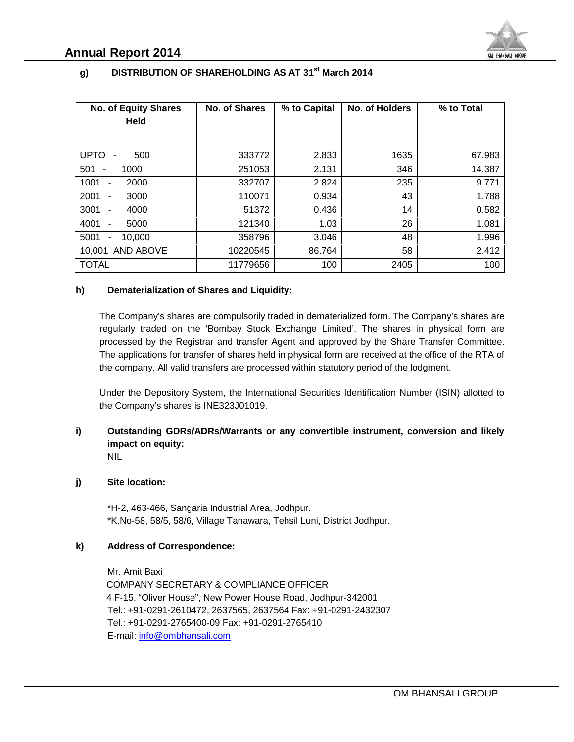

#### **g) DISTRIBUTION OF SHAREHOLDING AS AT 31st March 2014**

| <b>No. of Equity Shares</b><br><b>Held</b>                                                                                                                                                                                                                                  | No. of Shares | % to Capital | No. of Holders                                                                                         | % to Total |
|-----------------------------------------------------------------------------------------------------------------------------------------------------------------------------------------------------------------------------------------------------------------------------|---------------|--------------|--------------------------------------------------------------------------------------------------------|------------|
| UPTO -<br>500                                                                                                                                                                                                                                                               | 333772        | 2.833        | 1635                                                                                                   | 67.983     |
| 1000<br>$501 -$                                                                                                                                                                                                                                                             | 251053        | 2.131        | 346                                                                                                    | 14.387     |
| 1001<br>2000<br>$\overline{\phantom{a}}$                                                                                                                                                                                                                                    | 332707        | 2.824        | 235                                                                                                    | 9.771      |
| 2001<br>3000<br>$\overline{\phantom{a}}$                                                                                                                                                                                                                                    | 110071        | 0.934        | 43                                                                                                     | 1.788      |
| 3001<br>4000                                                                                                                                                                                                                                                                | 51372         | 0.436        | 14                                                                                                     | 0.582      |
| 4001<br>5000<br>$\overline{\phantom{a}}$                                                                                                                                                                                                                                    | 121340        | 1.03         | 26                                                                                                     | 1.081      |
| 5001<br>10,000<br>$\overline{\phantom{a}}$                                                                                                                                                                                                                                  | 358796        | 3.046        | 48                                                                                                     | 1.996      |
| 10,001 AND ABOVE                                                                                                                                                                                                                                                            | 10220545      | 86.764       | 58                                                                                                     | 2.412      |
| <b>TOTAL</b>                                                                                                                                                                                                                                                                | 11779656      | 100          | 2405                                                                                                   | 100        |
| the company. All valid transfers are processed within statutory period of the lodgment.                                                                                                                                                                                     |               |              | The applications for transfer of shares held in physical form are received at the office of the RTA of |            |
| Under the Depository System, the International Securities Identification Number (ISIN) allotted to<br>the Company's shares is INE323J01019.<br>Outstanding GDRs/ADRs/Warrants or any convertible instrument, conversion and likely<br>impact on equity:                     |               |              |                                                                                                        |            |
| <b>NIL</b><br>Site location:                                                                                                                                                                                                                                                |               |              |                                                                                                        |            |
| *H-2, 463-466, Sangaria Industrial Area, Jodhpur.<br>*K.No-58, 58/5, 58/6, Village Tanawara, Tehsil Luni, District Jodhpur.                                                                                                                                                 |               |              |                                                                                                        |            |
| i)<br>j)<br><b>Address of Correspondence:</b><br>k)                                                                                                                                                                                                                         |               |              |                                                                                                        |            |
| Mr. Amit Baxi<br>COMPANY SECRETARY & COMPLIANCE OFFICER<br>4 F-15, "Oliver House", New Power House Road, Jodhpur-342001<br>Tel.: +91-0291-2610472, 2637565, 2637564 Fax: +91-0291-2432307<br>Tel.: +91-0291-2765400-09 Fax: +91-0291-2765410<br>E-mail: info@ombhansali.com |               |              |                                                                                                        |            |
|                                                                                                                                                                                                                                                                             |               |              |                                                                                                        |            |

#### **h) Dematerialization of Shares and Liquidity:**

#### **j) Site location:**

#### **k) Address of Correspondence:**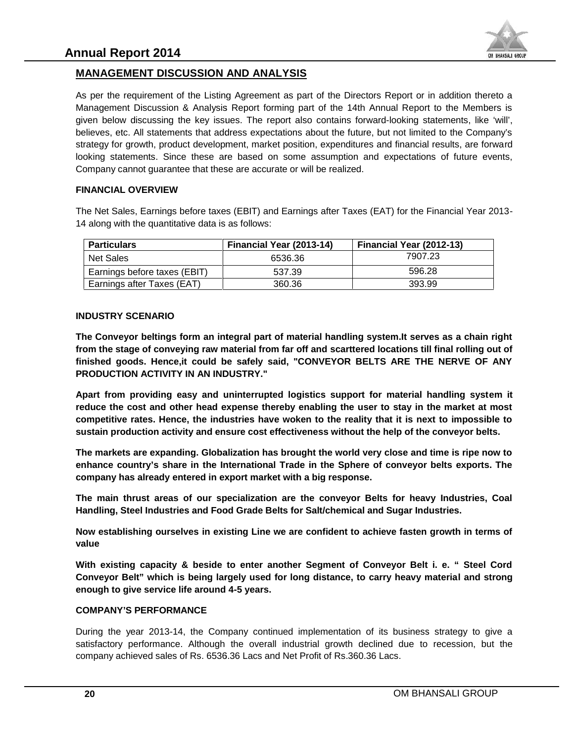

# **MANAGEMENT DISCUSSION AND ANALYSIS DISCUSSION**

As per the requirement of the Listing Agreement as part of the Directors Report or in addition thereto a Management Discussion & Analysis Report forming part of the 14th Annual Report to the Members is given below discussing the key issues. The report also contains forward-looking statements, like 'will', believes, etc. All statements that address expectations about the future, but not limited to the Company's strategy for growth, product development, market position, expenditures and financial results, are forward looking statements. Since these are based on some assumption and expectations of future events, Company cannot guarantee that these are accurate or will be realized. the Listing Agreement as part of the Directors Report or in ad<br>Analysis Report forming part of the 14th Annual Report to the tey issues. The report also contains forward-looking statem<br>s that address expectations about the **MANAGEMENT DISCUSSION AND ANALYSIS**<br>
As per the requirement of the Listing Agreement as part of Mangement Discussion 8. Analysis Report forming part divideo<br>
Discussion Report also report also results and a statements tha

#### **FINANCIAL OVERVIEW**

The Net Sales, Earnings before taxes (EBIT) and Earnings after Taxes (EAT) for the Financial Year 2013-<br>14 along with the quantitative data is as follows: The Net Sales, Earnings before taxes (EBIT) and Ea<br>14 along with the quantitative data is as follows:

| <b>Particulars</b>           | Financial Year (2013-14) | <b>Financial Year (2012-13)</b> |
|------------------------------|--------------------------|---------------------------------|
| Net Sales                    | 6536.36                  | 7907.23                         |
| Earnings before taxes (EBIT) | 537.39                   | 596.28                          |
| Earnings after Taxes (EAT)   | 360.36                   | 393.99                          |

#### **INDUSTRY SCENARIO**

**The Conveyor beltings form an integral part of material handling system.It serves as a chain right from the stage of conveying raw material from far off and scarttered locations till final rolling out of finished goods. Hence,it could be safely said, "CONVEYOR BELTS ARE THE NERVE OF ANY PRODUCTION ACTIVITY IN AN INDUSTRY."**

**Apart from providing easy and uninterrupted logistics support for material handling system it reduce the cost and other head expense thereby enabling the user to stay in the market at most competitive rates. Hence, the industries have woken to the reality that it is next to impossible to sustain production activity and ensure cost effectiveness without the help of the conveyor belts.** The Conveyor beltings form an integral part of material handling system.It serves as a chain right from the stage of conveying raw material from far off and scarttered locations till finial rolling out of finished goods. H The Conveyor beltings form an integral part of material handling system.It server from the stage of conveying raw material from far off and scarttered locations till FINODUCTION ACTIVITY IN AN INDUSTRY."<br>PRODUCTION ACTIVIT

**The markets are expanding. Globalization has brought the world very close and time is ripe now to enhance country's share in the International Trade in the Sphere of conveyor belts exports. The company has already entered in export market with a big response.**

**The main thrust areas of our specialization are the conveyor Belts for heavy Industries, Coal Handling, Steel Industries and Food Grade Belts for Salt/chemical and Sugar Industries.**

**Now establishing ourselves in existing Line we are confident to achieve fasten growth in terms of value**

**With existing capacity & beside to enter another Segment of Conveyor Belt i. e. " Steel Cord Conveyor Belt" which is being largely used for long distance, to carry heavy material and strong enough to give service life around 4-5 years.** capacity & beside to enter another Segment of C<br>" which is being largely used for long distance, to<br>؛ service life around 4-5 years.

#### **COMPANY'S PERFORMANCE**

During the year 2013-14, the Company continued implementation of its business strategy to give a satisfactory performance. Although the overall industrial growth declined due to recession, but the company achieved sales of Rs. 6536.36 Lacs and Net Profit of Rs.360.36 Lacs. During the year 2013-14, the Company continued impleme<br>satisfactory performance. Although the overall industrial grompany achieved sales of Rs. 6536.36 Lacs and Net Profit of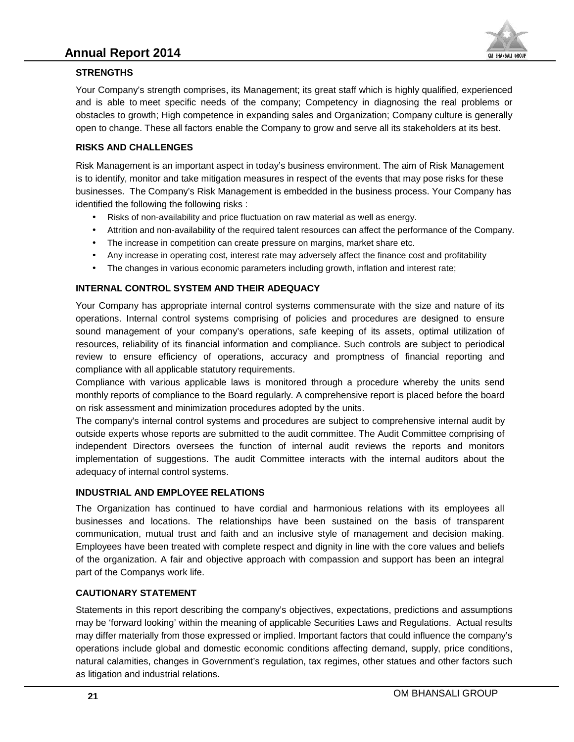

#### **STRENGTHS**

Your Company's strength comprises, its Management; its great staff which is highly qualified, experienced and is able to meet specific needs of the company; Competency in diagnosing the real problems or obstacles to growth; High competence in expanding sales and Organization; Company culture is generally open to change. These all factors enable the Company to grow and serve all its stakeholders at its best. Your Company's strength comprises, its Management; its great staff which is highly qualified, experiencece and is able to meet specific needs of the company; Competency in diagnosing the real problems or obstacles to growt

#### **RISKS AND CHALLENGES**

Risk Management is an important aspect in today's business environment. The aim of Risk Management is to identify, monitor and take mitigation measures in respect of the events that may pose risks for these businesses. The Company's Risk Management is embedded in the business process. Your Company has identified the following the following risks :

- Risks of non-availability and price fluctuation on raw material as well as energy.
- Attrition and non-availability of the required talent resources can affect the performance of the Company.
- The increase in competition can create pressure on margins, market share etc.
- Any increase in operating cost, interest rate may adversely affect the finance cost and profitability
- Any increase in operating cost, interest rate may adversely affect the finance cost and profitabi<br>● The changes in various economic parameters including growth, inflation and interest rate;

#### **INTERNAL CONTROL SYSTEM AND THEIR ADEQUACY INTERNAL**

Your Company has appropriate internal control systems commensurate with the size and nature of its operations. Internal control systems comprising of policies and procedures are designed to ensure sound management of your company's operations, safe keeping of its assets, optimal utilization of resources, reliability of its financial information and compliance. Such controls are subject to periodical review to ensure efficiency of operations, accuracy and promptness of financial reporting and compliance with all applicable statutory requirements. Company has appropriate internal control systems commensurate with the size and nature (tions. Internal control systems comprising of policies and procedures are designed to end management of your company's operations, saf

Compliance with various applicable laws is monitored through a procedure whereby the units send monthly reports of compliance to the Board regularly. A comprehensive report is placed before the board on risk assessment and minimization procedures adopted by the units.

The company's internal control systems and procedures are subject to comprehensive internal audit by outside experts whose reports are submitted to the audit committee. The Audit Committee comprising of independent Directors oversees the function of internal audit reviews the reports and monitors implementation of suggestions. The audit Committee interacts with the internal auditors about the adequacy of internal control systems. The company's internal control systems and procedures are subject to comprehensive internal audit outside experts whose reports are submitted to the audit committee. The Audit Committee comprising independent Directors ove Compliance with various applicable laws is monit<br>monthly reports of compliance to the Board regularly<br>on risk assessment and minimization procedures ad<br>The company's internal control systems and proced<br>outside experts whos

#### **INDUSTRIAL AND EMPLOYEE RELATIONS**

The Organization has continued to have cordial and harmonious relations with its employees all businesses and locations. The relationships have been sustained on the basis of transparent communication, mutual trust and faith and an inclusive style of management and decision making. communication, mutual trust and faith and an inclusive style of management and decision making.<br>Employees have been treated with complete respect and dignity in line with the core values and beliefs of the organization. A fair and objective approach with compassion and support has been an integral part of the Companys work life. Your Company's strength comprises, its Management is great stati which is thriby austilian, experienced and the particule compression and the special version of the stati and the special stati and the special stati and the

#### **CAUTIONARY STATEMENT**

Statements in this report describing the company's objectives, expectations, predictions and assumptions may be 'forward looking' within the meaning of applicable Securities Laws and Regulations. Actual results may differ materially from those expressed or implied. Important factors that could influence the company's operations include global and domestic economic conditions affecting demand, supply, price conditions, natural calamities, changes in Government's regulation, tax regimes, other statues and other factors such as litigation and industrial relations. The Organization has continued to have cordial and harmonious relatic<br>businesses and locations. The relationships have been sustained on<br>communication, mutual trust and faith and an inclusive style of manager<br>Employees hav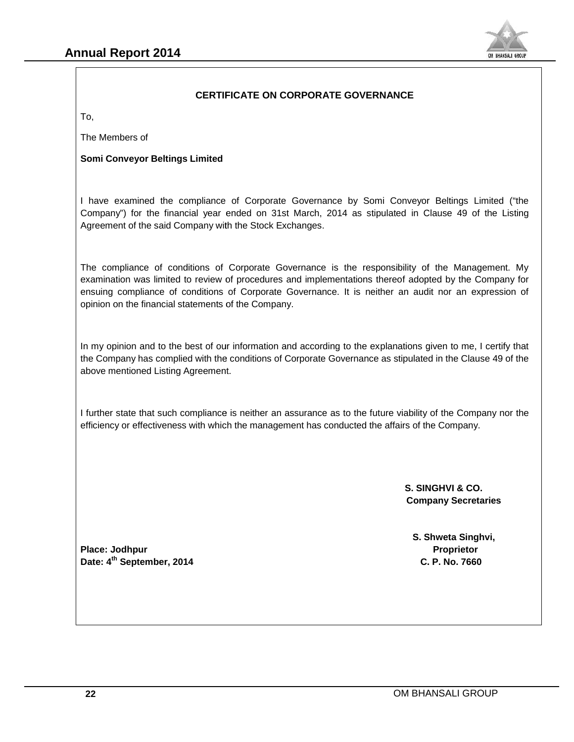

#### **CERTIFICATE ON CORPORATE GOVERNANCE**

To,

The Members of

#### **Somi Conveyor Beltings Limited**

I have examined the compliance of Corporate Governance by Somi Conveyor Beltings Limited ("the Company") for the financial year ended on 31st March, 2014 as stipulated in Clause 49 of the Listing Agreement of the said Company with the Stock Exchanges.

The compliance of conditions of Corporate Governance is the responsibility of the Management. My examination was limited to review of procedures and implementations thereof adopted by the Company for ensuing compliance of conditions of Corporate Governance. It is neither an audit nor an expression of opinion on the financial statements of the Company. r) for the financial year ended on 31st March, 2014 as stipulated in Clause 49 of the Listing<br>int of the said Company with the Stock Exchanges.<br>ppliance of conditions of Corporate Governance is the responsibility of the Ma **Secretaries**<br>
The Members of<br>
The Members of<br>
Somi Conveyor Beltings Limited<br>
In lave examined the compliance of Corporate Governance by Somi Conveyor Beltings Limited<br>
Agroement of the financial year ended on 31st March, I have examined the compliance of Corporate Governance by Somi Conveyor Beltings Limited ("t Company") for the financial year ended on 31st March, 2014 as stipulated in Clause 49 of the Listi<br>Agreement of the said Company

In my opinion and to the best of our information and according to the explanations given to me, I certify that the Company has complied with the conditions of Corporate Governance as stipulated in the Clause 49 of the above mentioned Listing Agreement.

above mentioned Listing Agreement.<br>I further state that such compliance is neither an assurance as to the future viability of the Company nor the I further state that such compliance is neither an assurance as to the future viability of the Company ৷<br>efficiency or effectiveness with which the management has conducted the affairs of the Company.

> **S. SINGHVI & CO. Company Secretaries**

**S. Shweta Singhvi,**

**Place: Jodhpur Proprietor Date: 4th September, 2014 C. P. No. 7660**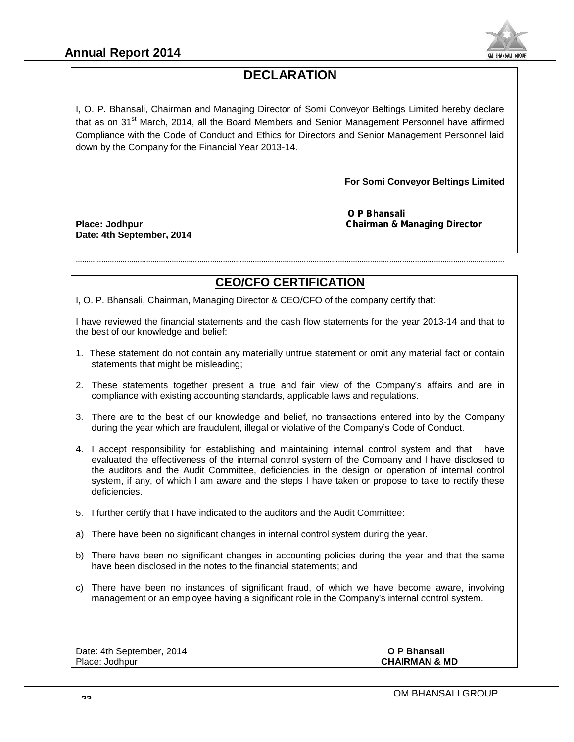

# **DECLARATION**

I, O. P. Bhansali, Chairman and Managing Director of Somi Conveyor Beltings Limited hereby declare I, O. P. Bhansali, Chairman and Managing Director of Somi Conveyor Beltings Limited hereby declare<br>that as on 31<sup>st</sup> March, 2014, all the Board Members and Senior Management Personnel have affirmed Compliance with the Code of Conduct and Ethics for Directors and Senior Management Personnel laid<br>down by the Company for the Financial Year 2013-14. down by the Company for the Financial Year 2013-14.

**For Somi Conveyor Beltings Limited**  $\qquad$ 

**Date: 4th September, 2014 September,** 

*O P Bhansali* **Place: Jodhpur** *Chairman & Managing Director Managing* 

# **CEO/CFO CERTIFICATION**

…………………………………………………………………………………………………………………………………………………………………………………

I, O. P. Bhansali, Chairman, Managing Director & CEO/CFO of the company certify that:

I have reviewed the financial statements and the cash flow statements for the year 2013-14 and that to the best of our knowledge and belief:

- 1. These statement do not contain any materially untrue statement or omit any material fact or contain statements that might be misleading;
- 2. These statements together present a true and fair view of the Company's affairs and are in compliance with existing accounting standards, applicable laws and regulations.
- 3. There are to the best of our knowledge and belief, no transactions entered into by the Company during the year which are fraudulent, illegal or violative of the Company's Code of Conduct.
- 4. I accept responsibility for establishing and maintaining internal control system and that I have evaluated the effectiveness of the internal control system of the Company and I have disclosed to the auditors and the Audit Committee, deficiencies in the design or operation of internal control system, if any, of which I am aware and the steps I have taken or propose to take to rectify these deficiencies. the statements and the cash flow statements for the year 2013-14 and that to best evivewed the financial statement on onto analy materially untrue statement or omit any material fact or contain statements to are inflatemen that as on 31<sup>44</sup> March, 2014, all the Board Members and Senior Management Perchan as on 3<sup>44</sup> March, 2014, all the Board Members and Senior Management Perchannel Perchannel Perchannel Management Perchannel Management Perc
- 5. I further certify that I have indicated to the auditors and the Audit Committee:
- a) There have been no significant changes in internal control system during the year.
- b) There have been no significant changes in accounting policies during the year and that the same have been disclosed in the notes to the financial statements; and
- c) There have been no instances of significant fraud, of which we have become aware, involving management or an employee having a significant role in the Company's internal control system.

Date: 4th September, 2014 **O P Bhansali**

**CHAIRMAN & MD**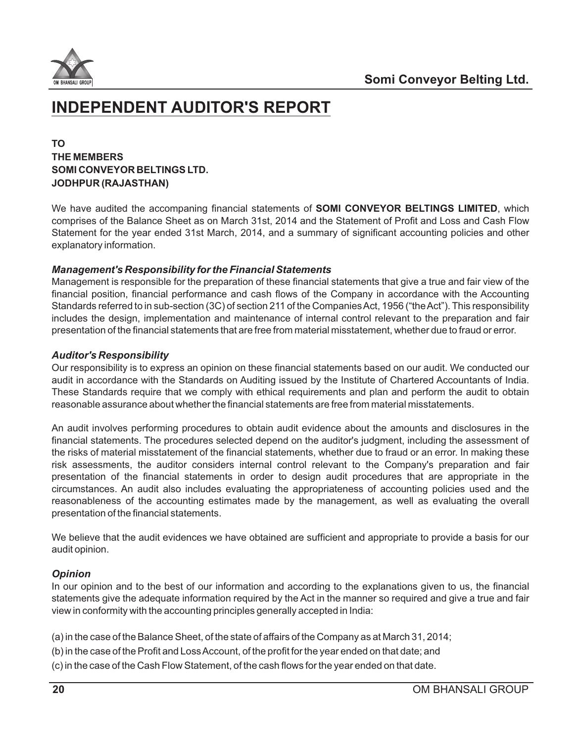

# **INDEPENDENT AUDITOR'S REPORT**

# **TO THE MEMBERS SOMI CONVEYOR BELTINGS LTD. JODHPUR (RAJASTHAN)**

We have audited the accompaning financial statements of **SOMI CONVEYOR BELTINGS LIMITED**, which comprises of the Balance Sheet as on March 31st, 2014 and the Statement of Profit and Loss and Cash Flow Statement for the year ended 31st March, 2014, and a summary of significant accounting policies and other explanatory information.

## *Management's Responsibility for the Financial Statements*

Management is responsible for the preparation of these financial statements that give a true and fair view of the financial position, financial performance and cash flows of the Company in accordance with the Accounting Standards referred to in sub-section (3C) of section 211 of the Companies Act, 1956 ("the Act"). This responsibility includes the design, implementation and maintenance of internal control relevant to the preparation and fair presentation of the financial statements that are free from material misstatement, whether due to fraud or error.

## *Auditor's Responsibility*

Our responsibility is to express an opinion on these financial statements based on our audit. We conducted our audit in accordance with the Standards on Auditing issued by the Institute of Chartered Accountants of India. These Standards require that we comply with ethical requirements and plan and perform the audit to obtain reasonable assurance about whether the financial statements are free from material misstatements.

An audit involves performing procedures to obtain audit evidence about the amounts and disclosures in the financial statements. The procedures selected depend on the auditor's judgment, including the assessment of the risks of material misstatement of the financial statements, whether due to fraud or an error. In making these risk assessments, the auditor considers internal control relevant to the Company's preparation and fair presentation of the financial statements in order to design audit procedures that are appropriate in the circumstances. An audit also includes evaluating the appropriateness of accounting policies used and the reasonableness of the accounting estimates made by the management, as well as evaluating the overall presentation of the financial statements.

We believe that the audit evidences we have obtained are sufficient and appropriate to provide a basis for our audit opinion.

# *Opinion*

In our opinion and to the best of our information and according to the explanations given to us, the financial statements give the adequate information required by the Act in the manner so required and give a true and fair view in conformity with the accounting principles generally accepted in India:

- (a) in the case of the Balance Sheet, of the state of affairs of the Company as at March 31, 2014;
- (b) in the case of the Profit and Loss Account, of the profit for the year ended on that date; and
- (c) in the case of the Cash Flow Statement, of the cash flows for the year ended on that date.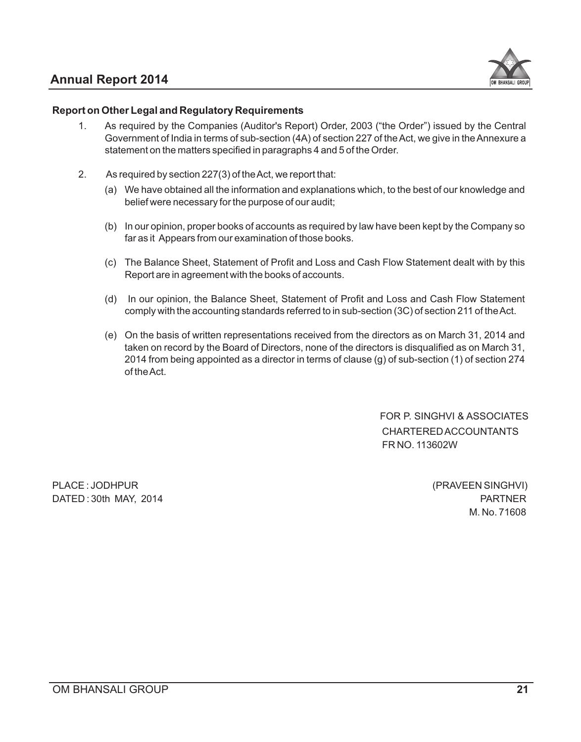# **Annual Report 2014**



#### **Report on Other Legal and Regulatory Requirements**

- As required by the Companies (Auditor's Report) Order, 2003 ("the Order") issued by the Central Government of India in terms of sub-section (4A) of section 227 of the Act, we give in the Annexure a statement on the matters specified in paragraphs 4 and 5 of the Order. 1.
- As required by section 227(3) of the Act, we report that: 2.
	- (a) We have obtained all the information and explanations which, to the best of our knowledge and belief were necessary for the purpose of our audit;
	- (b) In our opinion, proper books of accounts as required by law have been kept by the Company so far as it Appears from our examination of those books.
	- (c) The Balance Sheet, Statement of Profit and Loss and Cash Flow Statement dealt with by this Report are in agreement with the books of accounts.
	- (d) In our opinion, the Balance Sheet, Statement of Profit and Loss and Cash Flow Statement comply with the accounting standards referred to in sub-section (3C) of section 211 of the Act.
	- (e) On the basis of written representations received from the directors as on March 31, 2014 and taken on record by the Board of Directors, none of the directors is disqualified as on March 31, 2014 from being appointed as a director in terms of clause (g) of sub-section (1) of section 274 of the Act.

 FOR P. SINGHVI & ASSOCIATES CHARTERED ACCOUNTANTS FR NO. 113602W

PLACE : JODHPUR (PRAVEEN SINGHVI) DATED : 30th MAY, 2014 PARTNER

M. No. 71608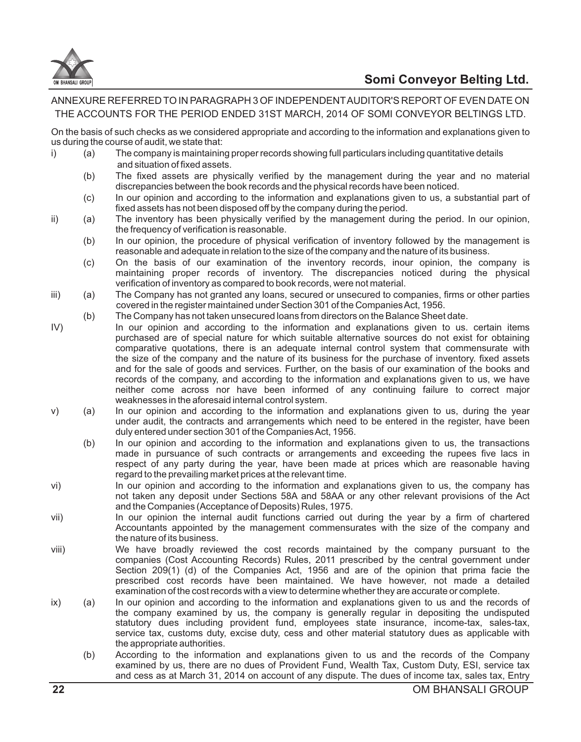

# **Somi Conveyor Belting Ltd.**

ANNEXURE REFERRED TO IN PARAGRAPH 3 OF INDEPENDENTAUDITOR'S REPORTOF EVEN DATE ON THE ACCOUNTS FOR THE PERIOD ENDED 31ST MARCH, 2014 OF SOMI CONVEYOR BELTINGS LTD.

On the basis of such checks as we considered appropriate and according to the information and explanations given to us during the course of audit, we state that:

- i) (a) The company is maintaining proper records showing full particulars including quantitative details and situation of fixed assets.
	- (b) The fixed assets are physically verified by the management during the year and no material discrepancies between the book records and the physical records have been noticed.
	- (c) In our opinion and according to the information and explanations given to us, a substantial part of fixed assets has not been disposed off by the company during the period.
- ii) (a) The inventory has been physically verified by the management during the period. In our opinion, the frequency of verification is reasonable.
	- (b) In our opinion, the procedure of physical verification of inventory followed by the management is reasonable and adequate in relation to the size of the company and the nature of its business.
	- (c) On the basis of our examination of the inventory records, inour opinion, the company is maintaining proper records of inventory. The discrepancies noticed during the physical verification of inventory as compared to book records, were not material.
- iii) (a) The Company has not granted any loans, secured or unsecured to companies, firms or other parties covered in the register maintained under Section 301 of the Companies Act, 1956.
	- (b) The Company has not taken unsecured loans from directors on the Balance Sheet date.
- IV) In our opinion and according to the information and explanations given to us. certain items purchased are of special nature for which suitable alternative sources do not exist for obtaining comparative quotations, there is an adequate internal control system that commensurate with the size of the company and the nature of its business for the purchase of inventory. fixed assets and for the sale of goods and services. Further, on the basis of our examination of the books and records of the company, and according to the information and explanations given to us, we have neither come across nor have been informed of any continuing failure to correct major weaknesses in the aforesaid internal control system.
- v) (a) In our opinion and according to the information and explanations given to us, during the year under audit, the contracts and arrangements which need to be entered in the register, have been duly entered under section 301 of the Companies Act, 1956.
	- (b) In our opinion and according to the information and explanations given to us, the transactions made in pursuance of such contracts or arrangements and exceeding the rupees five lacs in respect of any party during the year, have been made at prices which are reasonable having regard to the prevailing market prices at the relevant time.
- vi) In our opinion and according to the information and explanations given to us, the company has not taken any deposit under Sections 58A and 58AA or any other relevant provisions of the Act and the Companies (Acceptance of Deposits) Rules, 1975.
- vii) In our opinion the internal audit functions carried out during the year by a firm of chartered Accountants appointed by the management commensurates with the size of the company and the nature of its business.
- viii) We have broadly reviewed the cost records maintained by the company pursuant to the companies (Cost Accounting Records) Rules, 2011 prescribed by the central government under Section 209(1) (d) of the Companies Act, 1956 and are of the opinion that prima facie the prescribed cost records have been maintained. We have however, not made a detailed examination of the cost records with a view to determine whether they are accurate or complete.
- ix) (a) In our opinion and according to the information and explanations given to us and the records of the company examined by us, the company is generally regular in depositing the undisputed statutory dues including provident fund, employees state insurance, income-tax, sales-tax, service tax, customs duty, excise duty, cess and other material statutory dues as applicable with the appropriate authorities.
	- (b) According to the information and explanations given to us and the records of the Company examined by us, there are no dues of Provident Fund, Wealth Tax, Custom Duty, ESI, service tax and cess as at March 31, 2014 on account of any dispute. The dues of income tax, sales tax, Entry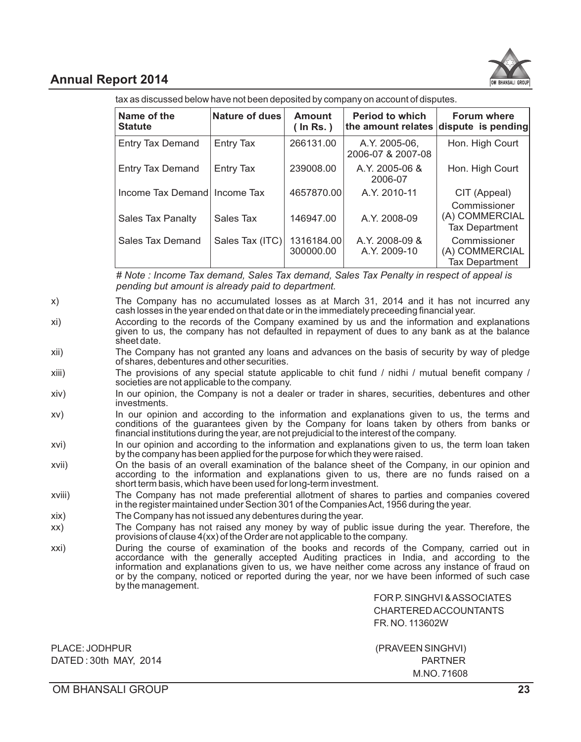

# **Annual Report 2014**

tax as discussed below have not been deposited by company on account of disputes.

| Name of the<br><b>Statute</b> | <b>Nature of dues</b> | <b>Amount</b><br>$($ In Rs. $)$ | <b>Period to which</b>             | <b>Forum where</b><br>the amount relates dispute is pending |
|-------------------------------|-----------------------|---------------------------------|------------------------------------|-------------------------------------------------------------|
| <b>Entry Tax Demand</b>       | Entry Tax             | 266131.00                       | A.Y. 2005-06.<br>2006-07 & 2007-08 | Hon. High Court                                             |
| <b>Entry Tax Demand</b>       | Entry Tax             | 239008.00                       | A.Y. 2005-06 &<br>2006-07          | Hon. High Court                                             |
| Income Tax Demand Income Tax  |                       | 4657870.00                      | A.Y. 2010-11                       | CIT (Appeal)                                                |
| <b>Sales Tax Panalty</b>      | Sales Tax             | 146947.00                       | A.Y. 2008-09                       | Commissioner<br>(A) COMMERCIAL<br><b>Tax Department</b>     |
| <b>Sales Tax Demand</b>       | Sales Tax (ITC)       | 1316184.00<br>300000.00         | A.Y. 2008-09 &<br>A.Y. 2009-10     | Commissioner<br>(A) COMMERCIAL<br><b>Tax Department</b>     |

*# Note : Income Tax demand, Sales Tax demand, Sales Tax Penalty in respect of appeal is pending but amount is already paid to department.*

- x) The Company has no accumulated losses as at March 31, 2014 and it has not incurred any cash losses in the year ended on that date or in the immediately preceeding financial year.
- xi) According to the records of the Company examined by us and the information and explanations given to us, the company has not defaulted in repayment of dues to any bank as at the balance sheet date.
- xii) The Company has not granted any loans and advances on the basis of security by way of pledge of shares, debentures and other securities.
- xiii) The provisions of any special statute applicable to chit fund / nidhi / mutual benefit company / societies are not applicable to the company.
- xiv) In our opinion, the Company is not a dealer or trader in shares, securities, debentures and other investments.
- xv) In our opinion and according to the information and explanations given to us, the terms and conditions of the guarantees given by the Company for loans taken by others from banks or financial institutions during the year, are not prejudicial to the interest of the company.
- xvi) In our opinion and according to the information and explanations given to us, the term loan taken by the company has been applied for the purpose for which they were raised.
- xvii) On the basis of an overall examination of the balance sheet of the Company, in our opinion and according to the information and explanations given to us, there are no funds raised on a short term basis, which have been used for long-term investment.
- xviii) The Company has not made preferential allotment of shares to parties and companies covered in the register maintained under Section 301 of the Companies Act, 1956 during the year.
- xix) The Company has not issued any debentures during the year.
- xx) The Company has not raised any money by way of public issue during the year. Therefore, the provisions of clause 4(xx) of the Order are not applicable to the company.
- xxi) During the course of examination of the books and records of the Company, carried out in accordance with the generally accepted Auditing practices in India, and according to the information and explanations given to us, we have neither come across any instance of fraud on or by the company, noticed or reported during the year, nor we have been informed of such case by the management.

FOR P. SINGHVI & ASSOCIATES CHARTERED ACCOUNTANTS FR. NO. 113602W

| PLACE: JODHPUR        | (PRAVEEN SINGHVI) |
|-----------------------|-------------------|
| DATED: 30th MAY, 2014 | <b>PARTNER</b>    |
|                       | M.NO. 71608       |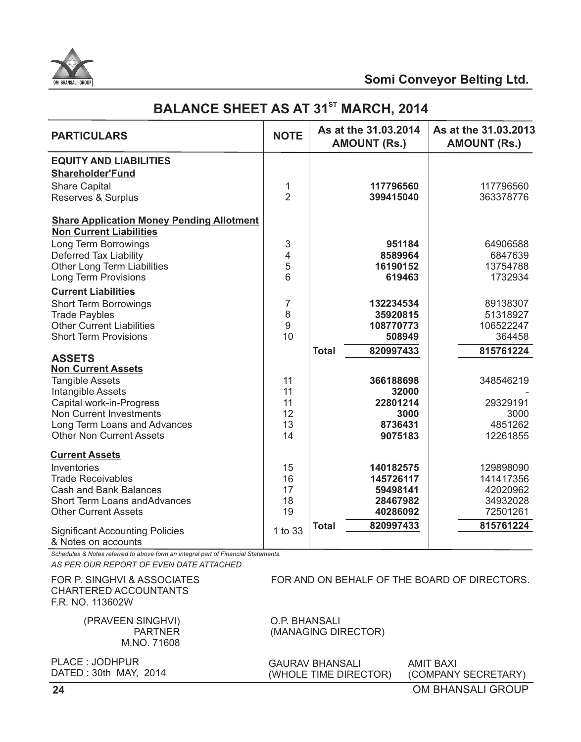

# **BALANCE SHEET AS AT 31<sup>st</sup> MARCH, 2014**

| <b>PARTICULARS</b>                                                                                                            | <b>NOTE</b>    |              | As at the 31.03.2014<br><b>AMOUNT (Rs.)</b> | As at the 31.03.2013<br><b>AMOUNT (Rs.)</b> |
|-------------------------------------------------------------------------------------------------------------------------------|----------------|--------------|---------------------------------------------|---------------------------------------------|
| <b>EQUITY AND LIABILITIES</b><br><b>Shareholder'Fund</b>                                                                      |                |              |                                             |                                             |
| <b>Share Capital</b>                                                                                                          | 1              |              | 117796560                                   | 117796560                                   |
| Reserves & Surplus                                                                                                            | $\overline{2}$ |              | 399415040                                   | 363378776                                   |
| <b>Share Application Money Pending Allotment</b><br><b>Non Current Liabilities</b>                                            |                |              |                                             |                                             |
| Long Term Borrowings                                                                                                          | 3              |              | 951184                                      | 64906588                                    |
| <b>Deferred Tax Liability</b>                                                                                                 | 4              |              | 8589964                                     | 6847639                                     |
| <b>Other Long Term Liabilities</b>                                                                                            | 5              |              | 16190152                                    | 13754788                                    |
| <b>Long Term Provisions</b>                                                                                                   | 6              |              | 619463                                      | 1732934                                     |
| <b>Current Liabilities</b>                                                                                                    |                |              |                                             |                                             |
| <b>Short Term Borrowings</b>                                                                                                  | 7              |              | 132234534                                   | 89138307                                    |
| <b>Trade Paybles</b>                                                                                                          | 8              |              | 35920815                                    | 51318927                                    |
| <b>Other Current Liabilities</b>                                                                                              | 9<br>10        |              | 108770773                                   | 106522247                                   |
| <b>Short Term Provisions</b>                                                                                                  |                |              | 508949                                      | 364458                                      |
| <b>ASSETS</b>                                                                                                                 |                | <b>Total</b> | 820997433                                   | 815761224                                   |
| <b>Non Current Assets</b>                                                                                                     |                |              |                                             |                                             |
| <b>Tangible Assets</b>                                                                                                        | 11             |              | 366188698                                   | 348546219                                   |
| Intangible Assets                                                                                                             | 11             |              | 32000                                       |                                             |
| Capital work-in-Progress                                                                                                      | 11             |              | 22801214                                    | 29329191                                    |
| Non Current Investments                                                                                                       | 12             |              | 3000                                        | 3000                                        |
| Long Term Loans and Advances                                                                                                  | 13             |              | 8736431                                     | 4851262                                     |
| <b>Other Non Current Assets</b>                                                                                               | 14             |              | 9075183                                     | 12261855                                    |
| <b>Current Assets</b>                                                                                                         |                |              |                                             |                                             |
| Inventories                                                                                                                   | 15             |              | 140182575                                   | 129898090                                   |
| <b>Trade Receivables</b>                                                                                                      | 16             |              | 145726117                                   | 141417356                                   |
| <b>Cash and Bank Balances</b>                                                                                                 | 17             |              | 59498141                                    | 42020962                                    |
| <b>Short Term Loans and Advances</b>                                                                                          | 18             |              | 28467982                                    | 34932028                                    |
| <b>Other Current Assets</b>                                                                                                   | 19             |              | 40286092                                    | 72501261                                    |
| <b>Significant Accounting Policies</b><br>& Notes on accounts                                                                 | 1 to 33        | <b>Total</b> | 820997433                                   | 815761224                                   |
| Schedules & Notes referred to above form an integral part of Financial Statements.<br>AS PER OUR REPORT OF EVEN DATE ATTACHED |                |              |                                             |                                             |

FOR P. SINGHVI & ASSOCIATES CHARTERED ACCOUNTANTS F.R. NO. 113602W

> (PRAVEEN SINGHVI) **PARTNER** M.NO. 71608

O.P. BHANSALI (MANAGING DIRECTOR)

FOR AND ON BEHALF OF THE BOARD OF DIRECTORS.

PLACE : JODHPUR DATED : 30th MAY, 2014 GAURAV BHANSALI (WHOLE TIME DIRECTOR) AMIT BAXI (COMPANY SECRETARY)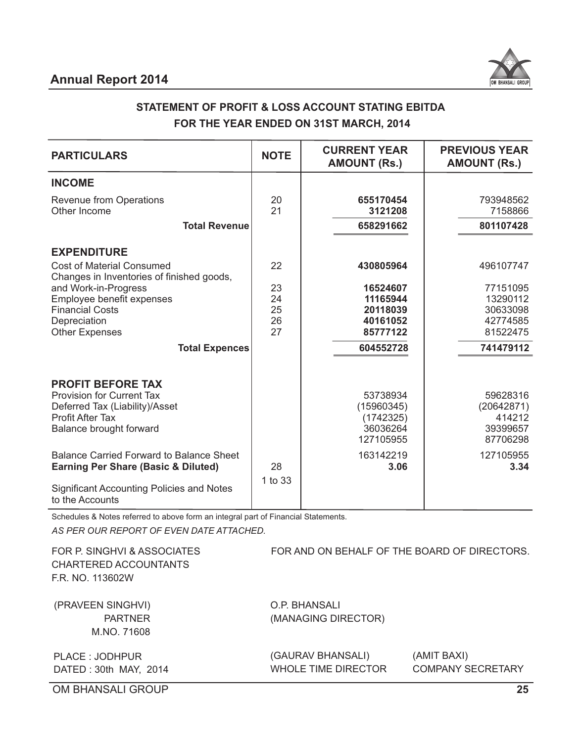

# **STATEMENT OF PROFIT & LOSS ACCOUNT STATING EBITDA FOR THE YEAR ENDED ON 31ST MARCH, 2014**

| <b>PARTICULARS</b>                                                                                                                                                                               | <b>NOTE</b>                | <b>CURRENT YEAR</b><br><b>AMOUNT (Rs.)</b>                                | <b>PREVIOUS YEAR</b><br><b>AMOUNT (Rs.)</b>                           |
|--------------------------------------------------------------------------------------------------------------------------------------------------------------------------------------------------|----------------------------|---------------------------------------------------------------------------|-----------------------------------------------------------------------|
| <b>INCOME</b>                                                                                                                                                                                    |                            |                                                                           |                                                                       |
| <b>Revenue from Operations</b><br>Other Income                                                                                                                                                   | 20<br>21                   | 655170454<br>3121208                                                      | 793948562<br>7158866                                                  |
| <b>Total Revenue</b>                                                                                                                                                                             |                            | 658291662                                                                 | 801107428                                                             |
| <b>EXPENDITURE</b><br><b>Cost of Material Consumed</b>                                                                                                                                           | 22                         | 430805964                                                                 | 496107747                                                             |
| Changes in Inventories of finished goods,<br>and Work-in-Progress<br>Employee benefit expenses<br><b>Financial Costs</b><br>Depreciation<br><b>Other Expenses</b><br><b>Total Expences</b>       | 23<br>24<br>25<br>26<br>27 | 16524607<br>11165944<br>20118039<br>40161052<br>85777122<br>604552728     | 77151095<br>13290112<br>30633098<br>42774585<br>81522475<br>741479112 |
| <b>PROFIT BEFORE TAX</b><br><b>Provision for Current Tax</b><br>Deferred Tax (Liability)/Asset<br><b>Profit After Tax</b><br>Balance brought forward<br>Balance Carried Forward to Balance Sheet |                            | 53738934<br>(15960345)<br>(1742325)<br>36036264<br>127105955<br>163142219 | 59628316<br>(20642871)<br>414212<br>39399657<br>87706298<br>127105955 |
| <b>Earning Per Share (Basic &amp; Diluted)</b><br><b>Significant Accounting Policies and Notes</b><br>to the Accounts                                                                            | 28<br>1 to 33              | 3.06                                                                      | 3.34                                                                  |

Schedules & Notes referred to above form an integral part of Financial Statements.

*AS PER OUR REPORT OF EVEN DATE ATTACHED.*

FOR P. SINGHVI & ASSOCIATES CHARTERED ACCOUNTANTS F.R. NO. 113602W

(PRAVEEN SINGHVI) PARTNER M.NO. 71608 O.P. BHANSALI (MANAGING DIRECTOR)

FOR AND ON BEHALF OF THE BOARD OF DIRECTORS.

PLACE : JODHPUR DATED : 30th MAY, 2014 (GAURAV BHANSALI) WHOLE TIME DIRECTOR (AMIT BAXI) COMPANY SECRETARY

OM BHANSALI GROUP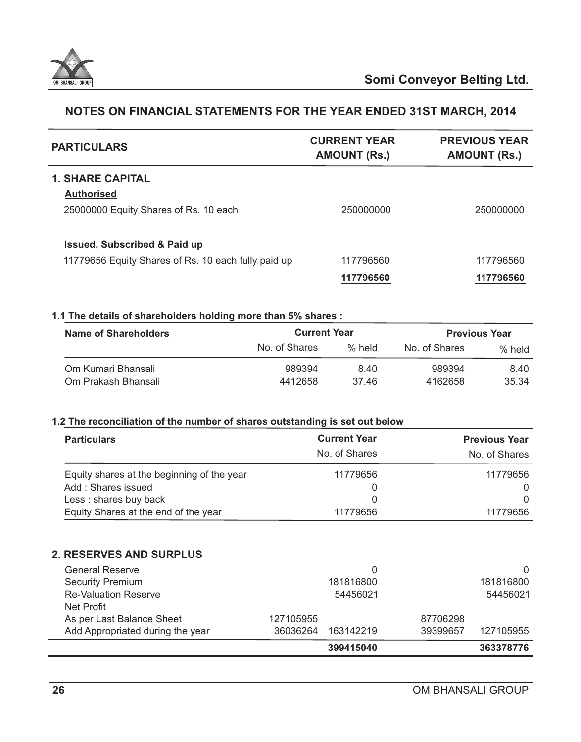

| <b>PARTICULARS</b>                                  | <b>CURRENT YEAR</b><br><b>AMOUNT (Rs.)</b> | <b>PREVIOUS YEAR</b><br><b>AMOUNT (Rs.)</b> |
|-----------------------------------------------------|--------------------------------------------|---------------------------------------------|
| <b>1. SHARE CAPITAL</b>                             |                                            |                                             |
| <b>Authorised</b>                                   |                                            |                                             |
| 25000000 Equity Shares of Rs. 10 each               | 250000000                                  | 250000000                                   |
| <b>Issued, Subscribed &amp; Paid up</b>             |                                            |                                             |
| 11779656 Equity Shares of Rs. 10 each fully paid up | 117796560                                  | 117796560                                   |
|                                                     | 117796560                                  | 117796560                                   |

# **1.1 The details of shareholders holding more than 5% shares :**

| <b>Name of Shareholders</b> |               | <b>Current Year</b> |               | <b>Previous Year</b> |
|-----------------------------|---------------|---------------------|---------------|----------------------|
|                             | No. of Shares | $%$ held            | No. of Shares | $%$ held             |
| Om Kumari Bhansali          | 989394        | 8.40                | 989394        | 8.40                 |
| Om Prakash Bhansali         | 4412658       | 3746                | 4162658       | 35.34                |

#### **1.2 The reconciliation of the number of shares outstanding is set out below**

| <b>Particulars</b>                         | <b>Current Year</b><br>No. of Shares | <b>Previous Year</b><br>No. of Shares |
|--------------------------------------------|--------------------------------------|---------------------------------------|
| Equity shares at the beginning of the year | 11779656                             | 11779656                              |
| Add: Shares issued                         |                                      |                                       |
| Less: shares buy back                      |                                      |                                       |
| Equity Shares at the end of the year       | 11779656                             | 11779656                              |

#### **2. RESERVES AND SURPLUS**

| <b>General Reserve</b><br><b>Security Premium</b><br><b>Re-Valuation Reserve</b><br>Net Profit |                       | 181816800<br>54456021 |                      | $\Omega$<br>181816800<br>54456021 |
|------------------------------------------------------------------------------------------------|-----------------------|-----------------------|----------------------|-----------------------------------|
| As per Last Balance Sheet<br>Add Appropriated during the year                                  | 127105955<br>36036264 | 163142219             | 87706298<br>39399657 | 127105955                         |
|                                                                                                |                       | 399415040             |                      | 363378776                         |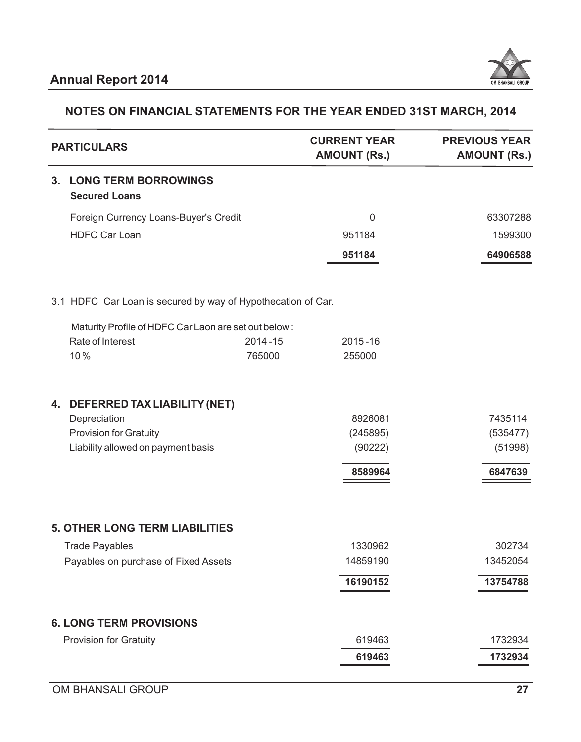

|                | <b>PARTICULARS</b>                                           |             | <b>CURRENT YEAR</b><br><b>AMOUNT (Rs.)</b> | <b>PREVIOUS YEAR</b><br><b>AMOUNT (Rs.)</b> |
|----------------|--------------------------------------------------------------|-------------|--------------------------------------------|---------------------------------------------|
| 3 <sub>1</sub> | <b>LONG TERM BORROWINGS</b><br><b>Secured Loans</b>          |             |                                            |                                             |
|                | Foreign Currency Loans-Buyer's Credit                        |             | $\mathbf 0$                                | 63307288                                    |
|                | <b>HDFC Car Loan</b>                                         |             | 951184                                     | 1599300                                     |
|                |                                                              |             | 951184                                     | 64906588                                    |
|                | 3.1 HDFC Car Loan is secured by way of Hypothecation of Car. |             |                                            |                                             |
|                | Maturity Profile of HDFC Car Laon are set out below:         |             |                                            |                                             |
|                | Rate of Interest                                             | $2014 - 15$ | $2015 - 16$                                |                                             |
|                | 10%                                                          | 765000      | 255000                                     |                                             |
| 4.             | DEFERRED TAX LIABILITY (NET)                                 |             |                                            |                                             |
|                | Depreciation                                                 |             | 8926081                                    | 7435114                                     |
|                | <b>Provision for Gratuity</b>                                |             | (245895)                                   | (535477)                                    |
|                | Liability allowed on payment basis                           |             | (90222)                                    | (51998)                                     |
|                |                                                              |             | 8589964                                    | 6847639                                     |
|                | <b>5. OTHER LONG TERM LIABILITIES</b>                        |             |                                            |                                             |
|                | <b>Trade Payables</b>                                        |             | 1330962                                    | 302734                                      |
|                | Payables on purchase of Fixed Assets                         |             | 14859190                                   | 13452054                                    |
|                |                                                              |             | 16190152                                   | 13754788                                    |
|                |                                                              |             |                                            |                                             |
|                | <b>6. LONG TERM PROVISIONS</b>                               |             |                                            |                                             |
|                | <b>Provision for Gratuity</b>                                |             | 619463                                     | 1732934                                     |
|                |                                                              |             | 619463                                     | 1732934                                     |
|                |                                                              |             |                                            |                                             |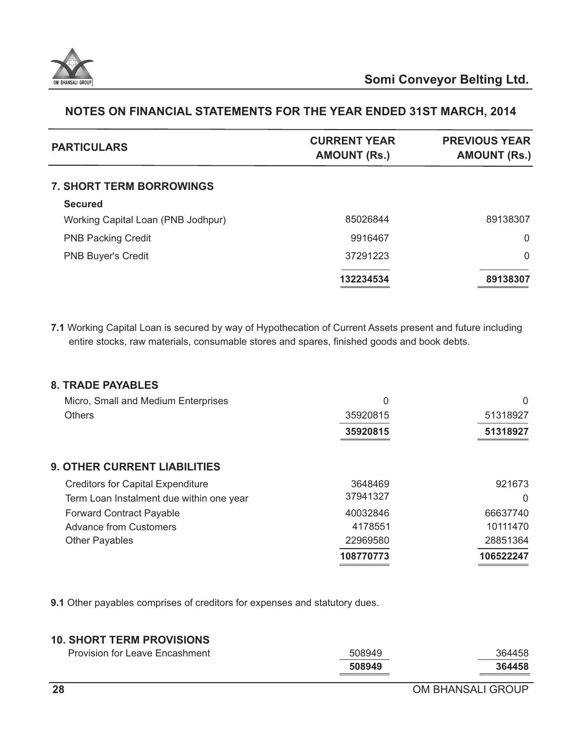

| <b>PARTICULARS</b>                 | <b>CURRENT YEAR</b><br><b>AMOUNT (Rs.)</b> | <b>PREVIOUS YEAR</b><br><b>AMOUNT (Rs.)</b> |
|------------------------------------|--------------------------------------------|---------------------------------------------|
| <b>7. SHORT TERM BORROWINGS</b>    |                                            |                                             |
| <b>Secured</b>                     |                                            |                                             |
| Working Capital Loan (PNB Jodhpur) | 85026844                                   | 89138307                                    |
| <b>PNB Packing Credit</b>          | 9916467                                    | $\Omega$                                    |
| <b>PNB Buyer's Credit</b>          | 37291223                                   | $\Omega$                                    |
|                                    | 132234534                                  | 89138307                                    |

**7.1** Working Capital Loan is secured by way of Hypothecation of Current Assets present and future including entire stocks, raw materials, consumable stores and spares, finished goods and book debts.

| <b>8. TRADE PAYABLES</b>                 |           |           |
|------------------------------------------|-----------|-----------|
| Micro, Small and Medium Enterprises      | 0         | $\Omega$  |
| <b>Others</b>                            | 35920815  | 51318927  |
|                                          | 35920815  | 51318927  |
| <b>9. OTHER CURRENT LIABILITIES</b>      |           |           |
| <b>Creditors for Capital Expenditure</b> | 3648469   | 921673    |
| Term Loan Instalment due within one year | 37941327  | $\Omega$  |
| <b>Forward Contract Payable</b>          | 40032846  | 66637740  |
| <b>Advance from Customers</b>            | 4178551   | 10111470  |
| <b>Other Payables</b>                    | 22969580  | 28851364  |
|                                          | 108770773 | 106522247 |

**9.1** Other payables comprises of creditors for expenses and statutory dues.

# **10. SHORT TERM PROVISIONS**

| <b>Provision for Leave Encashment</b> | 508949 | 364458 |
|---------------------------------------|--------|--------|
|                                       | 508949 | 364458 |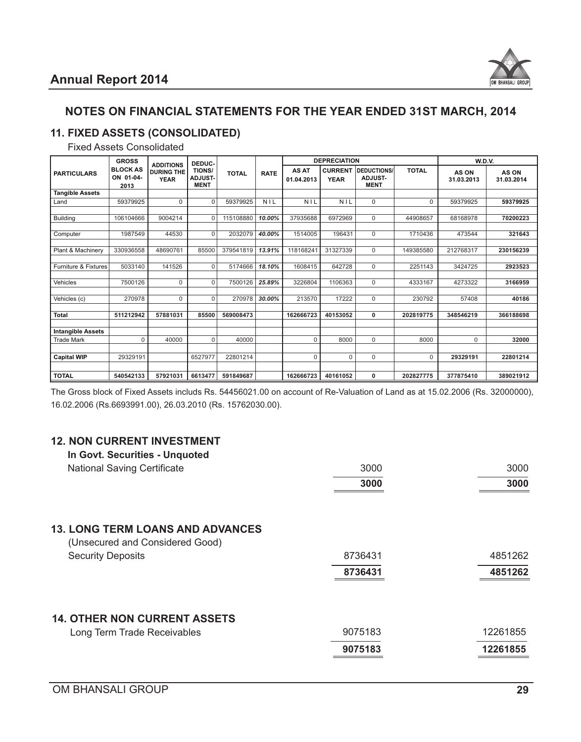

# **11. FIXED ASSETS (CONSOLIDATED)**

# Fixed Assets Consolidated

|                                 | <b>GROSS</b><br><b>DEPRECIATION</b><br>DEDUC-<br><b>ADDITIONS</b> |                                  |                                         | <b>W.D.V.</b> |             |                            |                               |                                              |              |                     |                     |
|---------------------------------|-------------------------------------------------------------------|----------------------------------|-----------------------------------------|---------------|-------------|----------------------------|-------------------------------|----------------------------------------------|--------------|---------------------|---------------------|
| <b>PARTICULARS</b>              | <b>BLOCK AS</b><br>ON 01-04-<br>2013                              | <b>DURING THE</b><br><b>YEAR</b> | TIONS/<br><b>ADJUST-</b><br><b>MENT</b> | <b>TOTAL</b>  | <b>RATE</b> | <b>AS AT</b><br>01.04.2013 | <b>CURRENT</b><br><b>YEAR</b> | DEDUCTIONS/<br><b>ADJUST-</b><br><b>MENT</b> | <b>TOTAL</b> | AS ON<br>31.03.2013 | AS ON<br>31.03.2014 |
| <b>Tangible Assets</b>          |                                                                   |                                  |                                         |               |             |                            |                               |                                              |              |                     |                     |
| Land                            | 59379925                                                          | 0                                | 0                                       | 59379925      | <b>NIL</b>  | <b>NIL</b>                 | NIL                           | $\mathbf 0$                                  | $\mathbf 0$  | 59379925            | 59379925            |
|                                 |                                                                   |                                  |                                         |               |             |                            |                               |                                              |              |                     |                     |
| <b>Building</b>                 | 106104666                                                         | 9004214                          | $\Omega$                                | 115108880     | 10.00%      | 37935688                   | 6972969                       | $\Omega$                                     | 44908657     | 68168978            | 70200223            |
|                                 |                                                                   |                                  |                                         |               |             |                            |                               |                                              |              |                     |                     |
| Computer                        | 1987549                                                           | 44530                            | $\Omega$                                | 2032079       | 40.00%      | 1514005                    | 196431                        | $\Omega$                                     | 1710436      | 473544              | 321643              |
|                                 |                                                                   |                                  |                                         |               |             |                            |                               |                                              |              |                     |                     |
| Plant & Machinery               | 330936558                                                         | 48690761                         | 85500                                   | 379541819     | 13.91%      | 118168241                  | 31327339                      | $\Omega$                                     | 149385580    | 212768317           | 230156239           |
|                                 |                                                                   |                                  |                                         |               |             |                            |                               |                                              |              |                     |                     |
| <b>Furniture &amp; Fixtures</b> | 5033140                                                           | 141526                           | 0                                       | 5174666       | 18.10%      | 1608415                    | 642728                        | $\Omega$                                     | 2251143      | 3424725             | 2923523             |
|                                 | 7500126                                                           | 0                                | $\Omega$                                | 7500126       | 25.89%      | 3226804                    | 1106363                       | $\mathbf 0$                                  | 4333167      | 4273322             | 3166959             |
| Vehicles                        |                                                                   |                                  |                                         |               |             |                            |                               |                                              |              |                     |                     |
| Vehicles (c)                    | 270978                                                            | 0                                | $\Omega$                                | 270978        | 30.00%      | 213570                     | 17222                         | $\Omega$                                     | 230792       | 57408               | 40186               |
|                                 |                                                                   |                                  |                                         |               |             |                            |                               |                                              |              |                     |                     |
| <b>Total</b>                    | 511212942                                                         | 57881031                         | 85500                                   | 569008473     |             | 162666723                  | 40153052                      | 0                                            | 202819775    | 348546219           | 366188698           |
|                                 |                                                                   |                                  |                                         |               |             |                            |                               |                                              |              |                     |                     |
| <b>Intangible Assets</b>        |                                                                   |                                  |                                         |               |             |                            |                               |                                              |              |                     |                     |
| <b>Trade Mark</b>               | $\Omega$                                                          | 40000                            | $\Omega$                                | 40000         |             | $\Omega$                   | 8000                          | $\Omega$                                     | 8000         | $\Omega$            | 32000               |
|                                 |                                                                   |                                  |                                         |               |             |                            |                               |                                              |              |                     |                     |
| <b>Capital WIP</b>              | 29329191                                                          |                                  | 6527977                                 | 22801214      |             | $\mathbf 0$                | $\Omega$                      | $\Omega$                                     | $\Omega$     | 29329191            | 22801214            |
|                                 |                                                                   |                                  |                                         |               |             |                            |                               |                                              |              |                     |                     |
| <b>TOTAL</b>                    | 540542133                                                         | 57921031                         | 6613477                                 | 591849687     |             | 162666723                  | 40161052                      | $\bf{0}$                                     | 202827775    | 377875410           | 389021912           |

The Gross block of Fixed Assets includs Rs. 54456021.00 on account of Re-Valuation of Land as at 15.02.2006 (Rs. 32000000), 16.02.2006 (Rs.6693991.00), 26.03.2010 (Rs. 15762030.00).

# **12. NON CURRENT INVESTMENT**

| In Govt. Securities - Unquoted                                             |         |          |
|----------------------------------------------------------------------------|---------|----------|
| <b>National Saving Certificate</b>                                         | 3000    | 3000     |
|                                                                            | 3000    | 3000     |
| <b>13. LONG TERM LOANS AND ADVANCES</b><br>(Unsecured and Considered Good) |         |          |
| <b>Security Deposits</b>                                                   | 8736431 | 4851262  |
|                                                                            | 8736431 | 4851262  |
| <b>14. OTHER NON CURRENT ASSETS</b>                                        |         |          |
| Long Term Trade Receivables                                                | 9075183 | 12261855 |
|                                                                            | 9075183 | 12261855 |
|                                                                            |         |          |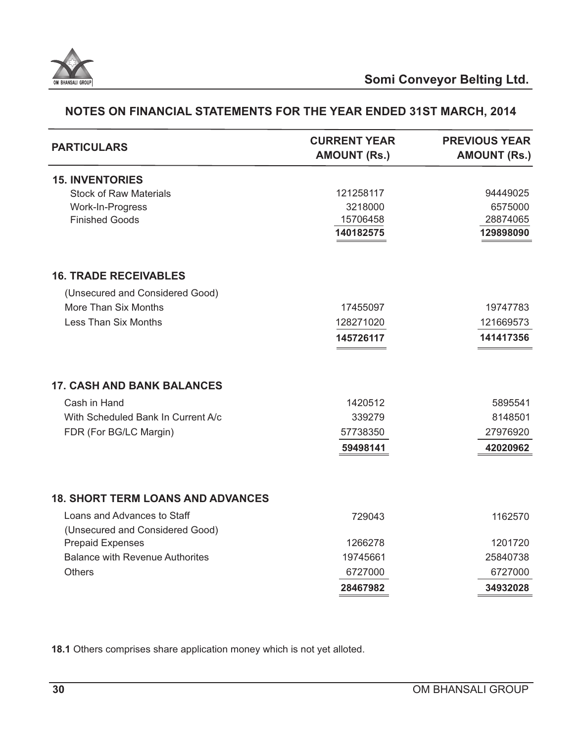

| <b>PARTICULARS</b>                       | <b>CURRENT YEAR</b><br><b>AMOUNT (Rs.)</b> | <b>PREVIOUS YEAR</b><br><b>AMOUNT (Rs.)</b> |
|------------------------------------------|--------------------------------------------|---------------------------------------------|
| <b>15. INVENTORIES</b>                   |                                            |                                             |
| <b>Stock of Raw Materials</b>            | 121258117                                  | 94449025                                    |
| Work-In-Progress                         | 3218000                                    | 6575000                                     |
| <b>Finished Goods</b>                    | 15706458                                   | 28874065                                    |
|                                          | 140182575                                  | 129898090                                   |
| <b>16. TRADE RECEIVABLES</b>             |                                            |                                             |
| (Unsecured and Considered Good)          |                                            |                                             |
| More Than Six Months                     | 17455097                                   | 19747783                                    |
| <b>Less Than Six Months</b>              | 128271020                                  | 121669573                                   |
|                                          | 145726117                                  | 141417356                                   |
| <b>17. CASH AND BANK BALANCES</b>        |                                            |                                             |
| Cash in Hand                             | 1420512                                    | 5895541                                     |
| With Scheduled Bank In Current A/c       | 339279                                     | 8148501                                     |
| FDR (For BG/LC Margin)                   | 57738350                                   | 27976920                                    |
|                                          | 59498141                                   | 42020962                                    |
| <b>18. SHORT TERM LOANS AND ADVANCES</b> |                                            |                                             |
| Loans and Advances to Staff              | 729043                                     | 1162570                                     |
| (Unsecured and Considered Good)          |                                            |                                             |
| <b>Prepaid Expenses</b>                  | 1266278                                    | 1201720                                     |
| <b>Balance with Revenue Authorites</b>   | 19745661                                   | 25840738                                    |
| <b>Others</b>                            | 6727000                                    | 6727000                                     |
|                                          | 28467982                                   | 34932028                                    |
|                                          |                                            |                                             |

**18.1** Others comprises share application money which is not yet alloted.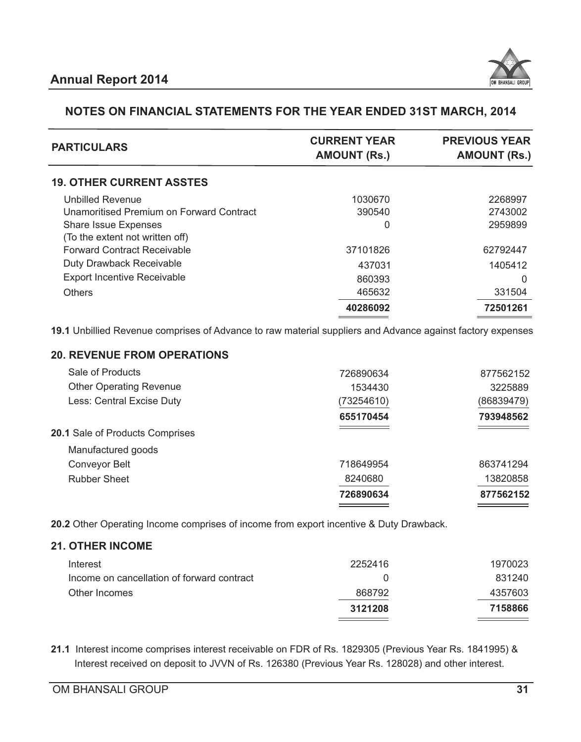

| <b>PARTICULARS</b>                       | <b>CURRENT YEAR</b><br><b>AMOUNT (Rs.)</b> | <b>PREVIOUS YEAR</b><br><b>AMOUNT (Rs.)</b> |
|------------------------------------------|--------------------------------------------|---------------------------------------------|
| <b>19. OTHER CURRENT ASSTES</b>          |                                            |                                             |
| <b>Unbilled Revenue</b>                  | 1030670                                    | 2268997                                     |
| Unamoritised Premium on Forward Contract | 390540                                     | 2743002                                     |
| <b>Share Issue Expenses</b>              | 0                                          | 2959899                                     |
| (To the extent not written off)          |                                            |                                             |
| <b>Forward Contract Receivable</b>       | 37101826                                   | 62792447                                    |
| Duty Drawback Receivable                 | 437031                                     | 1405412                                     |
| <b>Export Incentive Receivable</b>       | 860393                                     | 0                                           |
| <b>Others</b>                            | 465632                                     | 331504                                      |
|                                          | 40286092                                   | 72501261                                    |
|                                          |                                            |                                             |

**19.1** Unbillied Revenue comprises of Advance to raw material suppliers and Advance against factory expenses

## **20. REVENUE FROM OPERATIONS**

| 726890634  | 877562152  |
|------------|------------|
| 8240680    | 13820858   |
| 718649954  | 863741294  |
|            |            |
|            |            |
| 655170454  | 793948562  |
| (73254610) | (86839479) |
| 1534430    | 3225889    |
| 726890634  | 877562152  |
|            |            |

**20.2** Other Operating Income comprises of income from export incentive & Duty Drawback.

#### **21. OTHER INCOME**

|                                            | 3121208 | 7158866 |
|--------------------------------------------|---------|---------|
| Other Incomes                              | 868792  | 4357603 |
| Income on cancellation of forward contract |         | 831240  |
| Interest                                   | 2252416 | 1970023 |

**21.1** Interest income comprises interest receivable on FDR of Rs. 1829305 (Previous Year Rs. 1841995) & Interest received on deposit to JVVN of Rs. 126380 (Previous Year Rs. 128028) and other interest.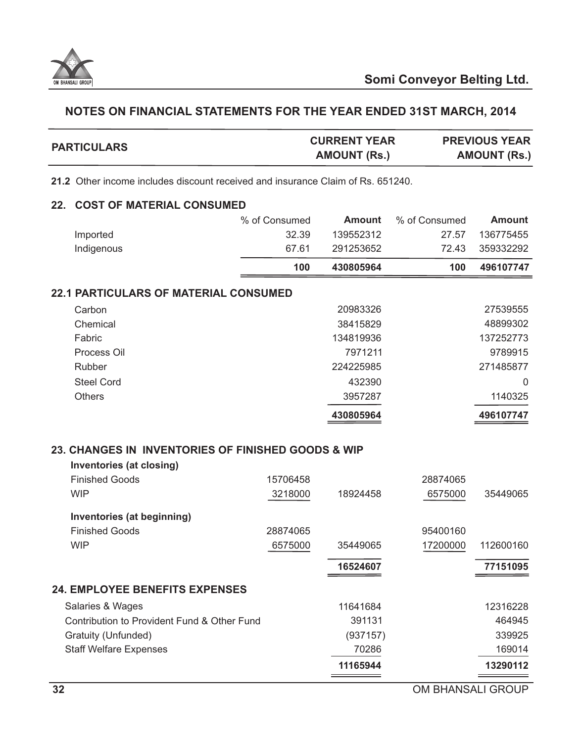

| <b>PARTICULARS</b> | <b>CURRENT YEAR</b> | <b>PREVIOUS YEAR</b> |
|--------------------|---------------------|----------------------|
|                    | <b>AMOUNT (Rs.)</b> | <b>AMOUNT (Rs.)</b>  |

**21.2** Other income includes discount received and insurance Claim of Rs. 651240.

#### **22. COST OF MATERIAL CONSUMED**

| Imported   | % of Consumed<br>32.39 | Amount<br>139552312 | % of Consumed<br>27.57 | Amount<br>136775455 |
|------------|------------------------|---------------------|------------------------|---------------------|
| Indigenous | 67.61                  | 291253652           | 72.43                  | 359332292           |
|            | 100                    | 430805964           | 100                    | 496107747           |
|            |                        |                     |                        |                     |

## **22.1 PARTICULARS OF MATERIAL CONSUMED**

|                   | 430805964 | 496107747 |
|-------------------|-----------|-----------|
| <b>Others</b>     | 3957287   | 1140325   |
| <b>Steel Cord</b> | 432390    | $\Omega$  |
| <b>Rubber</b>     | 224225985 | 271485877 |
| Process Oil       | 7971211   | 9789915   |
| Fabric            | 134819936 | 137252773 |
| Chemical          | 38415829  | 48899302  |
| Carbon            | 20983326  | 27539555  |
|                   |           |           |

# **23. CHANGES IN INVENTORIES OF FINISHED GOODS & WIP**

| Inventories (at closing)                    |          |          |          |           |
|---------------------------------------------|----------|----------|----------|-----------|
| <b>Finished Goods</b>                       | 15706458 |          | 28874065 |           |
| <b>WIP</b>                                  | 3218000  | 18924458 | 6575000  | 35449065  |
| <b>Inventories (at beginning)</b>           |          |          |          |           |
| <b>Finished Goods</b>                       | 28874065 |          | 95400160 |           |
| <b>WIP</b>                                  | 6575000  | 35449065 | 17200000 | 112600160 |
|                                             |          | 16524607 |          | 77151095  |
| <b>24. EMPLOYEE BENEFITS EXPENSES</b>       |          |          |          |           |
| Salaries & Wages                            |          | 11641684 |          | 12316228  |
| Contribution to Provident Fund & Other Fund |          | 391131   |          | 464945    |
| Gratuity (Unfunded)                         |          | (937157) |          | 339925    |
| <b>Staff Welfare Expenses</b>               |          | 70286    |          | 169014    |
|                                             |          | 11165944 |          | 13290112  |
|                                             |          |          |          |           |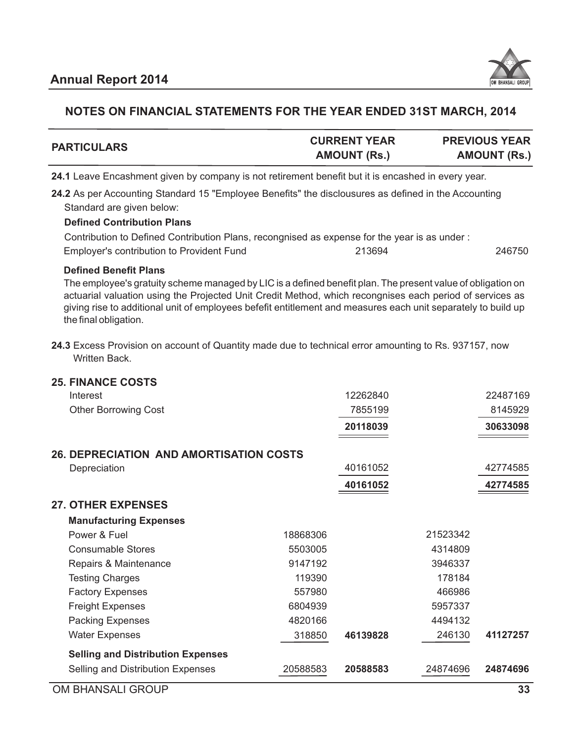

| <b>PARTICULARS</b> | <b>CURRENT YEAR</b> | <b>PREVIOUS YEAR</b> |
|--------------------|---------------------|----------------------|
|                    | <b>AMOUNT (Rs.)</b> | <b>AMOUNT (Rs.)</b>  |
|                    |                     |                      |

**24.1** Leave Encashment given by company is not retirement benefit but it is encashed in every year.

**24.2** As per Accounting Standard 15 "Employee Benefits" the disclousures as defined in the Accounting Standard are given below:

#### **Defined Contribution Plans**

| Contribution to Defined Contribution Plans, recongnised as expense for the year is as under : |        |        |
|-----------------------------------------------------------------------------------------------|--------|--------|
| <b>Employer's contribution to Provident Fund</b>                                              | 213694 | 246750 |

#### **Defined Benefit Plans**

The employee's gratuity scheme managed by LIC is a defined benefit plan. The present value of obligation on actuarial valuation using the Projected Unit Credit Method, which recongnises each period of services as giving rise to additional unit of employees befefit entitlement and measures each unit separately to build up the final obligation.

**24.3** Excess Provision on account of Quantity made due to technical error amounting to Rs. 937157, now Written Back.

| <b>25. FINANCE COSTS</b>                       |          |          |          |          |
|------------------------------------------------|----------|----------|----------|----------|
| Interest                                       |          | 12262840 |          | 22487169 |
| <b>Other Borrowing Cost</b>                    |          | 7855199  |          | 8145929  |
|                                                |          | 20118039 |          | 30633098 |
| <b>26. DEPRECIATION AND AMORTISATION COSTS</b> |          |          |          |          |
| Depreciation                                   |          | 40161052 |          | 42774585 |
|                                                |          | 40161052 |          | 42774585 |
| <b>27. OTHER EXPENSES</b>                      |          |          |          |          |
| <b>Manufacturing Expenses</b>                  |          |          |          |          |
| Power & Fuel                                   | 18868306 |          | 21523342 |          |
| <b>Consumable Stores</b>                       | 5503005  |          | 4314809  |          |
| Repairs & Maintenance                          | 9147192  |          | 3946337  |          |
| <b>Testing Charges</b>                         | 119390   |          | 178184   |          |
| <b>Factory Expenses</b>                        | 557980   |          | 466986   |          |
| <b>Freight Expenses</b>                        | 6804939  |          | 5957337  |          |
| <b>Packing Expenses</b>                        | 4820166  |          | 4494132  |          |
| <b>Water Expenses</b>                          | 318850   | 46139828 | 246130   | 41127257 |
| <b>Selling and Distribution Expenses</b>       |          |          |          |          |
| Selling and Distribution Expenses              | 20588583 | 20588583 | 24874696 | 24874696 |
| _ _ _ _ _                                      |          |          |          |          |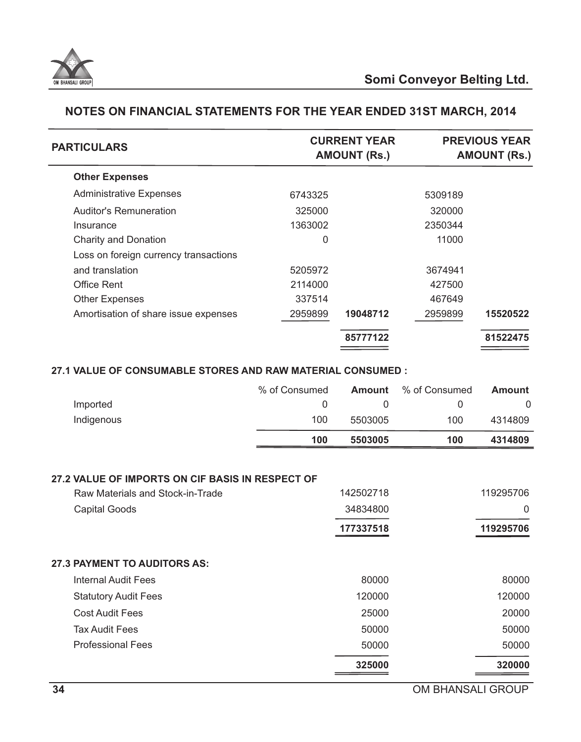

| <b>PARTICULARS</b>                    |         | <b>CURRENT YEAR</b><br><b>AMOUNT (Rs.)</b> |         | <b>PREVIOUS YEAR</b><br><b>AMOUNT (Rs.)</b> |
|---------------------------------------|---------|--------------------------------------------|---------|---------------------------------------------|
| <b>Other Expenses</b>                 |         |                                            |         |                                             |
| <b>Administrative Expenses</b>        | 6743325 |                                            | 5309189 |                                             |
| <b>Auditor's Remuneration</b>         | 325000  |                                            | 320000  |                                             |
| Insurance                             | 1363002 |                                            | 2350344 |                                             |
| <b>Charity and Donation</b>           | 0       |                                            | 11000   |                                             |
| Loss on foreign currency transactions |         |                                            |         |                                             |
| and translation                       | 5205972 |                                            | 3674941 |                                             |
| <b>Office Rent</b>                    | 2114000 |                                            | 427500  |                                             |
| <b>Other Expenses</b>                 | 337514  |                                            | 467649  |                                             |
| Amortisation of share issue expenses  | 2959899 | 19048712                                   | 2959899 | 15520522                                    |
|                                       |         | 85777122                                   |         | 81522475                                    |
|                                       |         |                                            |         |                                             |

# **27.1 VALUE OF CONSUMABLE STORES AND RAW MATERIAL CONSUMED :**

|            | % of Consumed | Amount  | % of Consumed | <b>Amount</b> |
|------------|---------------|---------|---------------|---------------|
| Imported   |               |         |               |               |
| Indigenous | 100           | 5503005 | 100           | 4314809       |
|            | 100           | 5503005 | 100           | 4314809       |

#### **27.2 VALUE OF IMPORTS ON CIF BASIS IN RESPECT OF**

| Raw Materials and Stock-in-Trade    | 142502718 | 119295706      |
|-------------------------------------|-----------|----------------|
| <b>Capital Goods</b>                | 34834800  | $\overline{0}$ |
|                                     | 177337518 | 119295706      |
| <b>27.3 PAYMENT TO AUDITORS AS:</b> |           |                |
| <b>Internal Audit Fees</b>          | 80000     | 80000          |
| <b>Statutory Audit Fees</b>         | 120000    | 120000         |
| <b>Cost Audit Fees</b>              | 25000     | 20000          |
| <b>Tax Audit Fees</b>               | 50000     | 50000          |
| <b>Professional Fees</b>            | 50000     | 50000          |
|                                     | 325000    | 320000         |
|                                     |           |                |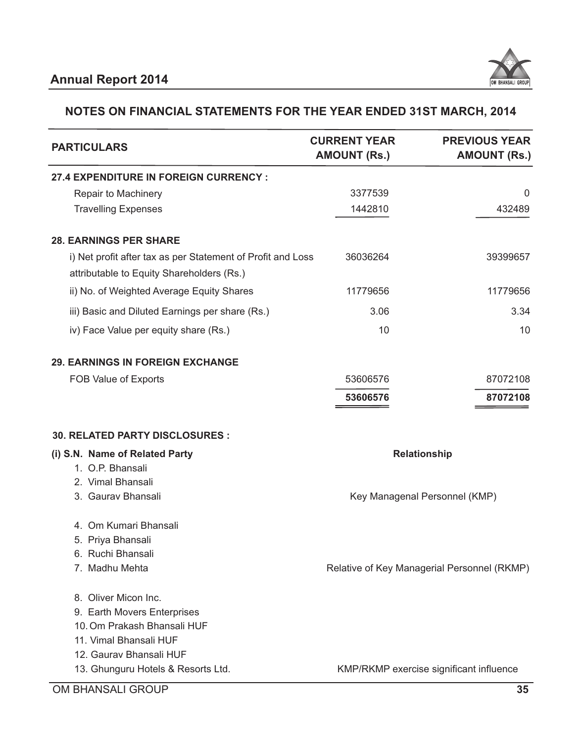

| <b>PARTICULARS</b>                                                                                                                      | <b>CURRENT YEAR</b><br><b>AMOUNT (Rs.)</b> | <b>PREVIOUS YEAR</b><br><b>AMOUNT (Rs.)</b> |
|-----------------------------------------------------------------------------------------------------------------------------------------|--------------------------------------------|---------------------------------------------|
| <b>27.4 EXPENDITURE IN FOREIGN CURRENCY:</b>                                                                                            |                                            |                                             |
| Repair to Machinery                                                                                                                     | 3377539                                    | $\mathbf{0}$                                |
| <b>Travelling Expenses</b>                                                                                                              | 1442810                                    | 432489                                      |
| <b>28. EARNINGS PER SHARE</b>                                                                                                           |                                            |                                             |
| i) Net profit after tax as per Statement of Profit and Loss<br>attributable to Equity Shareholders (Rs.)                                | 36036264                                   | 39399657                                    |
| ii) No. of Weighted Average Equity Shares                                                                                               | 11779656                                   | 11779656                                    |
| iii) Basic and Diluted Earnings per share (Rs.)                                                                                         | 3.06                                       | 3.34                                        |
| iv) Face Value per equity share (Rs.)                                                                                                   | 10                                         | 10                                          |
| <b>29. EARNINGS IN FOREIGN EXCHANGE</b>                                                                                                 |                                            |                                             |
| FOB Value of Exports                                                                                                                    | 53606576                                   | 87072108                                    |
|                                                                                                                                         | 53606576                                   | 87072108                                    |
| 30. RELATED PARTY DISCLOSURES :                                                                                                         |                                            |                                             |
| (i) S.N. Name of Related Party                                                                                                          |                                            | <b>Relationship</b>                         |
| 1. O.P. Bhansali                                                                                                                        |                                            |                                             |
| 2. Vimal Bhansali                                                                                                                       |                                            |                                             |
| 3. Gaurav Bhansali                                                                                                                      |                                            | Key Managenal Personnel (KMP)               |
| 4. Om Kumari Bhansali                                                                                                                   |                                            |                                             |
| 5. Priya Bhansali                                                                                                                       |                                            |                                             |
| 6. Ruchi Bhansali                                                                                                                       |                                            |                                             |
| 7. Madhu Mehta                                                                                                                          |                                            | Relative of Key Managerial Personnel (RKMP) |
| 8. Oliver Micon Inc.<br>9. Earth Movers Enterprises<br>10. Om Prakash Bhansali HUF<br>11. Vimal Bhansali HUF<br>12. Gaurav Bhansali HUF |                                            |                                             |
| 13. Ghunguru Hotels & Resorts Ltd.                                                                                                      |                                            | KMP/RKMP exercise significant influence     |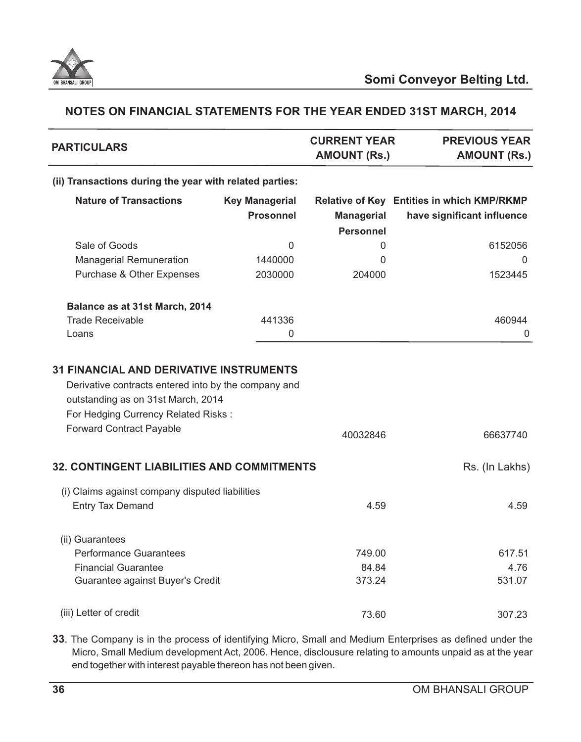

| <b>PARTICULARS</b>                                                                                                                                                   |                       | <b>CURRENT YEAR</b><br><b>AMOUNT (Rs.)</b> | <b>PREVIOUS YEAR</b><br><b>AMOUNT (Rs.)</b> |
|----------------------------------------------------------------------------------------------------------------------------------------------------------------------|-----------------------|--------------------------------------------|---------------------------------------------|
| (ii) Transactions during the year with related parties:                                                                                                              |                       |                                            |                                             |
| <b>Nature of Transactions</b>                                                                                                                                        | <b>Key Managerial</b> |                                            | Relative of Key Entities in which KMP/RKMP  |
|                                                                                                                                                                      | <b>Prosonnel</b>      | <b>Managerial</b>                          | have significant influence                  |
|                                                                                                                                                                      |                       | <b>Personnel</b>                           |                                             |
| Sale of Goods                                                                                                                                                        | $\overline{0}$        | 0                                          | 6152056                                     |
| <b>Managerial Remuneration</b>                                                                                                                                       | 1440000               | 0                                          | 0                                           |
| Purchase & Other Expenses                                                                                                                                            | 2030000               | 204000                                     | 1523445                                     |
| Balance as at 31st March, 2014                                                                                                                                       |                       |                                            |                                             |
| <b>Trade Receivable</b>                                                                                                                                              | 441336                |                                            | 460944                                      |
| Loans                                                                                                                                                                | 0                     |                                            | 0                                           |
| Derivative contracts entered into by the company and<br>outstanding as on 31st March, 2014<br>For Hedging Currency Related Risks:<br><b>Forward Contract Payable</b> |                       | 40032846                                   | 66637740                                    |
| <b>32. CONTINGENT LIABILITIES AND COMMITMENTS</b>                                                                                                                    |                       |                                            | Rs. (In Lakhs)                              |
| (i) Claims against company disputed liabilities<br><b>Entry Tax Demand</b>                                                                                           |                       | 4.59                                       | 4.59                                        |
| (ii) Guarantees                                                                                                                                                      |                       |                                            |                                             |
| <b>Performance Guarantees</b>                                                                                                                                        |                       | 749.00                                     | 617.51                                      |
| <b>Financial Guarantee</b>                                                                                                                                           |                       | 84.84                                      | 4.76                                        |
| Guarantee against Buyer's Credit                                                                                                                                     |                       | 373.24                                     | 531.07                                      |
| (iii) Letter of credit                                                                                                                                               |                       | 73.60                                      | 307.23                                      |

**33**. The Company is in the process of identifying Micro, Small and Medium Enterprises as defined under the Micro, Small Medium development Act, 2006. Hence, disclousure relating to amounts unpaid as at the year end together with interest payable thereon has not been given.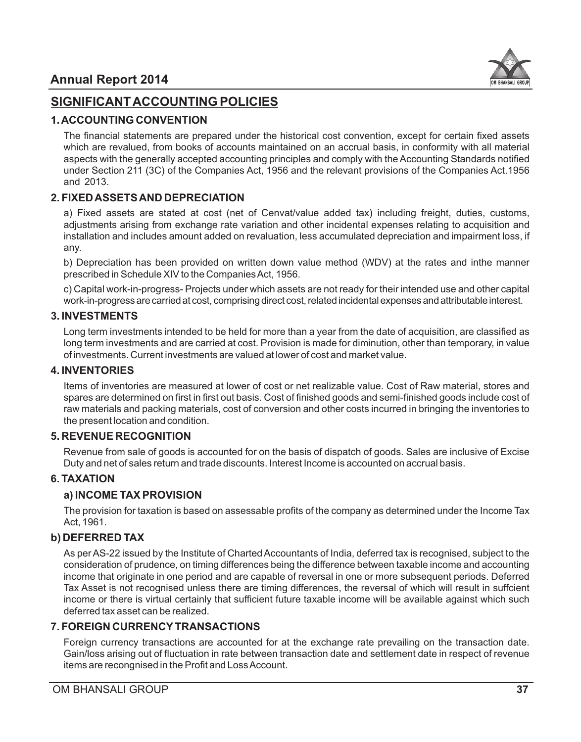

# **SIGNIFICANT ACCOUNTING POLICIES**

# **1. ACCOUNTING CONVENTION**

The financial statements are prepared under the historical cost convention, except for certain fixed assets which are revalued, from books of accounts maintained on an accrual basis, in conformity with all material aspects with the generally accepted accounting principles and comply with the Accounting Standards notified under Section 211 (3C) of the Companies Act, 1956 and the relevant provisions of the Companies Act.1956 and 2013.

# **2. FIXED ASSETS AND DEPRECIATION**

a) Fixed assets are stated at cost (net of Cenvat/value added tax) including freight, duties, customs, adjustments arising from exchange rate variation and other incidental expenses relating to acquisition and installation and includes amount added on revaluation, less accumulated depreciation and impairment loss, if any.

b) Depreciation has been provided on written down value method (WDV) at the rates and inthe manner prescribed in Schedule XIV to the Companies Act, 1956.

c) Capital work-in-progress- Projects under which assets are not ready for their intended use and other capital work-in-progress are carried at cost, comprising direct cost, related incidental expenses and attributable interest.

# **3. INVESTMENTS**

Long term investments intended to be held for more than a year from the date of acquisition, are classified as long term investments and are carried at cost. Provision is made for diminution, other than temporary, in value of investments. Current investments are valued at lower of cost and market value.

# **4. INVENTORIES**

Items of inventories are measured at lower of cost or net realizable value. Cost of Raw material, stores and spares are determined on first in first out basis. Cost of finished goods and semi-finished goods include cost of raw materials and packing materials, cost of conversion and other costs incurred in bringing the inventories to the present location and condition.

# **5. REVENUE RECOGNITION**

Revenue from sale of goods is accounted for on the basis of dispatch of goods. Sales are inclusive of Excise Duty and net of sales return and trade discounts. Interest Income is accounted on accrual basis.

# **6. TAXATION**

# **a) INCOME TAX PROVISION**

The provision for taxation is based on assessable profits of the company as determined under the Income Tax Act, 1961.

# **b) DEFERRED TAX**

As per AS-22 issued by the Institute of Charted Accountants of India, deferred tax is recognised, subject to the consideration of prudence, on timing differences being the difference between taxable income and accounting income that originate in one period and are capable of reversal in one or more subsequent periods. Deferred Tax Asset is not recognised unless there are timing differences, the reversal of which will result in suffcient income or there is virtual certainly that sufficient future taxable income will be available against which such deferred tax asset can be realized.

# **7. FOREIGN CURRENCYTRANSACTIONS**

Foreign currency transactions are accounted for at the exchange rate prevailing on the transaction date. Gain/loss arising out of fluctuation in rate between transaction date and settlement date in respect of revenue items are recongnised in the Profit and Loss Account.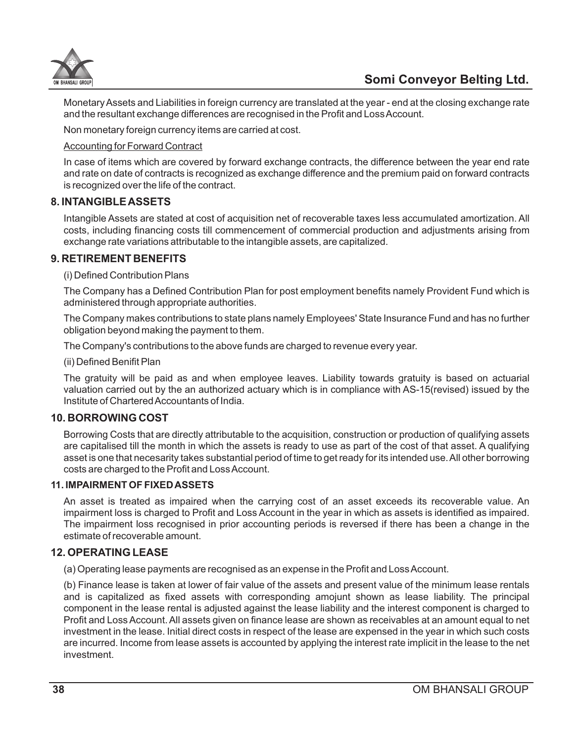

Monetary Assets and Liabilities in foreign currency are translated at the year - end at the closing exchange rate and the resultant exchange differences are recognised in the Profit and Loss Account.

Non monetary foreign currency items are carried at cost.

#### Accounting for Forward Contract

In case of items which are covered by forward exchange contracts, the difference between the year end rate and rate on date of contracts is recognized as exchange difference and the premium paid on forward contracts is recognized over the life of the contract.

## **8. INTANGIBLE ASSETS**

Intangible Assets are stated at cost of acquisition net of recoverable taxes less accumulated amortization. All costs, including financing costs till commencement of commercial production and adjustments arising from exchange rate variations attributable to the intangible assets, are capitalized.

#### **9. RETIREMENT BENEFITS**

#### (i) Defined Contribution Plans

The Company has a Defined Contribution Plan for post employment benefits namely Provident Fund which is administered through appropriate authorities.

The Company makes contributions to state plans namely Employees' State Insurance Fund and has no further obligation beyond making the payment to them.

The Company's contributions to the above funds are charged to revenue every year.

(ii) Defined Benifit Plan

The gratuity will be paid as and when employee leaves. Liability towards gratuity is based on actuarial valuation carried out by the an authorized actuary which is in compliance with AS-15(revised) issued by the Institute of Chartered Accountants of India.

#### **10. BORROWING COST**

Borrowing Costs that are directly attributable to the acquisition, construction or production of qualifying assets are capitalised till the month in which the assets is ready to use as part of the cost of that asset. A qualifying asset is one that necesarity takes substantial period of time to get ready for its intended use. All other borrowing costs are charged to the Profit and Loss Account.

#### **11. IMPAIRMENT OF FIXED ASSETS**

An asset is treated as impaired when the carrying cost of an asset exceeds its recoverable value. An impairment loss is charged to Profit and Loss Account in the year in which as assets is identified as impaired. The impairment loss recognised in prior accounting periods is reversed if there has been a change in the estimate of recoverable amount.

#### **12. OPERATING LEASE**

(a) Operating lease payments are recognised as an expense in the Profit and Loss Account.

(b) Finance lease is taken at lower of fair value of the assets and present value of the minimum lease rentals and is capitalized as fixed assets with corresponding amojunt shown as lease liability. The principal component in the lease rental is adjusted against the lease liability and the interest component is charged to Profit and Loss Account. All assets given on finance lease are shown as receivables at an amount equal to net investment in the lease. Initial direct costs in respect of the lease are expensed in the year in which such costs are incurred. Income from lease assets is accounted by applying the interest rate implicit in the lease to the net investment.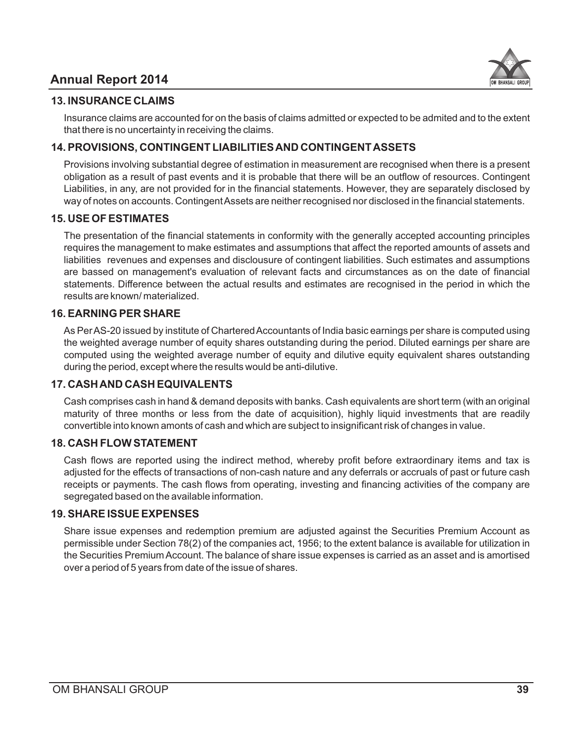# **Annual Report 2014**



#### **13. INSURANCE CLAIMS**

Insurance claims are accounted for on the basis of claims admitted or expected to be admited and to the extent that there is no uncertainty in receiving the claims.

# **14. PROVISIONS, CONTINGENT LIABILITIES AND CONTINGENT ASSETS**

Provisions involving substantial degree of estimation in measurement are recognised when there is a present obligation as a result of past events and it is probable that there will be an outflow of resources. Contingent Liabilities, in any, are not provided for in the financial statements. However, they are separately disclosed by way of notes on accounts. Contingent Assets are neither recognised nor disclosed in the financial statements.

## **15. USE OF ESTIMATES**

The presentation of the financial statements in conformity with the generally accepted accounting principles requires the management to make estimates and assumptions that affect the reported amounts of assets and liabilities revenues and expenses and disclousure of contingent liabilities. Such estimates and assumptions are bassed on management's evaluation of relevant facts and circumstances as on the date of financial statements. Difference between the actual results and estimates are recognised in the period in which the results are known/ materialized.

## **16. EARNING PER SHARE**

As Per AS-20 issued by institute of Chartered Accountants of India basic earnings per share is computed using the weighted average number of equity shares outstanding during the period. Diluted earnings per share are computed using the weighted average number of equity and dilutive equity equivalent shares outstanding during the period, except where the results would be anti-dilutive.

# **17. CASH AND CASH EQUIVALENTS**

Cash comprises cash in hand & demand deposits with banks. Cash equivalents are short term (with an original maturity of three months or less from the date of acquisition), highly liquid investments that are readily convertible into known amonts of cash and which are subject to insignificant risk of changes in value.

# **18. CASH FLOW STATEMENT**

Cash flows are reported using the indirect method, whereby profit before extraordinary items and tax is adjusted for the effects of transactions of non-cash nature and any deferrals or accruals of past or future cash receipts or payments. The cash flows from operating, investing and financing activities of the company are segregated based on the available information.

#### **19. SHARE ISSUE EXPENSES**

Share issue expenses and redemption premium are adjusted against the Securities Premium Account as permissible under Section 78(2) of the companies act, 1956; to the extent balance is available for utilization in the Securities Premium Account. The balance of share issue expenses is carried as an asset and is amortised over a period of 5 years from date of the issue of shares.